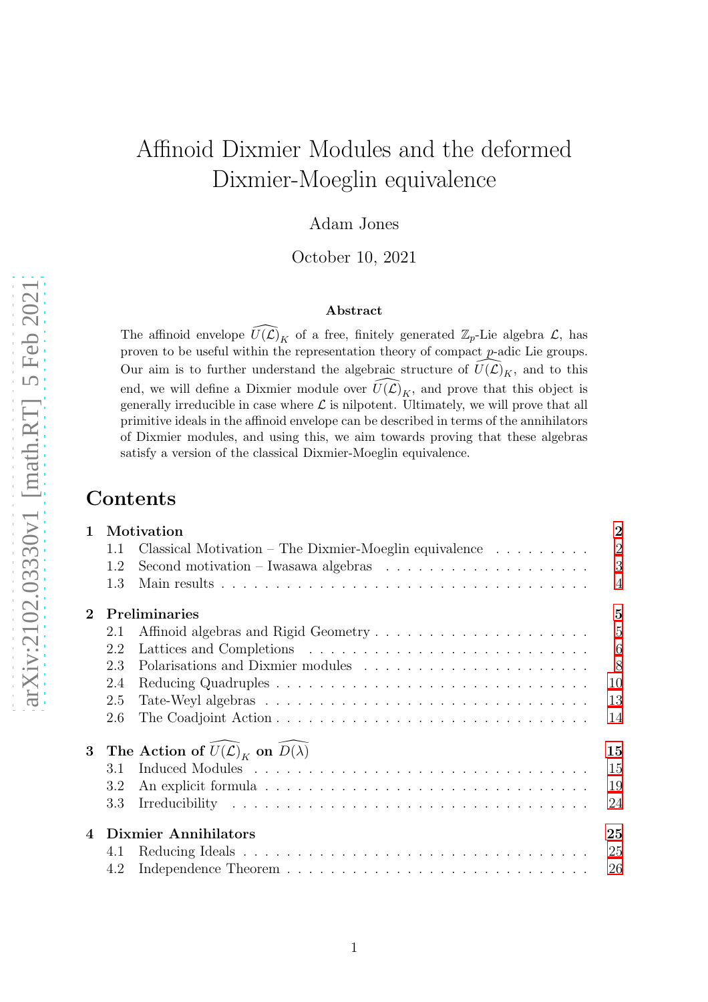# Affinoid Dixmier Modules and the deformed Dixmier-Moeglin equivalence

Adam Jones

October 10, 2021

#### Abstract

The affinoid envelope  $\widehat{U(\mathcal{L})}_K$  of a free, finitely generated  $\mathbb{Z}_p$ -Lie algebra  $\mathcal{L}$ , has proven to be useful within the representation theory of compact  $p$ -adic Lie groups. Our aim is to further understand the algebraic structure of  $\bar{U}(\mathcal{L})_K$ , and to this end, we will define a Dixmier module over  $\widehat{U(\mathcal{L})}_K$ , and prove that this object is generally irreducible in case where  $\mathcal L$  is nilpotent. Ultimately, we will prove that all primitive ideals in the affinoid envelope can be described in terms of the annihilators of Dixmier modules, and using this, we aim towards proving that these algebras satisfy a version of the classical Dixmier-Moeglin equivalence.

## **Contents**

| $\mathbf{1}$    | Motivation                                             |                                                                                  |                |  |  |  |
|-----------------|--------------------------------------------------------|----------------------------------------------------------------------------------|----------------|--|--|--|
|                 | 1.1                                                    | Classical Motivation – The Dixmier-Moeglin equivalence $\dots \dots \dots$       | $\overline{2}$ |  |  |  |
|                 | 1.2                                                    | Second motivation – Iwasawa algebras $\dots \dots \dots \dots \dots \dots \dots$ | 3              |  |  |  |
|                 | 1.3                                                    |                                                                                  | $\overline{4}$ |  |  |  |
| $\mathbf{2}$    | Preliminaries<br>$\overline{5}$                        |                                                                                  |                |  |  |  |
|                 | 2.1                                                    |                                                                                  | 5              |  |  |  |
|                 | 2.2                                                    |                                                                                  | 6              |  |  |  |
|                 | 2.3                                                    |                                                                                  | 8              |  |  |  |
|                 | 2.4                                                    |                                                                                  | 10             |  |  |  |
|                 | 2.5                                                    |                                                                                  | 13             |  |  |  |
|                 | 2.6                                                    |                                                                                  | 14             |  |  |  |
| $3\phantom{.0}$ | The Action of $U(\mathcal{L})_K$ on $D(\lambda)$<br>15 |                                                                                  |                |  |  |  |
|                 | 3.1                                                    |                                                                                  | 15             |  |  |  |
|                 | 3.2                                                    |                                                                                  | 19             |  |  |  |
|                 | 3.3                                                    |                                                                                  | 24             |  |  |  |
| $\overline{4}$  | <b>Dixmier Annihilators</b><br>25                      |                                                                                  |                |  |  |  |
|                 | 4.1                                                    |                                                                                  | 25             |  |  |  |
|                 | 4.2                                                    |                                                                                  | 26             |  |  |  |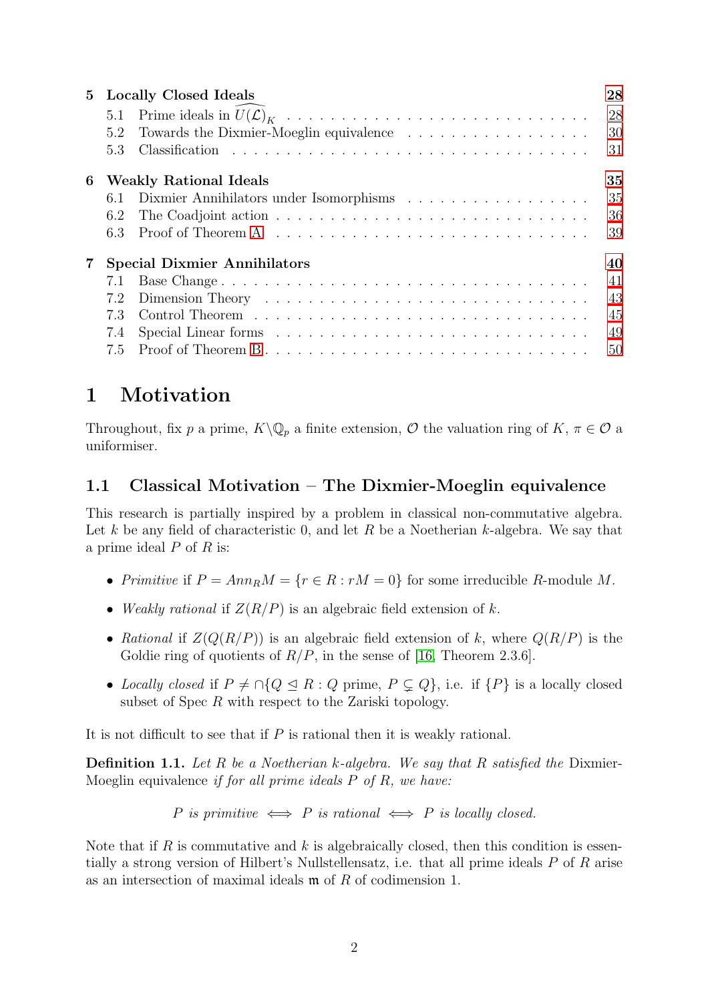| 5 <sup>5</sup> | <b>Locally Closed Ideals</b>              |                                                                                        |    |  |  |
|----------------|-------------------------------------------|----------------------------------------------------------------------------------------|----|--|--|
|                | 5.1                                       |                                                                                        | 28 |  |  |
|                | 5.2                                       |                                                                                        | 30 |  |  |
|                | 5.3                                       |                                                                                        | 31 |  |  |
| 6              | <b>Weakly Rational Ideals</b><br>35       |                                                                                        |    |  |  |
|                | 6.1                                       |                                                                                        | 35 |  |  |
|                | 6.2                                       |                                                                                        | 36 |  |  |
|                | 6.3                                       | Proof of Theorem A $\dots \dots \dots \dots \dots \dots \dots \dots \dots \dots \dots$ | 39 |  |  |
| $\overline{7}$ | <b>Special Dixmier Annihilators</b><br>40 |                                                                                        |    |  |  |
|                |                                           |                                                                                        | 41 |  |  |
|                | 7.2                                       |                                                                                        | 43 |  |  |
|                | 73                                        |                                                                                        | 45 |  |  |
|                | 7.4                                       |                                                                                        | 49 |  |  |
|                | 7.5                                       |                                                                                        | 50 |  |  |

# <span id="page-1-0"></span>1 Motivation

Throughout, fix p a prime,  $K\backslash\mathbb{Q}_p$  a finite extension, O the valuation ring of  $K, \pi \in \mathcal{O}$  a uniformiser.

## <span id="page-1-1"></span>1.1 Classical Motivation – The Dixmier-Moeglin equivalence

This research is partially inspired by a problem in classical non-commutative algebra. Let k be any field of characteristic 0, and let R be a Noetherian k-algebra. We say that a prime ideal  $P$  of  $R$  is:

- Primitive if  $P = Ann_R M = {r \in R : rM = 0}$  for some irreducible R-module M.
- Weakly rational if  $Z(R/P)$  is an algebraic field extension of k.
- Rational if  $Z(Q(R/P))$  is an algebraic field extension of k, where  $Q(R/P)$  is the Goldie ring of quotients of  $R/P$ , in the sense of [\[16,](#page-51-0) Theorem 2.3.6].
- Locally closed if  $P \neq \bigcap \{Q \leq R : Q \text{ prime}, P \subseteq Q\}$ , i.e. if  $\{P\}$  is a locally closed subset of Spec  $R$  with respect to the Zariski topology.

It is not difficult to see that if  $P$  is rational then it is weakly rational.

**Definition 1.1.** Let R be a Noetherian k-algebra. We say that R satisfied the Dixmier-Moeglin equivalence *if for all prime ideals P of R, we have:* 

P is primitive  $\iff$  P is rational  $\iff$  P is locally closed.

Note that if R is commutative and k is algebraically closed, then this condition is essentially a strong version of Hilbert's Nullstellensatz, i.e. that all prime ideals P of R arise as an intersection of maximal ideals m of R of codimension 1.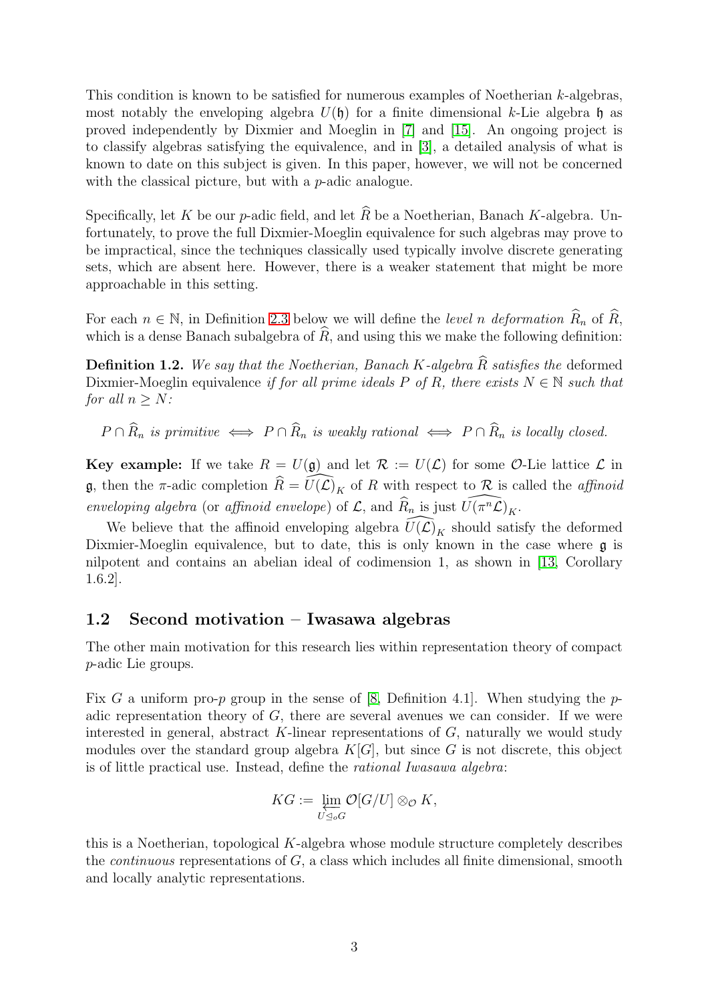This condition is known to be satisfied for numerous examples of Noetherian k-algebras, most notably the enveloping algebra  $U(\mathfrak{h})$  for a finite dimensional k-Lie algebra  $\mathfrak{h}$  as proved independently by Dixmier and Moeglin in [\[7\]](#page-50-0) and [\[15\]](#page-51-1). An ongoing project is to classify algebras satisfying the equivalence, and in [\[3\]](#page-50-1), a detailed analysis of what is known to date on this subject is given. In this paper, however, we will not be concerned with the classical picture, but with a *p*-adic analogue.

Specifically, let K be our p-adic field, and let  $\widehat{R}$  be a Noetherian, Banach K-algebra. Unfortunately, to prove the full Dixmier-Moeglin equivalence for such algebras may prove to be impractical, since the techniques classically used typically involve discrete generating sets, which are absent here. However, there is a weaker statement that might be more approachable in this setting.

For each  $n \in \mathbb{N}$ , in Definition [2.3](#page-6-0) below we will define the *level n deformation*  $R_n$  of R, which is a dense Banach subalgebra of  $R$ , and using this we make the following definition:

<span id="page-2-1"></span>**Definition 1.2.** We say that the Noetherian, Banach K-algebra  $\widehat{R}$  satisfies the deformed Dixmier-Moeglin equivalence if for all prime ideals P of R, there exists  $N \in \mathbb{N}$  such that for all  $n > N$ :

 $P \cap \widehat{R}_n$  is primitive  $\iff P \cap \widehat{R}_n$  is weakly rational  $\iff P \cap \widehat{R}_n$  is locally closed.

**Key example:** If we take  $R = U(\mathfrak{g})$  and let  $\mathcal{R} := U(\mathcal{L})$  for some O-Lie lattice  $\mathcal{L}$  in **g**, then the  $\pi$ -adic completion  $\widehat{R} = \widehat{U}(\mathcal{L})_K$  of R with respect to R is called the affinoid enveloping algebra (or affinoid envelope) of  $\mathcal{L}$ , and  $\widehat{R}_n$  is just  $\widehat{U(\pi^n\mathcal{L})}_K$ .

We believe that the affinoid enveloping algebra  $\widehat{U(\mathcal{L})}_K$  should satisfy the deformed Dixmier-Moeglin equivalence, but to date, this is only known in the case where  $\mathfrak g$  is nilpotent and contains an abelian ideal of codimension 1, as shown in [\[13,](#page-51-2) Corollary 1.6.2].

## <span id="page-2-0"></span>1.2 Second motivation – Iwasawa algebras

The other main motivation for this research lies within representation theory of compact p-adic Lie groups.

Fix G a uniform pro-p group in the sense of [\[8,](#page-50-2) Definition 4.1]. When studying the padic representation theory of  $G$ , there are several avenues we can consider. If we were interested in general, abstract  $K$ -linear representations of  $G$ , naturally we would study modules over the standard group algebra  $K[G]$ , but since G is not discrete, this object is of little practical use. Instead, define the rational Iwasawa algebra:

$$
KG := \varprojlim_{U \trianglelefteq_o G} \mathcal{O}[G/U] \otimes_{\mathcal{O}} K,
$$

this is a Noetherian, topological K-algebra whose module structure completely describes the *continuous* representations of  $G$ , a class which includes all finite dimensional, smooth and locally analytic representations.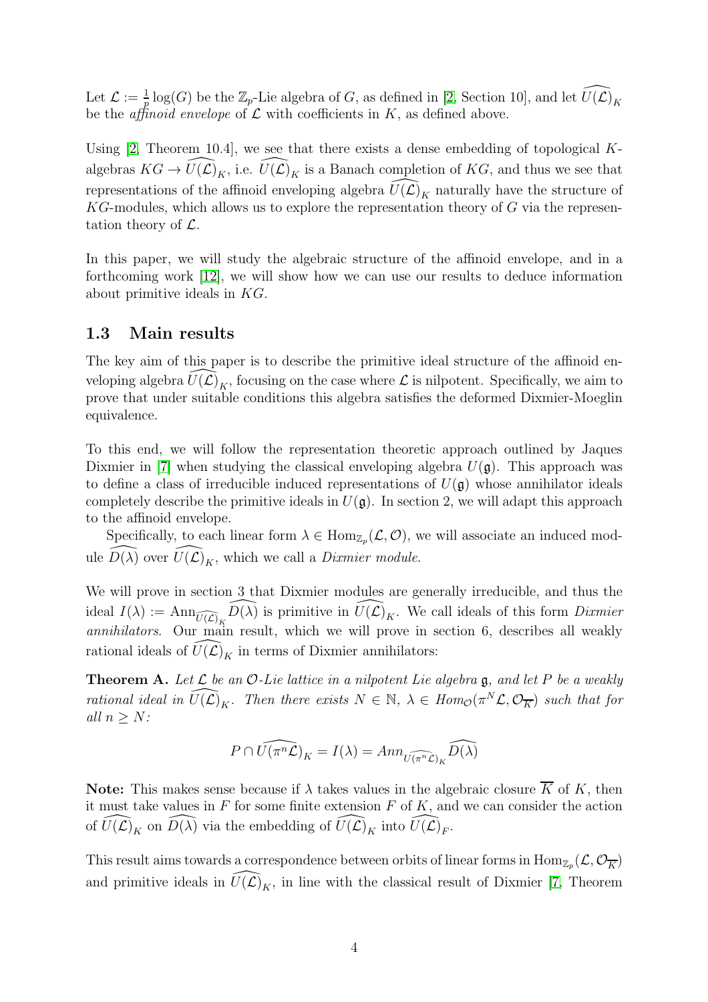Let  $\mathcal{L} := \frac{1}{p} \log(G)$  be the  $\mathbb{Z}_p$ -Lie algebra of G, as defined in [\[2,](#page-50-3) Section 10], and let  $\widehat{U(\mathcal{L})}_K$ be the *affinoid envelope* of  $\mathcal L$  with coefficients in  $K$ , as defined above.

Using  $[2,$  Theorem 10.4, we see that there exists a dense embedding of topological Kalgebras  $KG \to \widehat{U(\mathcal{L})}_K$ , i.e.  $\widehat{U(\mathcal{L})}_K$  is a Banach completion of  $KG$ , and thus we see that representations of the affinoid enveloping algebra  $\widehat{U}(\widehat{\mathcal{L}})_{K}$  naturally have the structure of  $KG$ -modules, which allows us to explore the representation theory of  $G$  via the representation theory of  $\mathcal{L}$ .

In this paper, we will study the algebraic structure of the affinoid envelope, and in a forthcoming work [\[12\]](#page-51-3), we will show how we can use our results to deduce information about primitive ideals in KG.

#### <span id="page-3-0"></span>1.3 Main results

The key aim of this paper is to describe the primitive ideal structure of the affinoid enveloping algebra  $U(\mathcal{L})_K$ , focusing on the case where  $\mathcal L$  is nilpotent. Specifically, we aim to prove that under suitable conditions this algebra satisfies the deformed Dixmier-Moeglin equivalence.

To this end, we will follow the representation theoretic approach outlined by Jaques Dixmier in [\[7\]](#page-50-0) when studying the classical enveloping algebra  $U(\mathfrak{g})$ . This approach was to define a class of irreducible induced representations of  $U(\mathfrak{g})$  whose annihilator ideals completely describe the primitive ideals in  $U(\mathfrak{g})$ . In section 2, we will adapt this approach to the affinoid envelope.

Specifically, to each linear form  $\lambda \in \text{Hom}_{\mathbb{Z}_p}(\mathcal{L}, \mathcal{O})$ , we will associate an induced module  $\widehat{D(\lambda)}$  over  $\widehat{U(\mathcal{L})}_K$ , which we call a *Dixmier module*.

We will prove in section 3 that Dixmier modules are generally irreducible, and thus the ideal  $I(\lambda) := \text{Ann}_{\widehat{U(\mathcal{L})}_K} \widehat{D(\lambda)}$  is primitive in  $\widehat{U(\mathcal{L})}_K$ . We call ideals of this form Dixmier annihilators. Our main result, which we will prove in section 6, describes all weakly rational ideals of  $U(\mathcal{L})_K$  in terms of Dixmier annihilators:

<span id="page-3-1"></span>**Theorem A.** Let  $\mathcal L$  be an  $\mathcal O$ -Lie lattice in a nilpotent Lie algebra g, and let P be a weakly rational ideal in  $\widehat{U(\mathcal{L})}_K$ . Then there exists  $N \in \mathbb{N}$ ,  $\lambda \in Hom_{\mathcal{O}}(\pi^N \mathcal{L}, \mathcal{O}_{\overline{K}})$  such that for all  $n \geq N$ :

$$
P \cap \widehat{U(\pi^n \mathcal{L})}_K = I(\lambda) = Ann_{\widehat{U(\pi^n \mathcal{L})}_K} \widehat{D(\lambda)}
$$

**Note:** This makes sense because if  $\lambda$  takes values in the algebraic closure  $\overline{K}$  of K, then it must take values in  $F$  for some finite extension  $F$  of  $K$ , and we can consider the action of  $\widehat{U(\mathcal{L})}_K$  on  $\widehat{D(\lambda)}$  via the embedding of  $\widehat{U(\mathcal{L})}_K$  into  $\widehat{U(\mathcal{L})}_F$ .

This result aims towards a correspondence between orbits of linear forms in  $\mathrm{Hom}_{\mathbb{Z}_p}(\mathcal{L}, \mathcal{O}_{\overline{K}})$ and primitive ideals in  $\widehat{U}(\widehat{\mathcal{L}})_K$ , in line with the classical result of Dixmier [\[7,](#page-50-0) Theorem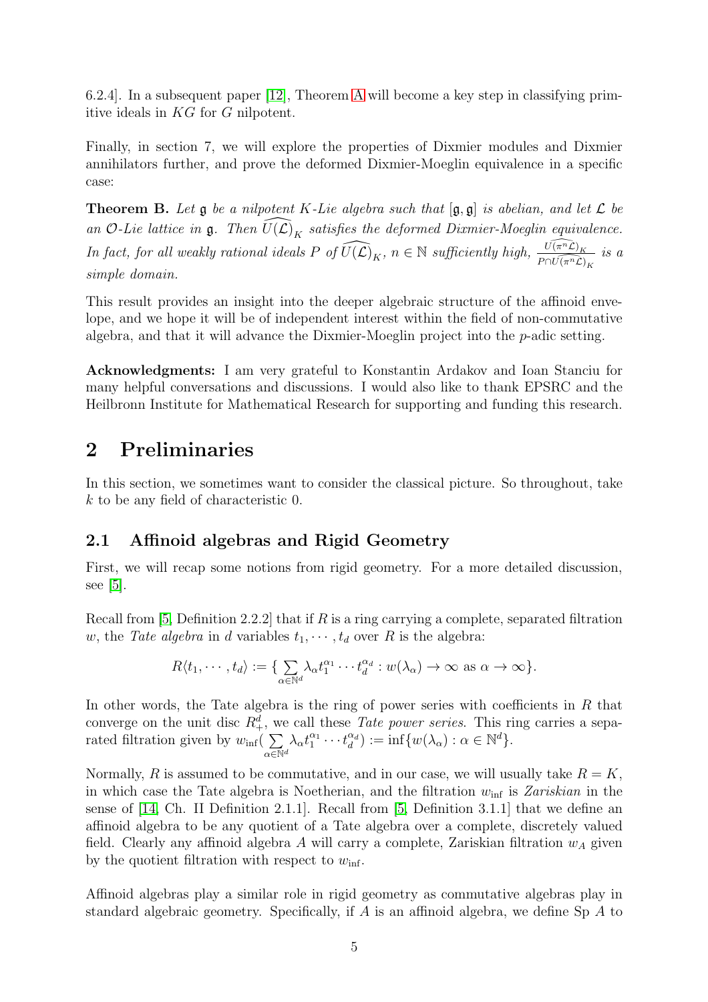6.2.4]. In a subsequent paper [\[12\]](#page-51-3), Theorem [A](#page-3-1) will become a key step in classifying primitive ideals in KG for G nilpotent.

Finally, in section 7, we will explore the properties of Dixmier modules and Dixmier annihilators further, and prove the deformed Dixmier-Moeglin equivalence in a specific case:

<span id="page-4-2"></span>**Theorem B.** Let  $\mathfrak g$  be a nilpotent K-Lie algebra such that  $[\mathfrak g, \mathfrak g]$  is abelian, and let  $\mathcal L$  be an O-Lie lattice in  $\frak g$ . Then  $\widehat{U(\mathcal{L})}_K$  satisfies the deformed Dixmier-Moeglin equivalence. In fact, for all weakly rational ideals  $P$  of  $\widehat{U(\mathcal{L})}_K$ ,  $n \in \mathbb{N}$  sufficiently high,  $\frac{\widehat{U(\pi^n\mathcal{L})}_K}{P \cap \widehat{U(\pi^n\mathcal{L})}_K}$  is a simple domain.

This result provides an insight into the deeper algebraic structure of the affinoid envelope, and we hope it will be of independent interest within the field of non-commutative algebra, and that it will advance the Dixmier-Moeglin project into the p-adic setting.

Acknowledgments: I am very grateful to Konstantin Ardakov and Ioan Stanciu for many helpful conversations and discussions. I would also like to thank EPSRC and the Heilbronn Institute for Mathematical Research for supporting and funding this research.

# <span id="page-4-0"></span>2 Preliminaries

In this section, we sometimes want to consider the classical picture. So throughout, take k to be any field of characteristic 0.

## <span id="page-4-1"></span>2.1 Affinoid algebras and Rigid Geometry

First, we will recap some notions from rigid geometry. For a more detailed discussion, see [\[5\]](#page-50-4).

Recall from [\[5,](#page-50-4) Definition 2.2.2] that if  $R$  is a ring carrying a complete, separated filtration w, the Tate algebra in d variables  $t_1, \dots, t_d$  over R is the algebra:

$$
R\langle t_1,\cdots,t_d\rangle:=\{\sum_{\alpha\in\mathbb{N}^d}\lambda_\alpha t_1^{\alpha_1}\cdots t_d^{\alpha_d}:w(\lambda_\alpha)\to\infty \text{ as } \alpha\to\infty\}.
$$

In other words, the Tate algebra is the ring of power series with coefficients in  $R$  that converge on the unit disc  $R_+^d$ , we call these *Tate power series*. This ring carries a separated filtration given by  $w_{\text{inf}}( \sum$  $\alpha \in \mathbb{N}^d$  $\lambda_\alpha t_1^{\alpha_1} \cdots t_d^{\alpha_d}$  $\begin{aligned} \alpha_d^{\alpha_d} &:= \inf \{ w(\lambda_\alpha) : \alpha \in \mathbb{N}^d \}. \end{aligned}$ 

Normally, R is assumed to be commutative, and in our case, we will usually take  $R = K$ , in which case the Tate algebra is Noetherian, and the filtration  $w_{\text{inf}}$  is Zariskian in the sense of [\[14,](#page-51-4) Ch. II Definition 2.1.1]. Recall from [\[5,](#page-50-4) Definition 3.1.1] that we define an affinoid algebra to be any quotient of a Tate algebra over a complete, discretely valued field. Clearly any affinoid algebra A will carry a complete, Zariskian filtration  $w<sub>A</sub>$  given by the quotient filtration with respect to  $w_{\text{inf}}$ .

Affinoid algebras play a similar role in rigid geometry as commutative algebras play in standard algebraic geometry. Specifically, if A is an affinoid algebra, we define Sp A to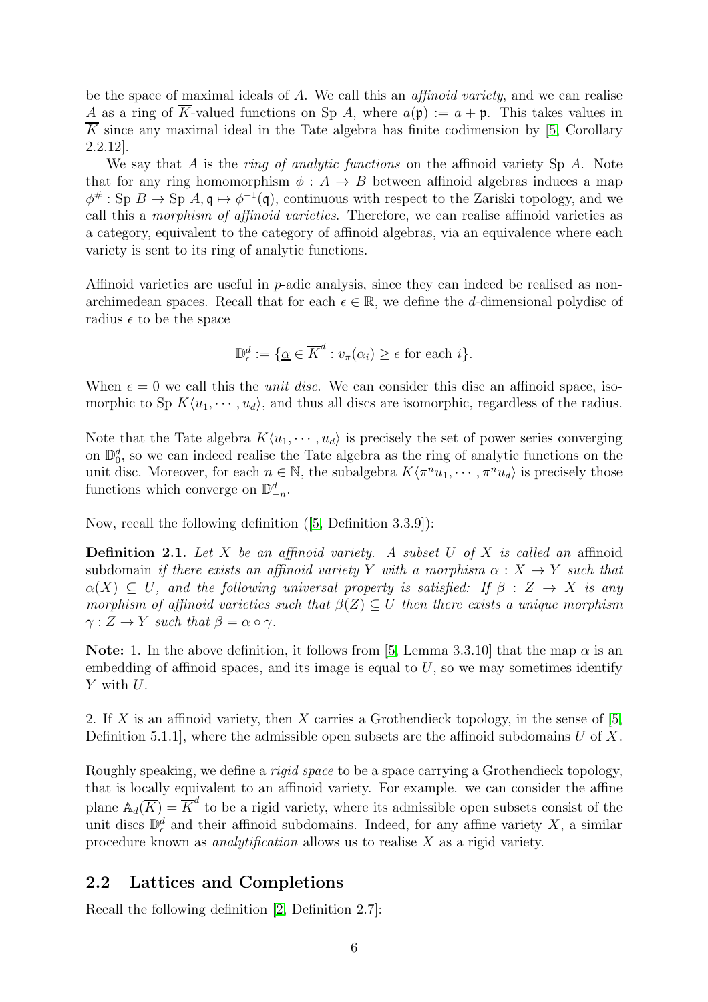be the space of maximal ideals of A. We call this an *affinoid variety*, and we can realise A as a ring of  $\overline{K}$ -valued functions on Sp A, where  $a(\mathfrak{p}) := a + \mathfrak{p}$ . This takes values in  $\overline{K}$  since any maximal ideal in the Tate algebra has finite codimension by [\[5,](#page-50-4) Corollary 2.2.12].

We say that A is the *ring of analytic functions* on the affinoid variety Sp A. Note that for any ring homomorphism  $\phi : A \rightarrow B$  between affinoid algebras induces a map  $\phi^{\#}$ : Sp  $B \to$  Sp  $A, \mathfrak{q} \mapsto \phi^{-1}(\mathfrak{q})$ , continuous with respect to the Zariski topology, and we call this a morphism of affinoid varieties. Therefore, we can realise affinoid varieties as a category, equivalent to the category of affinoid algebras, via an equivalence where each variety is sent to its ring of analytic functions.

Affinoid varieties are useful in p-adic analysis, since they can indeed be realised as nonarchimedean spaces. Recall that for each  $\epsilon \in \mathbb{R}$ , we define the d-dimensional polydisc of radius  $\epsilon$  to be the space

$$
\mathbb{D}_{\epsilon}^{d} := \{ \underline{\alpha} \in \overline{K}^{d} : v_{\pi}(\alpha_{i}) \geq \epsilon \text{ for each } i \}.
$$

When  $\epsilon = 0$  we call this the *unit disc*. We can consider this disc an affinoid space, isomorphic to Sp  $K\langle u_1, \dots, u_d \rangle$ , and thus all discs are isomorphic, regardless of the radius.

Note that the Tate algebra  $K\langle u_1, \dots, u_d \rangle$  is precisely the set of power series converging on  $\mathbb{D}_0^d$ , so we can indeed realise the Tate algebra as the ring of analytic functions on the unit disc. Moreover, for each  $n \in \mathbb{N}$ , the subalgebra  $K\langle \pi^n u_1, \dots, \pi^n u_d \rangle$  is precisely those functions which converge on  $\mathbb{D}_{-n}^d$ .

Now, recall the following definition ([\[5,](#page-50-4) Definition 3.3.9]):

<span id="page-5-1"></span>**Definition 2.1.** Let X be an affinoid variety. A subset U of X is called an affinoid subdomain if there exists an affinoid variety Y with a morphism  $\alpha: X \to Y$  such that  $\alpha(X) \subseteq U$ , and the following universal property is satisfied: If  $\beta : Z \to X$  is any morphism of affinoid varieties such that  $\beta(Z) \subseteq U$  then there exists a unique morphism  $\gamma: Z \to Y$  such that  $\beta = \alpha \circ \gamma$ .

**Note:** 1. In the above definition, it follows from [\[5,](#page-50-4) Lemma 3.3.10] that the map  $\alpha$  is an embedding of affinoid spaces, and its image is equal to  $U$ , so we may sometimes identify Y with U.

2. If X is an affinoid variety, then X carries a Grothendieck topology, in the sense of  $[5,$ Definition 5.1.1, where the admissible open subsets are the affinoid subdomains U of X.

Roughly speaking, we define a rigid space to be a space carrying a Grothendieck topology, that is locally equivalent to an affinoid variety. For example. we can consider the affine plane  $\mathbb{A}_d(\overline{K}) = \overline{K}^d$  to be a rigid variety, where its admissible open subsets consist of the unit discs  $\mathbb{D}^d_{\epsilon}$  and their affinoid subdomains. Indeed, for any affine variety X, a similar procedure known as *analytification* allows us to realise  $X$  as a rigid variety.

#### <span id="page-5-0"></span>2.2 Lattices and Completions

Recall the following definition [\[2,](#page-50-3) Definition 2.7]: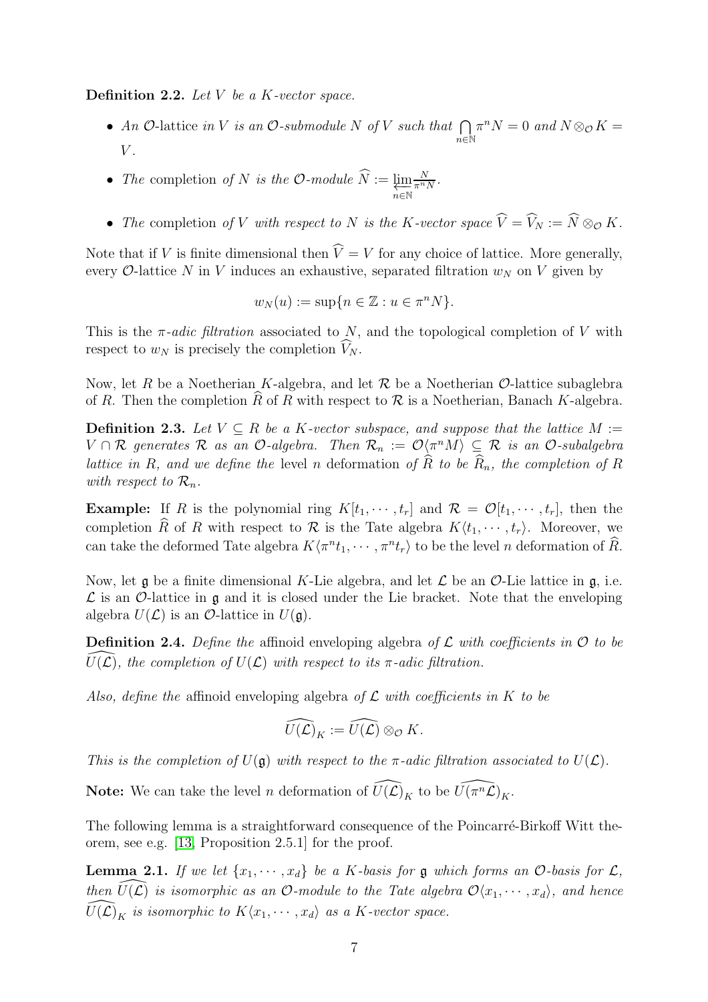**Definition 2.2.** Let  $V$  be a  $K$ -vector space.

- An O-lattice in V is an O-submodule N of V such that  $\bigcap$ n∈N  $\pi^n N = 0$  and  $N \otimes_{\mathcal{O}} K =$  $V$ .
- The completion of N is the O-module  $\widehat{N} := \varprojlim_{n \in \mathbb{N}} \frac{N}{\pi^n N}$ .
- The completion of V with respect to N is the K-vector space  $\widehat{V} = \widehat{V}_N := \widehat{N} \otimes_{\mathcal{O}} K$ .

Note that if V is finite dimensional then  $\hat{V} = V$  for any choice of lattice. More generally, every  $\mathcal{O}$ -lattice N in V induces an exhaustive, separated filtration  $w_N$  on V given by

$$
w_N(u) := \sup\{n \in \mathbb{Z} : u \in \pi^n N\}.
$$

This is the  $\pi$ -adic filtration associated to N, and the topological completion of V with respect to  $w_N$  is precisely the completion  $V_N$ .

Now, let R be a Noetherian K-algebra, and let R be a Noetherian  $\mathcal{O}$ -lattice subaglebra of R. Then the completion  $\hat{R}$  of R with respect to R is a Noetherian, Banach K-algebra.

<span id="page-6-0"></span>**Definition 2.3.** Let  $V \subseteq R$  be a K-vector subspace, and suppose that the lattice  $M :=$  $V \cap \mathcal{R}$  generates  $\mathcal R$  as an O-algebra. Then  $\mathcal R_n := \mathcal O\langle \pi^n M\rangle \subseteq \mathcal R$  is an O-subalgebra lattice in R, and we define the level n deformation of  $\hat{R}$  to be  $\hat{R}_n$ , the completion of R with respect to  $\mathcal{R}_n$ .

**Example:** If R is the polynomial ring  $K[t_1, \dots, t_r]$  and  $\mathcal{R} = \mathcal{O}[t_1, \dots, t_r]$ , then the completion R of R with respect to R is the Tate algebra  $K(t_1, \dots, t_r)$ . Moreover, we can take the deformed Tate algebra  $K\langle \pi^n t_1, \cdots, \pi^n t_r \rangle$  to be the level n deformation of  $\hat{R}$ .

Now, let  $\mathfrak g$  be a finite dimensional K-Lie algebra, and let  $\mathcal L$  be an  $\mathcal O$ -Lie lattice in  $\mathfrak g$ , i.e.  $\mathcal L$  is an O-lattice in  $\mathfrak g$  and it is closed under the Lie bracket. Note that the enveloping algebra  $U(\mathcal{L})$  is an  $\mathcal{O}$ -lattice in  $U(\mathfrak{g})$ .

**Definition 2.4.** Define the affinoid enveloping algebra of  $\mathcal{L}$  with coefficients in  $\mathcal{O}$  to be  $U(\mathcal{L})$ , the completion of  $U(\mathcal{L})$  with respect to its  $\pi$ -adic filtration.

Also, define the affinoid enveloping algebra of  $\mathcal L$  with coefficients in K to be

$$
\widehat{U(\mathcal{L})}_K := \widehat{U(\mathcal{L})} \otimes_{\mathcal{O}} K.
$$

This is the completion of  $U(\mathfrak{g})$  with respect to the  $\pi$ -adic filtration associated to  $U(\mathcal{L})$ .

**Note:** We can take the level *n* deformation of  $\widehat{U(\mathcal{L})}_K$  to be  $\widehat{U(\pi^n\mathcal{L})}_K$ .

The following lemma is a straightforward consequence of the Poincarré-Birkoff Witt theorem, see e.g. [\[13,](#page-51-2) Proposition 2.5.1] for the proof.

<span id="page-6-1"></span>**Lemma 2.1.** If we let  $\{x_1, \dots, x_d\}$  be a K-basis for g which forms an  $\mathcal{O}$ -basis for  $\mathcal{L}$ , then  $\widehat{U}(\mathcal{L})$  is isomorphic as an O-module to the Tate algebra  $\mathcal{O}\langle x_1, \cdots, x_d \rangle$ , and hence  $\widehat{U(\mathcal{L})}_K$  is isomorphic to  $K\langle x_1, \cdots, x_d \rangle$  as a K-vector space.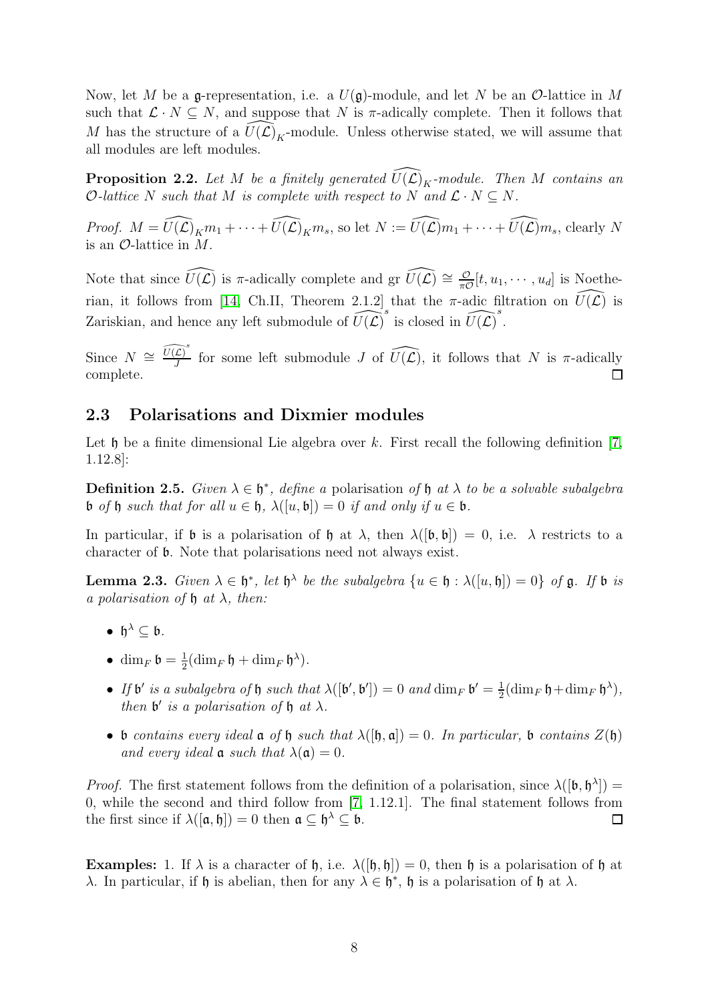Now, let M be a g-representation, i.e. a  $U(\mathfrak{g})$ -module, and let N be an  $\mathcal{O}$ -lattice in M such that  $\mathcal{L} \cdot N \subseteq N$ , and suppose that N is  $\pi$ -adically complete. Then it follows that M has the structure of a  $\widehat{U(\mathcal{L})}_K$ -module. Unless otherwise stated, we will assume that all modules are left modules.

<span id="page-7-1"></span>**Proposition 2.2.** Let M be a finitely generated  $\widehat{U(L)}_K$ -module. Then M contains an O-lattice N such that M is complete with respect to N and  $\mathcal{L} \cdot N \subseteq N$ .

*Proof.*  $M = \widehat{U(\mathcal{L})}_K m_1 + \cdots + \widehat{U(\mathcal{L})}_K m_s$ , so let  $N := \widehat{U(\mathcal{L})} m_1 + \cdots + \widehat{U(\mathcal{L})} m_s$ , clearly N is an  $\mathcal{O}$ -lattice in M.

Note that since  $\widehat{U(\mathcal{L})}$  is  $\pi$ -adically complete and gr  $\widehat{U(\mathcal{L})} \cong \frac{\mathcal{O}}{\pi\mathcal{O}}$  $\frac{\mathcal{O}}{\pi\mathcal{O}}[t, u_1, \cdots, u_d]$  is Noethe-rian, it follows from [\[14,](#page-51-4) Ch.II, Theorem 2.1.2] that the  $\pi$ -adic filtration on  $\widehat{U}(\widehat{\mathcal{L}})$  is Zariskian, and hence any left submodule of  $\widehat{U(L)}^s$  is closed in  $\widehat{U(L)}^s$ .

Since  $N \cong \widehat{U(\mathcal{L})}^s$  $\widehat{L}_{J}^{\infty}$  for some left submodule J of  $\widehat{U(\mathcal{L})}$ , it follows that N is  $\pi$ -adically complete.  $\Box$ 

#### <span id="page-7-0"></span>2.3 Polarisations and Dixmier modules

Let  $\mathfrak h$  be a finite dimensional Lie algebra over k. First recall the following definition [\[7,](#page-50-0) 1.12.8]:

**Definition 2.5.** Given  $\lambda \in \mathfrak{h}^*$ , define a polarisation of  $\mathfrak{h}$  at  $\lambda$  to be a solvable subalgebra b of h such that for all  $u \in \mathfrak{h}$ ,  $\lambda([u, \mathfrak{b}]) = 0$  if and only if  $u \in \mathfrak{b}$ .

In particular, if **b** is a polarisation of **h** at  $\lambda$ , then  $\lambda([\mathfrak{b}, \mathfrak{b}]) = 0$ , i.e.  $\lambda$  restricts to a character of b. Note that polarisations need not always exist.

<span id="page-7-2"></span>**Lemma 2.3.** Given  $\lambda \in \mathfrak{h}^*$ , let  $\mathfrak{h}^{\lambda}$  be the subalgebra  $\{u \in \mathfrak{h} : \lambda([u, \mathfrak{h}]) = 0\}$  of  $\mathfrak{g}$ . If  $\mathfrak{b}$  is a polarisation of  $\mathfrak h$  at  $\lambda$ , then:

- $\mathfrak{h}^{\lambda} \subseteq \mathfrak{b}$ .
- dim<sub>F</sub>  $\mathfrak{b} = \frac{1}{2}$  $\frac{1}{2}(\dim_F \mathfrak{h} + \dim_F \mathfrak{h}^{\lambda}).$
- If  $\mathfrak{b}'$  is a subalgebra of  $\mathfrak{h}$  such that  $\lambda([\mathfrak{b}', \mathfrak{b}']) = 0$  and  $\dim_F \mathfrak{b}' = \frac{1}{2}$  $\frac{1}{2}(\dim_F \mathfrak{h} + \dim_F \mathfrak{h}^{\lambda}),$ then  $\mathfrak b'$  is a polarisation of  $\mathfrak h$  at  $\lambda$ .
- b contains every ideal  $\mathfrak a$  of  $\mathfrak h$  such that  $\lambda([\mathfrak h, \mathfrak a]) = 0$ . In particular, b contains  $Z(\mathfrak h)$ and every ideal  $\mathfrak a$  such that  $\lambda(\mathfrak a)=0$ .

*Proof.* The first statement follows from the definition of a polarisation, since  $\lambda([\mathfrak{b}, \mathfrak{h}^{\lambda}])$  = 0, while the second and third follow from [\[7,](#page-50-0) 1.12.1]. The final statement follows from the first since if  $\lambda([\mathfrak{a},\mathfrak{h}])=0$  then  $\mathfrak{a}\subseteq\mathfrak{h}^{\lambda}\subseteq\mathfrak{b}$ .  $\Box$ 

**Examples:** 1. If  $\lambda$  is a character of  $\mathfrak{h}$ , i.e.  $\lambda([\mathfrak{h}, \mathfrak{h}]) = 0$ , then  $\mathfrak{h}$  is a polarisation of  $\mathfrak{h}$  at λ. In particular, if h is abelian, then for any  $\lambda \in \mathfrak{h}^*$ , h is a polarisation of h at  $\lambda$ .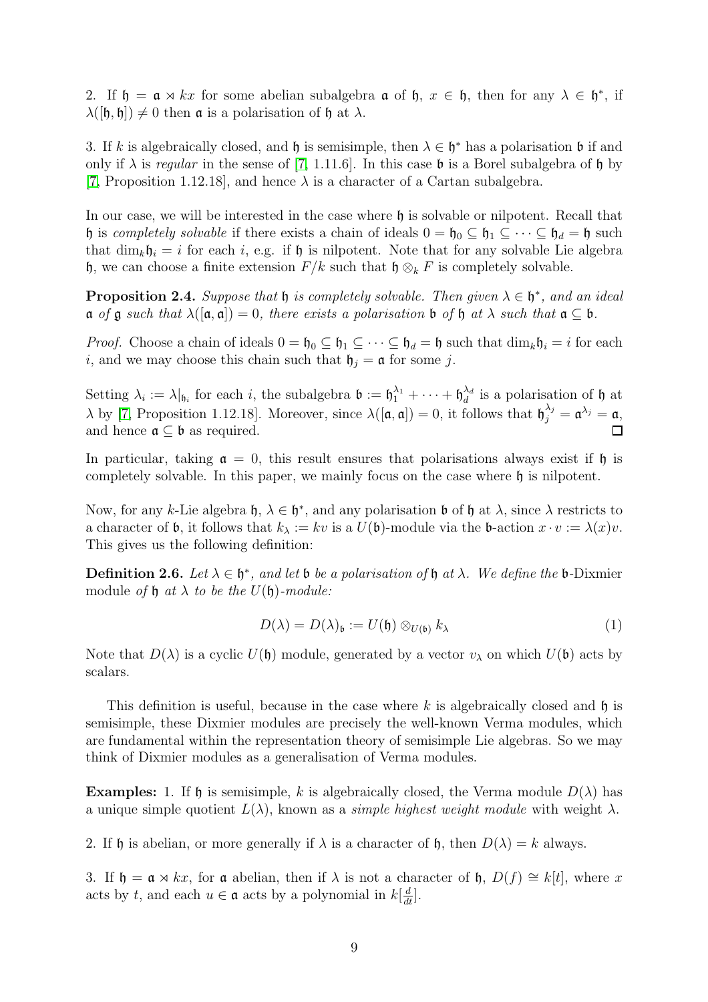2. If  $\mathfrak{h} = \mathfrak{a} \rtimes kx$  for some abelian subalgebra  $\mathfrak{a}$  of  $\mathfrak{h}$ ,  $x \in \mathfrak{h}$ , then for any  $\lambda \in \mathfrak{h}^*$ , if  $\lambda([\mathfrak{h}, \mathfrak{h}]) \neq 0$  then **a** is a polarisation of **h** at  $\lambda$ .

3. If k is algebraically closed, and h is semisimple, then  $\lambda \in \mathfrak{h}^*$  has a polarisation b if and only if  $\lambda$  is regular in the sense of [\[7,](#page-50-0) 1.11.6]. In this case b is a Borel subalgebra of h by [\[7,](#page-50-0) Proposition 1.12.18], and hence  $\lambda$  is a character of a Cartan subalgebra.

In our case, we will be interested in the case where h is solvable or nilpotent. Recall that h is completely solvable if there exists a chain of ideals  $0 = \mathfrak{h}_0 \subseteq \mathfrak{h}_1 \subseteq \cdots \subseteq \mathfrak{h}_d = \mathfrak{h}$  such that  $\dim_k \mathfrak{h}_i = i$  for each i, e.g. if  $\mathfrak{h}$  is nilpotent. Note that for any solvable Lie algebra h, we can choose a finite extension  $F/k$  such that  $\mathfrak{h} \otimes_k F$  is completely solvable.

<span id="page-8-0"></span>**Proposition 2.4.** Suppose that  $\mathfrak h$  is completely solvable. Then given  $\lambda \in \mathfrak h^*$ , and an ideal  $\mathfrak a$  of  $\mathfrak g$  such that  $\lambda([\mathfrak a,\mathfrak a])=0$ , there exists a polarisation  $\mathfrak b$  of  $\mathfrak h$  at  $\lambda$  such that  $\mathfrak a\subseteq\mathfrak b$ .

*Proof.* Choose a chain of ideals  $0 = \mathfrak{h}_0 \subseteq \mathfrak{h}_1 \subseteq \cdots \subseteq \mathfrak{h}_d = \mathfrak{h}$  such that  $\dim_k \mathfrak{h}_i = i$  for each i, and we may choose this chain such that  $\mathfrak{h}_i = \mathfrak{a}$  for some j.

Setting  $\lambda_i := \lambda|_{\mathfrak{h}_i}$  for each i, the subalgebra  $\mathfrak{b} := \mathfrak{h}_1^{\lambda_1} + \cdots + \mathfrak{h}_d^{\lambda_d}$  $\hat{d}^d$  is a polarisation of h at  $\lambda$  by [\[7,](#page-50-0) Proposition 1.12.18]. Moreover, since  $\lambda([\mathfrak{a}, \mathfrak{a}]) = 0$ , it follows that  $\mathfrak{h}_j^{\lambda_j} = \mathfrak{a}^{\lambda_j} = \mathfrak{a}$ , and hence  $\mathfrak{a} \subseteq \mathfrak{b}$  as required.  $\Box$ 

In particular, taking  $\mathfrak{a} = 0$ , this result ensures that polarisations always exist if h is completely solvable. In this paper, we mainly focus on the case where  $\mathfrak h$  is nilpotent.

Now, for any k-Lie algebra  $\mathfrak{h}, \lambda \in \mathfrak{h}^*$ , and any polarisation b of  $\mathfrak{h}$  at  $\lambda$ , since  $\lambda$  restricts to a character of **b**, it follows that  $k_{\lambda} := kv$  is a  $U(\mathfrak{b})$ -module via the **b**-action  $x \cdot v := \lambda(x)v$ . This gives us the following definition:

**Definition 2.6.** Let  $\lambda \in \mathfrak{h}^*$ , and let  $\mathfrak{b}$  be a polarisation of  $\mathfrak{h}$  at  $\lambda$ . We define the  $\mathfrak{b}$ -Dixmier module of  $\mathfrak h$  at  $\lambda$  to be the  $U(\mathfrak h)$ -module:

$$
D(\lambda) = D(\lambda)_{\mathfrak{b}} := U(\mathfrak{h}) \otimes_{U(\mathfrak{b})} k_{\lambda} \tag{1}
$$

Note that  $D(\lambda)$  is a cyclic  $U(\mathfrak{h})$  module, generated by a vector  $v_{\lambda}$  on which  $U(\mathfrak{b})$  acts by scalars.

This definition is useful, because in the case where k is algebraically closed and  $\mathfrak h$  is semisimple, these Dixmier modules are precisely the well-known Verma modules, which are fundamental within the representation theory of semisimple Lie algebras. So we may think of Dixmier modules as a generalisation of Verma modules.

**Examples:** 1. If h is semisimple, k is algebraically closed, the Verma module  $D(\lambda)$  has a unique simple quotient  $L(\lambda)$ , known as a *simple highest weight module* with weight  $\lambda$ .

2. If h is abelian, or more generally if  $\lambda$  is a character of h, then  $D(\lambda) = k$  always.

3. If  $\mathfrak{h} = \mathfrak{a} \rtimes kx$ , for  $\mathfrak{a}$  abelian, then if  $\lambda$  is not a character of  $\mathfrak{h}$ ,  $D(f) \cong k[t]$ , where x acts by t, and each  $u \in \mathfrak{a}$  acts by a polynomial in  $k[\frac{d}{dt}]$ .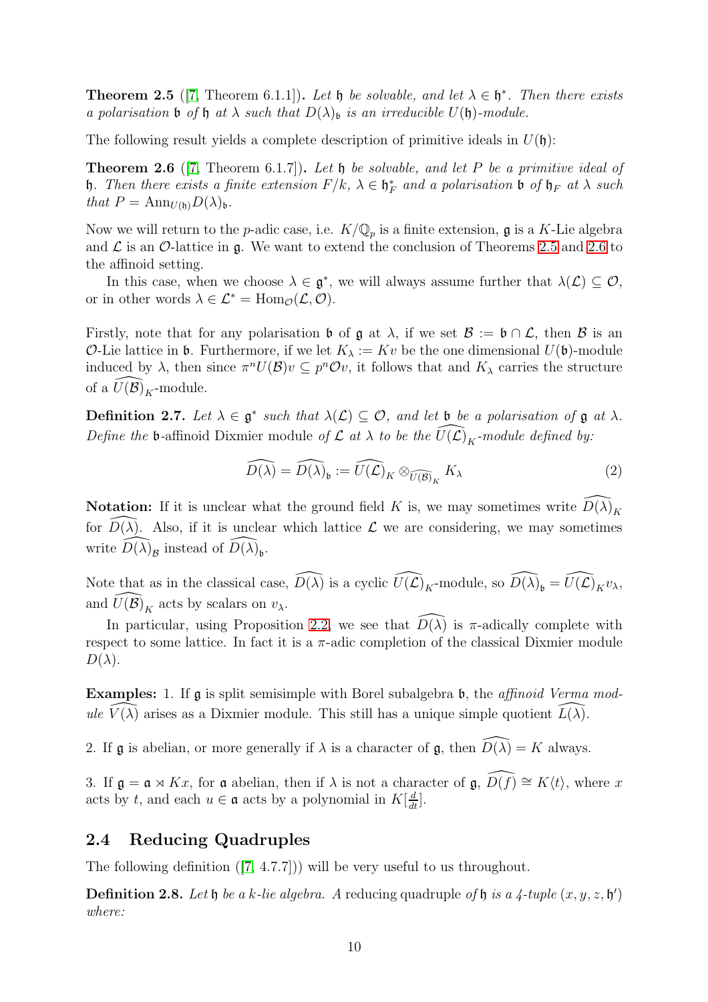<span id="page-9-1"></span>**Theorem 2.5** ([\[7,](#page-50-0) Theorem 6.1.1]). Let  $\mathfrak{h}$  be solvable, and let  $\lambda \in \mathfrak{h}^*$ . Then there exists a polarisation **b** of **h** at  $\lambda$  such that  $D(\lambda)$ <sub>b</sub> is an irreducible  $U(\mathfrak{h})$ -module.

The following result yields a complete description of primitive ideals in  $U(\mathfrak{h})$ :

<span id="page-9-2"></span>**Theorem 2.6** ([\[7,](#page-50-0) Theorem 6.1.7]). Let  $\mathfrak h$  be solvable, and let P be a primitive ideal of b. Then there exists a finite extension  $F/k$ ,  $\lambda \in \mathfrak{h}_F^*$  and a polarisation b of  $\mathfrak{h}_F$  at  $\lambda$  such that  $P = \text{Ann}_{U(\mathfrak{h})}D(\lambda)_{\mathfrak{h}}$ .

Now we will return to the p-adic case, i.e.  $K/\mathbb{Q}_p$  is a finite extension, g is a K-Lie algebra and  $\mathcal L$  is an  $\mathcal O$ -lattice in g. We want to extend the conclusion of Theorems [2.5](#page-9-1) and [2.6](#page-9-2) to the affinoid setting.

In this case, when we choose  $\lambda \in \mathfrak{g}^*$ , we will always assume further that  $\lambda(\mathcal{L}) \subseteq \mathcal{O}$ , or in other words  $\lambda \in \mathcal{L}^* = \text{Hom}_{\mathcal{O}}(\mathcal{L}, \mathcal{O}).$ 

Firstly, note that for any polarisation b of  $\mathfrak{g}$  at  $\lambda$ , if we set  $\mathcal{B} := \mathfrak{b} \cap \mathcal{L}$ , then  $\mathcal{B}$  is an *O*-Lie lattice in **b**. Furthermore, if we let  $K_{\lambda} := Kv$  be the one dimensional  $U(\mathfrak{b})$ -module induced by  $\lambda$ , then since  $\pi^n U(\mathcal{B})v \subseteq p^n \mathcal{O}v$ , it follows that and  $K_\lambda$  carries the structure of a  $\widehat{U(\mathcal{B})}_K$ -module.

**Definition 2.7.** Let  $\lambda \in \mathfrak{g}^*$  such that  $\lambda(\mathcal{L}) \subseteq \mathcal{O}$ , and let b be a polarisation of  $\mathfrak{g}$  at  $\lambda$ . Define the b-affinoid Dixmier module of  $\mathcal L$  at  $\lambda$  to be the  $\widehat{U}(\mathcal{L})_K$ -module defined by:

$$
\widehat{D(\lambda)} = \widehat{D(\lambda)}_{\mathfrak{b}} := \widehat{U(\mathcal{L})}_K \otimes_{\widehat{U(\mathcal{B})}_K} K_{\lambda}
$$
 (2)

**Notation:** If it is unclear what the ground field K is, we may sometimes write  $\widehat{D(\lambda)}_K$ for  $\overline{D(\lambda)}$ . Also, if it is unclear which lattice  $\mathcal L$  we are considering, we may sometimes write  $\widehat{D(\lambda)}_{\mathcal{B}}$  instead of  $\widehat{D(\lambda)}_{\mathfrak{b}}$ .

Note that as in the classical case,  $\widehat{D(\lambda)}$  is a cyclic  $\widehat{U(\mathcal{L})}_K$ -module, so  $\widehat{D(\lambda)}_b = \widehat{U(\mathcal{L})}_K v_\lambda$ , and  $\widehat{U(\mathcal{B})}_K$  acts by scalars on  $v_\lambda$ .

In particular, using Proposition [2.2,](#page-7-1) we see that  $D(\lambda)$  is  $\pi$ -adically complete with respect to some lattice. In fact it is a  $\pi$ -adic completion of the classical Dixmier module  $D(\lambda)$ .

Examples: 1. If g is split semisimple with Borel subalgebra b, the *affinoid Verma mod*ule  $V(\lambda)$  arises as a Dixmier module. This still has a unique simple quotient  $L(\lambda)$ .

2. If g is abelian, or more generally if  $\lambda$  is a character of g, then  $\widehat{D(\lambda)} = K$  always.

3. If  $\mathfrak{g} = \mathfrak{a} \rtimes Kx$ , for  $\mathfrak{a}$  abelian, then if  $\lambda$  is not a character of  $\mathfrak{g}, \widehat{D(f)} \cong K\langle t \rangle$ , where x acts by t, and each  $u \in \mathfrak{a}$  acts by a polynomial in  $K[\frac{d}{dt}]$ .

## <span id="page-9-0"></span>2.4 Reducing Quadruples

The following definition ([\[7,](#page-50-0) 4.7.7])) will be very useful to us throughout.

**Definition 2.8.** Let  $\mathfrak h$  be a k-lie algebra. A reducing quadruple of  $\mathfrak h$  is a 4-tuple  $(x, y, z, \mathfrak h')$ where: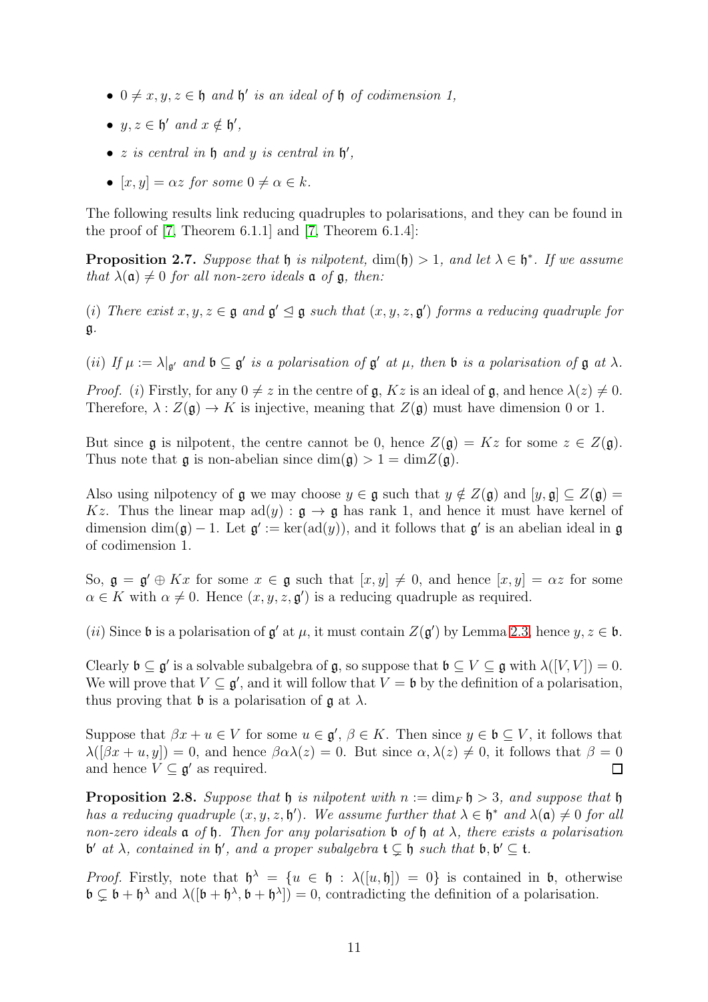- $0 \neq x, y, z \in \mathfrak{h}$  and  $\mathfrak{h}'$  is an ideal of  $\mathfrak{h}$  of codimension 1,
- $y, z \in \mathfrak{h}'$  and  $x \notin \mathfrak{h}'$ ,
- $z$  is central in  $\mathfrak h$  and  $y$  is central in  $\mathfrak h'$ ,
- $[x, y] = \alpha z$  for some  $0 \neq \alpha \in k$ .

The following results link reducing quadruples to polarisations, and they can be found in the proof of  $[7,$  Theorem 6.1.1] and  $[7,$  Theorem 6.1.4]:

<span id="page-10-0"></span>**Proposition 2.7.** Suppose that  $\mathfrak{h}$  is nilpotent,  $\dim(\mathfrak{h}) > 1$ , and let  $\lambda \in \mathfrak{h}^*$ . If we assume that  $\lambda(\mathfrak{a}) \neq 0$  for all non-zero ideals  $\mathfrak{a}$  of  $\mathfrak{g}$ , then:

(i) There exist  $x, y, z \in \mathfrak{g}$  and  $\mathfrak{g}' \leq \mathfrak{g}$  such that  $(x, y, z, \mathfrak{g}')$  forms a reducing quadruple for g.

(ii) If  $\mu := \lambda |_{\mathfrak{g}'}$  and  $\mathfrak{b} \subseteq \mathfrak{g'}$  is a polarisation of  $\mathfrak{g'}$  at  $\mu$ , then  $\mathfrak{b}$  is a polarisation of  $\mathfrak{g}$  at  $\lambda$ .

*Proof.* (i) Firstly, for any  $0 \neq z$  in the centre of  $\mathfrak{g}$ ,  $Kz$  is an ideal of  $\mathfrak{g}$ , and hence  $\lambda(z) \neq 0$ . Therefore,  $\lambda : Z(\mathfrak{g}) \to K$  is injective, meaning that  $Z(\mathfrak{g})$  must have dimension 0 or 1.

But since g is nilpotent, the centre cannot be 0, hence  $Z(\mathfrak{g}) = Kz$  for some  $z \in Z(\mathfrak{g})$ . Thus note that **g** is non-abelian since  $\dim(g) > 1 = \dim Z(g)$ .

Also using nilpotency of g we may choose  $y \in \mathfrak{g}$  such that  $y \notin Z(\mathfrak{g})$  and  $[y, \mathfrak{g}] \subseteq Z(\mathfrak{g}) =$ Kz. Thus the linear map  $ad(y) : \mathfrak{g} \to \mathfrak{g}$  has rank 1, and hence it must have kernel of dimension  $\dim(\mathfrak{g}) - 1$ . Let  $\mathfrak{g}' := \ker(\text{ad}(y))$ , and it follows that  $\mathfrak{g}'$  is an abelian ideal in  $\mathfrak{g}$ of codimension 1.

So,  $\mathfrak{g} = \mathfrak{g}' \oplus Kx$  for some  $x \in \mathfrak{g}$  such that  $[x, y] \neq 0$ , and hence  $[x, y] = \alpha z$  for some  $\alpha \in K$  with  $\alpha \neq 0$ . Hence  $(x, y, z, \mathfrak{g}')$  is a reducing quadruple as required.

(*ii*) Since **b** is a polarisation of  $\mathfrak{g}'$  at  $\mu$ , it must contain  $Z(\mathfrak{g}')$  by Lemma [2.3,](#page-7-2) hence  $y, z \in \mathfrak{b}$ .

Clearly  $\mathfrak{b} \subseteq \mathfrak{g}'$  is a solvable subalgebra of  $\mathfrak{g}$ , so suppose that  $\mathfrak{b} \subseteq V \subseteq \mathfrak{g}$  with  $\lambda([V, V]) = 0$ . We will prove that  $V \subseteq \mathfrak{g}'$ , and it will follow that  $V = \mathfrak{b}$  by the definition of a polarisation, thus proving that **b** is a polarisation of  $\mathfrak{g}$  at  $\lambda$ .

Suppose that  $\beta x + u \in V$  for some  $u \in \mathfrak{g}'$ ,  $\beta \in K$ . Then since  $y \in \mathfrak{b} \subseteq V$ , it follows that  $\lambda([\beta x + u, y]) = 0$ , and hence  $\beta \alpha \lambda(z) = 0$ . But since  $\alpha, \lambda(z) \neq 0$ , it follows that  $\beta = 0$ and hence  $V \subseteq \mathfrak{g}'$  as required.  $\Box$ 

<span id="page-10-1"></span>**Proposition 2.8.** Suppose that  $\mathfrak{h}$  is nilpotent with  $n := \dim_F \mathfrak{h} > 3$ , and suppose that  $\mathfrak{h}$ has a reducing quadruple  $(x, y, z, \mathfrak{h}')$ . We assume further that  $\lambda \in \mathfrak{h}^*$  and  $\lambda(\mathfrak{a}) \neq 0$  for all non-zero ideals  $\mathfrak a$  of  $\mathfrak h$ . Then for any polarisation  $\mathfrak b$  of  $\mathfrak h$  at  $\lambda$ , there exists a polarisation b' at  $\lambda$ , contained in  $\mathfrak{h}'$ , and a proper subalgebra  $\mathfrak{t} \subsetneq \mathfrak{h}$  such that  $\mathfrak{b}, \mathfrak{b}' \subseteq \mathfrak{t}$ .

*Proof.* Firstly, note that  $\mathfrak{h}^{\lambda} = \{u \in \mathfrak{h} : \lambda([u, \mathfrak{h}]) = 0\}$  is contained in  $\mathfrak{b}$ , otherwise  $\mathfrak{b} \subsetneq \mathfrak{b} + \mathfrak{h}^{\lambda}$  and  $\lambda([\mathfrak{b} + \mathfrak{h}^{\lambda}, \mathfrak{b} + \mathfrak{h}^{\lambda}]) = 0$ , contradicting the definition of a polarisation.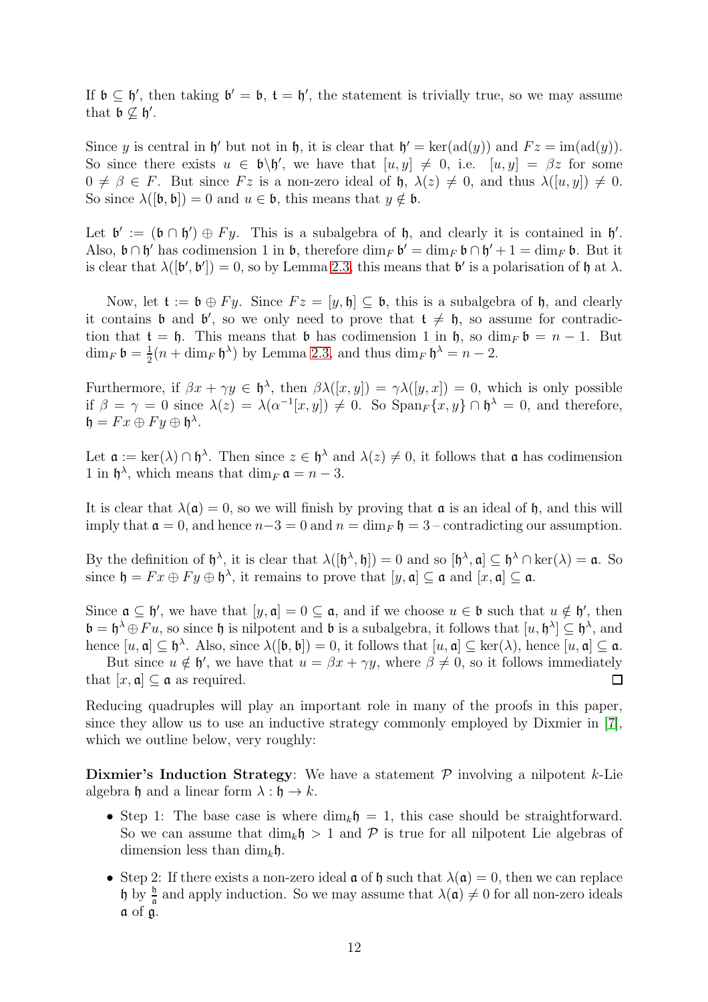If  $\mathfrak{b} \subseteq \mathfrak{h}'$ , then taking  $\mathfrak{b}' = \mathfrak{b}$ ,  $\mathfrak{t} = \mathfrak{h}'$ , the statement is trivially true, so we may assume that  $\mathfrak{b} \nsubseteq \mathfrak{h}'$ .

Since y is central in  $\mathfrak{h}'$  but not in  $\mathfrak{h}$ , it is clear that  $\mathfrak{h}' = \text{ker}(\text{ad}(y))$  and  $Fz = \text{im}(\text{ad}(y))$ . So since there exists  $u \in \mathfrak{b} \backslash \mathfrak{h}'$ , we have that  $[u, y] \neq 0$ , i.e.  $[u, y] = \beta z$  for some  $0 \neq \beta \in F$ . But since  $Fz$  is a non-zero ideal of  $\mathfrak{h}, \lambda(z) \neq 0$ , and thus  $\lambda([u, y]) \neq 0$ . So since  $\lambda([\mathfrak{b}, \mathfrak{b}]) = 0$  and  $u \in \mathfrak{b}$ , this means that  $y \notin \mathfrak{b}$ .

Let  $\mathfrak{b}' := (\mathfrak{b} \cap \mathfrak{h}') \oplus Fy$ . This is a subalgebra of  $\mathfrak{h}$ , and clearly it is contained in  $\mathfrak{h}'$ . Also,  $\mathfrak{b} \cap \mathfrak{h}'$  has codimension 1 in  $\mathfrak{b}$ , therefore  $\dim_F \mathfrak{b}' = \dim_F \mathfrak{b} \cap \mathfrak{h}' + 1 = \dim_F \mathfrak{b}$ . But it is clear that  $\lambda([\mathfrak{b}', \mathfrak{b}']) = 0$ , so by Lemma [2.3,](#page-7-2) this means that  $\mathfrak{b}'$  is a polarisation of  $\mathfrak{h}$  at  $\lambda$ .

Now, let  $\mathfrak{t} := \mathfrak{b} \oplus F y$ . Since  $Fz = [y, \mathfrak{h}] \subseteq \mathfrak{b}$ , this is a subalgebra of  $\mathfrak{h}$ , and clearly it contains **b** and **b'**, so we only need to prove that  $t \neq 0$ , so assume for contradiction that  $t = \mathfrak{h}$ . This means that  $\mathfrak b$  has codimension 1 in  $\mathfrak h$ , so  $\dim_F \mathfrak b = n - 1$ . But  $\dim_F \mathfrak{b} = \frac{1}{2}$  $\frac{1}{2}(n + \dim_F \mathfrak{h}^{\lambda})$  by Lemma [2.3,](#page-7-2) and thus  $\dim_F \mathfrak{h}^{\lambda} = n - 2$ .

Furthermore, if  $\beta x + \gamma y \in \mathfrak{h}^{\lambda}$ , then  $\beta \lambda([x, y]) = \gamma \lambda([y, x]) = 0$ , which is only possible if  $\beta = \gamma = 0$  since  $\lambda(z) = \lambda(\alpha^{-1}[x, y]) \neq 0$ . So  $\text{Span}_F\{x, y\} \cap \mathfrak{h}^{\lambda} = 0$ , and therefore,  $\mathfrak{h}=Fx\oplus Fy\oplus \mathfrak{h}^{\lambda}.$ 

Let  $\mathfrak{a} := \ker(\lambda) \cap \mathfrak{h}^{\lambda}$ . Then since  $z \in \mathfrak{h}^{\lambda}$  and  $\lambda(z) \neq 0$ , it follows that  $\mathfrak{a}$  has codimension 1 in  $\mathfrak{h}^{\lambda}$ , which means that  $\dim_F \mathfrak{a} = n - 3$ .

It is clear that  $\lambda(\mathfrak{a}) = 0$ , so we will finish by proving that  $\mathfrak{a}$  is an ideal of  $\mathfrak{h}$ , and this will imply that  $\mathfrak{a} = 0$ , and hence  $n-3 = 0$  and  $n = \dim_F \mathfrak{h} = 3$  – contradicting our assumption.

By the definition of  $\mathfrak{h}^{\lambda}$ , it is clear that  $\lambda([\mathfrak{h}^{\lambda},\mathfrak{h}])=0$  and so  $[\mathfrak{h}^{\lambda},\mathfrak{a}]\subseteq \mathfrak{h}^{\lambda}\cap \text{ker}(\lambda)=\mathfrak{a}$ . So since  $\mathfrak{h} = Fx \oplus Fy \oplus \mathfrak{h}^{\lambda}$ , it remains to prove that  $[y, \mathfrak{a}] \subseteq \mathfrak{a}$  and  $[x, \mathfrak{a}] \subseteq \mathfrak{a}$ .

Since  $\mathfrak{a} \subseteq \mathfrak{h}'$ , we have that  $[y, \mathfrak{a}] = 0 \subseteq \mathfrak{a}$ , and if we choose  $u \in \mathfrak{b}$  such that  $u \notin \mathfrak{h}'$ , then  $\mathfrak{b} = \mathfrak{h}^{\lambda} \oplus Fu$ , so since  $\mathfrak{h}$  is nilpotent and  $\mathfrak{b}$  is a subalgebra, it follows that  $[u, \mathfrak{h}^{\lambda}] \subseteq \mathfrak{h}^{\lambda}$ , and hence  $[u, \mathfrak{a}] \subseteq \mathfrak{h}^{\lambda}$ . Also, since  $\lambda([\mathfrak{b}, \mathfrak{b}]) = 0$ , it follows that  $[u, \mathfrak{a}] \subseteq \ker(\lambda)$ , hence  $[u, \mathfrak{a}] \subseteq \mathfrak{a}$ .

But since  $u \notin \mathfrak{h}'$ , we have that  $u = \beta x + \gamma y$ , where  $\beta \neq 0$ , so it follows immediately that  $[x, \mathfrak{a}] \subset \mathfrak{a}$  as required.  $\Box$ 

Reducing quadruples will play an important role in many of the proofs in this paper, since they allow us to use an inductive strategy commonly employed by Dixmier in [\[7\]](#page-50-0), which we outline below, very roughly:

Dixmier's Induction Strategy: We have a statement  $P$  involving a nilpotent k-Lie algebra h and a linear form  $\lambda : \mathfrak{h} \to k$ .

- Step 1: The base case is where  $\dim_k \mathfrak{h} = 1$ , this case should be straightforward. So we can assume that  $\dim_k \mathfrak{h} > 1$  and P is true for all nilpotent Lie algebras of dimension less than  $\dim_k \mathfrak{h}$ .
- Step 2: If there exists a non-zero ideal  $\mathfrak a$  of  $\mathfrak h$  such that  $\lambda(\mathfrak a)=0$ , then we can replace h by  $\frac{h}{a}$  and apply induction. So we may assume that  $\lambda(\mathfrak{a})\neq 0$  for all non-zero ideals a of g.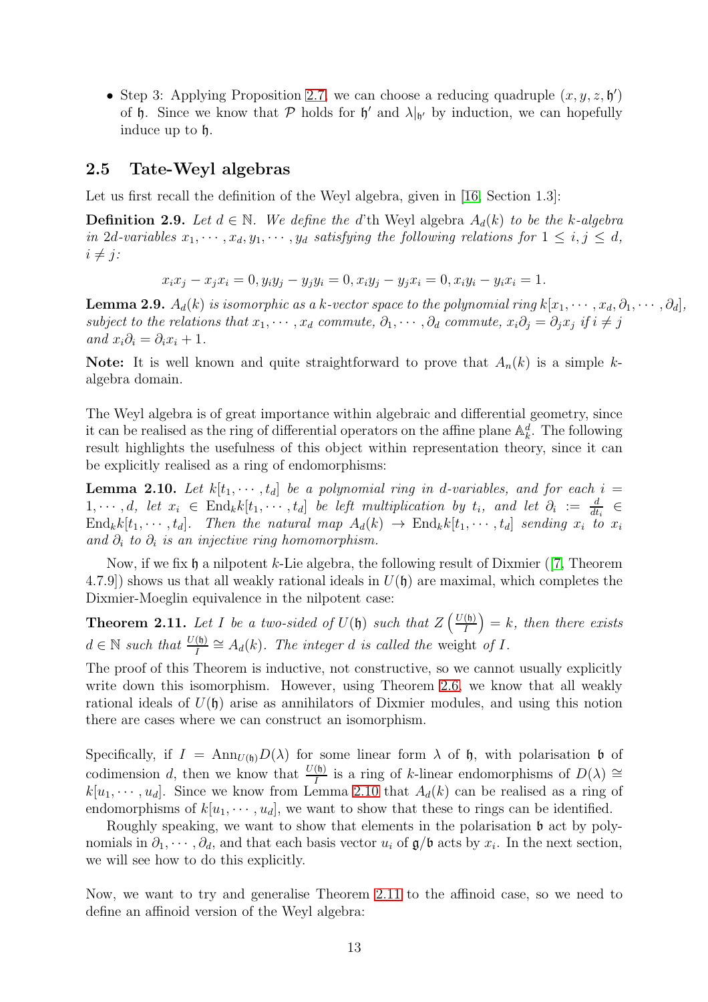• Step 3: Applying Proposition [2.7,](#page-10-0) we can choose a reducing quadruple  $(x, y, z, \mathfrak{h}')$ of h. Since we know that P holds for  $\mathfrak{h}'$  and  $\lambda|_{\mathfrak{h}'}$  by induction, we can hopefully induce up to h.

#### <span id="page-12-0"></span>2.5 Tate-Weyl algebras

Let us first recall the definition of the Weyl algebra, given in [\[16,](#page-51-0) Section 1.3]:

**Definition 2.9.** Let  $d \in \mathbb{N}$ . We define the d'th Weyl algebra  $A_d(k)$  to be the k-algebra in 2d-variables  $x_1, \dots, x_d, y_1, \dots, y_d$  satisfying the following relations for  $1 \leq i, j \leq d$ ,  $i \neq j$ :

$$
x_i x_j - x_j x_i = 0, y_i y_j - y_j y_i = 0, x_i y_j - y_j x_i = 0, x_i y_i - y_i x_i = 1.
$$

**Lemma 2.9.**  $A_d(k)$  is isomorphic as a k-vector space to the polynomial ring  $k[x_1, \dots, x_d, \partial_1, \dots, \partial_d]$ , subject to the relations that  $x_1, \dots, x_d$  commute,  $\partial_1, \dots, \partial_d$  commute,  $x_i \partial_j = \partial_j x_j$  if  $i \neq j$ and  $x_i\partial_i = \partial_i x_i + 1$ .

**Note:** It is well known and quite straightforward to prove that  $A_n(k)$  is a simple kalgebra domain.

The Weyl algebra is of great importance within algebraic and differential geometry, since it can be realised as the ring of differential operators on the affine plane  $\mathbb{A}_k^d$ . The following result highlights the usefulness of this object within representation theory, since it can be explicitly realised as a ring of endomorphisms:

<span id="page-12-1"></span>**Lemma 2.10.** Let  $k[t_1, \dots, t_d]$  be a polynomial ring in d-variables, and for each  $i =$  $1, \dots, d$ , let  $x_i \in \text{End}_k k[t_1, \dots, t_d]$  be left multiplication by  $t_i$ , and let  $\partial_i := \frac{d}{dt_i} \in$  $\text{End}_k k[t_1, \dots, t_d].$  Then the natural map  $A_d(k) \to \text{End}_k k[t_1, \dots, t_d]$  sending  $x_i$  to  $x_i$ and  $\partial_i$  to  $\partial_i$  is an injective ring homomorphism.

Now, if we fix  $\mathfrak h$  a nilpotent k-Lie algebra, the following result of Dixmier ([\[7,](#page-50-0) Theorem 4.7.9]) shows us that all weakly rational ideals in  $U(\mathfrak{h})$  are maximal, which completes the Dixmier-Moeglin equivalence in the nilpotent case:

<span id="page-12-2"></span>**Theorem 2.11.** Let I be a two-sided of  $U(\mathfrak{h})$  such that  $Z\left(\frac{U(\mathfrak{h})}{I}\right)$ I  $= k$ , then there exists  $d \in \mathbb{N}$  such that  $\frac{U(\mathfrak{h})}{I} \cong A_d(k)$ . The integer d is called the weight of I.

The proof of this Theorem is inductive, not constructive, so we cannot usually explicitly write down this isomorphism. However, using Theorem [2.6,](#page-9-2) we know that all weakly rational ideals of  $U(\mathfrak{h})$  arise as annihilators of Dixmier modules, and using this notion there are cases where we can construct an isomorphism.

Specifically, if  $I = \text{Ann}_{U(\mathfrak{h})}D(\lambda)$  for some linear form  $\lambda$  of  $\mathfrak{h}$ , with polarisation  $\mathfrak{b}$  of codimension d, then we know that  $\frac{U(\mathfrak{h})}{I}$  is a ring of k-linear endomorphisms of  $D(\lambda) \cong$  $k[u_1, \dots, u_d]$ . Since we know from Lemma [2.10](#page-12-1) that  $A_d(k)$  can be realised as a ring of endomorphisms of  $k[u_1, \dots, u_d]$ , we want to show that these to rings can be identified.

Roughly speaking, we want to show that elements in the polarisation  $\mathfrak b$  act by polynomials in  $\partial_1, \cdots, \partial_d$ , and that each basis vector  $u_i$  of  $\mathfrak{g}/\mathfrak{b}$  acts by  $x_i$ . In the next section, we will see how to do this explicitly.

Now, we want to try and generalise Theorem [2.11](#page-12-2) to the affinoid case, so we need to define an affinoid version of the Weyl algebra: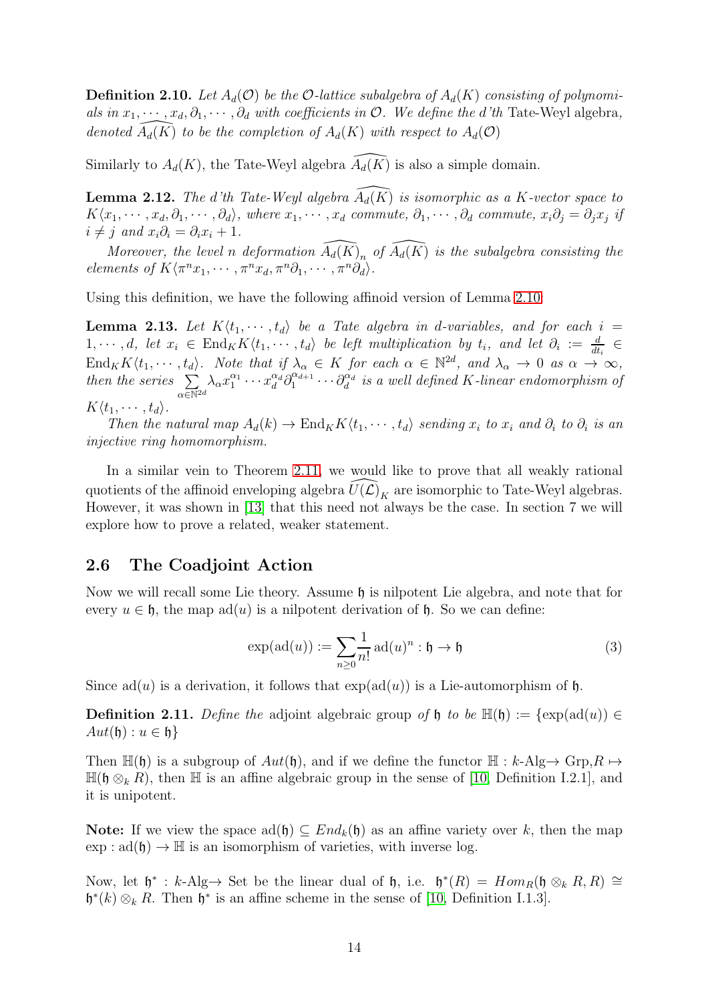**Definition 2.10.** Let  $A_d(\mathcal{O})$  be the O-lattice subalgebra of  $A_d(K)$  consisting of polynomials in  $x_1, \dots, x_d, \partial_1, \dots, \partial_d$  with coefficients in  $\mathcal{O}$ . We define the d'th Tate-Weyl algebra, denoted  $\widehat{A_d(K)}$  to be the completion of  $A_d(K)$  with respect to  $A_d(\mathcal{O})$ 

Similarly to  $A_d(K)$ , the Tate-Weyl algebra  $\widehat{A_d(K)}$  is also a simple domain.

**Lemma 2.12.** The d'th Tate-Weyl algebra  $\widehat{A_d(K)}$  is isomorphic as a K-vector space to  $K\langle x_1,\cdots,x_d,\partial_1,\cdots,\partial_d\rangle$ , where  $x_1,\cdots,x_d$  commute,  $\partial_1,\cdots,\partial_d$  commute,  $x_i\partial_j=\partial_jx_j$  if  $i \neq j$  and  $x_i \partial_i = \partial_i x_i + 1$ .

Moreover, the level n deformation  $\widehat{A_d(K)}_n$  of  $\widehat{A_d(K)}$  is the subalgebra consisting the elements of  $K\langle \pi^n x_1, \cdots, \pi^n x_d, \pi^n \partial_1, \cdots, \pi^n \partial_d \rangle$ .

Using this definition, we have the following affinoid version of Lemma [2.10:](#page-12-1)

<span id="page-13-1"></span>**Lemma 2.13.** Let  $K\langle t_1, \dots, t_d \rangle$  be a Tate algebra in d-variables, and for each i =  $1,\dots,d$ , let  $x_i \in \text{End}_K K\langle t_1,\dots,t_d \rangle$  be left multiplication by  $t_i$ , and let  $\partial_i := \frac{d}{dt_i} \in$  $dt_i$  $\text{End}_K K\langle t_1,\cdots,t_d\rangle$ . Note that if  $\lambda_\alpha \in K$  for each  $\alpha \in \mathbb{N}^{2d}$ , and  $\lambda_\alpha \to 0$  as  $\alpha \to \infty$ , then the series  $\Sigma$  $\alpha \in \mathbb{N}^{2d}$  $\lambda_{\alpha} x_1^{\alpha_1} \cdots x_d^{\alpha_d} \partial_1^{\alpha_{d+1}}$  $\hat{q}_1^{\alpha_{d+1}}\cdots\hat{q}_d^{\alpha_d}$  is a well defined K-linear endomorphism of  $K\langle t_1, \cdots, t_d \rangle$ .

Then the natural map  $A_d(k) \to \text{End}_K K\langle t_1, \cdots, t_d \rangle$  sending  $x_i$  to  $x_i$  and  $\partial_i$  to  $\partial_i$  is an injective ring homomorphism.

In a similar vein to Theorem [2.11,](#page-12-2) we would like to prove that all weakly rational quotients of the affinoid enveloping algebra  $\widehat{U(\mathcal{L})}_K$  are isomorphic to Tate-Weyl algebras. However, it was shown in [\[13\]](#page-51-2) that this need not always be the case. In section 7 we will explore how to prove a related, weaker statement.

#### <span id="page-13-0"></span>2.6 The Coadjoint Action

Now we will recall some Lie theory. Assume  $\mathfrak h$  is nilpotent Lie algebra, and note that for every  $u \in \mathfrak{h}$ , the map ad(u) is a nilpotent derivation of  $\mathfrak{h}$ . So we can define:

$$
\exp(\mathrm{ad}(u)) := \sum_{n\geq 0} \frac{1}{n!} \mathrm{ad}(u)^n : \mathfrak{h} \to \mathfrak{h} \tag{3}
$$

Since  $ad(u)$  is a derivation, it follows that  $exp(ad(u))$  is a Lie-automorphism of h.

**Definition 2.11.** Define the adjoint algebraic group of h to be  $\mathbb{H}(\mathfrak{h}) := \{ \exp(\mathrm{ad}(u)) \in$  $Aut(\mathfrak{h}): u \in \mathfrak{h}$ 

Then  $\mathbb{H}(\mathfrak{h})$  is a subgroup of  $Aut(\mathfrak{h})$ , and if we define the functor  $\mathbb{H}: k\text{-Alg}\to \text{Grp}_1R \mapsto$  $\mathbb{H}(\mathfrak{h}\otimes_k R)$ , then  $\mathbb H$  is an affine algebraic group in the sense of [\[10,](#page-51-5) Definition I.2.1], and it is unipotent.

Note: If we view the space  $ad(f)$  ⊂  $End_k(f)$  as an affine variety over k, then the map  $\exp : \mathrm{ad}(\mathfrak{h}) \to \mathbb{H}$  is an isomorphism of varieties, with inverse log.

Now, let  $\mathfrak{h}^* : k$ -Alg $\rightarrow$  Set be the linear dual of  $\mathfrak{h}$ , i.e.  $\mathfrak{h}^*(R) = Hom_R(\mathfrak{h} \otimes_k R, R) \cong$  $\mathfrak{h}^*(k) \otimes_k R$ . Then  $\mathfrak{h}^*$  is an affine scheme in the sense of [\[10,](#page-51-5) Definition I.1.3].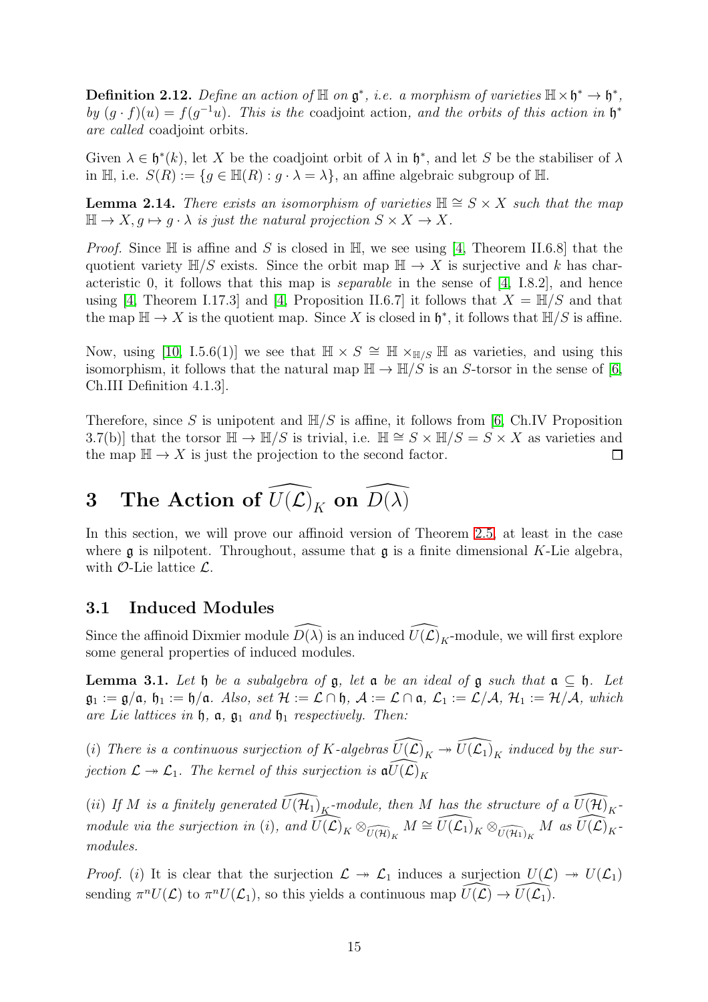**Definition 2.12.** Define an action of  $\mathbb{H}$  on  $\mathfrak{g}^*$ , *i.e.* a morphism of varieties  $\mathbb{H} \times \mathfrak{h}^* \to \mathfrak{h}^*$ , by  $(g \cdot f)(u) = f(g^{-1}u)$ . This is the coadjoint action, and the orbits of this action in  $\mathfrak{h}^*$ are called coadjoint orbits.

Given  $\lambda \in \mathfrak{h}^*(k)$ , let X be the coadjoint orbit of  $\lambda$  in  $\mathfrak{h}^*$ , and let S be the stabiliser of  $\lambda$ in H, i.e.  $S(R) := \{ g \in \mathbb{H}(R) : g \cdot \lambda = \lambda \}$ , an affine algebraic subgroup of H.

<span id="page-14-3"></span>**Lemma 2.14.** There exists an isomorphism of varieties  $\mathbb{H} \cong S \times X$  such that the map  $\mathbb{H} \to X, g \mapsto g \cdot \lambda$  is just the natural projection  $S \times X \to X$ .

*Proof.* Since  $\mathbb H$  is affine and S is closed in  $\mathbb H$ , we see using [\[4,](#page-50-5) Theorem II.6.8] that the quotient variety  $\mathbb{H}/S$  exists. Since the orbit map  $\mathbb{H} \to X$  is surjective and k has characteristic 0, it follows that this map is *separable* in the sense of  $[4, 1.8.2]$ , and hence using [\[4,](#page-50-5) Theorem I.17.3] and [4, Proposition II.6.7] it follows that  $X = \mathbb{H}/S$  and that the map  $\mathbb{H} \to X$  is the quotient map. Since X is closed in  $\mathfrak{h}^*$ , it follows that  $\mathbb{H}/S$  is affine.

Now, using [\[10,](#page-51-5) I.5.6(1)] we see that  $\mathbb{H} \times S \cong \mathbb{H} \times_{\mathbb{H}/S} \mathbb{H}$  as varieties, and using this isomorphism, it follows that the natural map  $\mathbb{H} \to \mathbb{H}/S$  is an S-torsor in the sense of [\[6,](#page-50-6) Ch.III Definition 4.1.3].

Therefore, since S is unipotent and  $H/S$  is affine, it follows from [\[6,](#page-50-6) Ch.IV Proposition 3.7(b)] that the torsor  $\mathbb{H} \to \mathbb{H}/S$  is trivial, i.e.  $\mathbb{H} \cong S \times \mathbb{H}/S = S \times X$  as varieties and the map  $\mathbb{H} \to X$  is just the projection to the second factor.  $\Box$ 

# <span id="page-14-0"></span>3 The Action of  $\widehat{U(\mathcal{L})}_K$  on  $\widehat{D(\lambda)}$

In this section, we will prove our affinoid version of Theorem [2.5,](#page-9-1) at least in the case where  $\mathfrak g$  is nilpotent. Throughout, assume that  $\mathfrak g$  is a finite dimensional K-Lie algebra, with  $\mathcal{O}$ -Lie lattice  $\mathcal{L}$ .

## <span id="page-14-1"></span>3.1 Induced Modules

Since the affinoid Dixmier module  $\widehat{D(\lambda)}$  is an induced  $\widehat{U(\mathcal{L})}_K$ -module, we will first explore some general properties of induced modules.

<span id="page-14-2"></span>Lemma 3.1. Let  $\mathfrak h$  be a subalgebra of  $\mathfrak g$ , let  $\mathfrak a$  be an ideal of  $\mathfrak g$  such that  $\mathfrak a \subseteq \mathfrak h$ . Let  $\mathfrak{g}_1 := \mathfrak{g}/\mathfrak{a}, \mathfrak{h}_1 := \mathfrak{h}/\mathfrak{a}.$  Also, set  $\mathcal{H} := \mathcal{L} \cap \mathfrak{h}, \mathcal{A} := \mathcal{L} \cap \mathfrak{a}, \mathcal{L}_1 := \mathcal{L}/\mathcal{A}, \mathcal{H}_1 := \mathcal{H}/\mathcal{A},$  which are Lie lattices in  $\mathfrak{h}$ ,  $\mathfrak{a}$ ,  $\mathfrak{g}_1$  and  $\mathfrak{h}_1$  respectively. Then:

(i) There is a continuous surjection of K-algebras  $\widehat{U(\mathcal{L})}_K \twoheadrightarrow \widehat{U(\mathcal{L}_1)}_K$  induced by the surjection  $\mathcal{L} \twoheadrightarrow \mathcal{L}_1$ . The kernel of this surjection is  $\widehat{\mathfrak{gl}(\mathcal{L})}_K$ 

(ii) If M is a finitely generated  $\widehat{U(\mathcal{H}_1)}_K$ -module, then M has the structure of a  $\widehat{U(\mathcal{H})}_K$ module via the surjection in (i), and  $\widehat{U(\mathcal{L})}_K \otimes_{\widehat{U(\mathcal{H})}_K} M \cong \widehat{U(\mathcal{L})}_K \otimes_{\widehat{U(\mathcal{H}_1)}_K} M$  as  $\widehat{U(\mathcal{L})}_K$ modules.

*Proof.* (i) It is clear that the surjection  $\mathcal{L} \rightarrow \mathcal{L}_1$  induces a surjection  $U(\mathcal{L}) \rightarrow U(\mathcal{L}_1)$ sending  $\pi^n U(\mathcal{L})$  to  $\pi^n U(\mathcal{L}_1)$ , so this yields a continuous map  $\widehat{U(\mathcal{L})} \to \widehat{U(\mathcal{L}_1)}$ .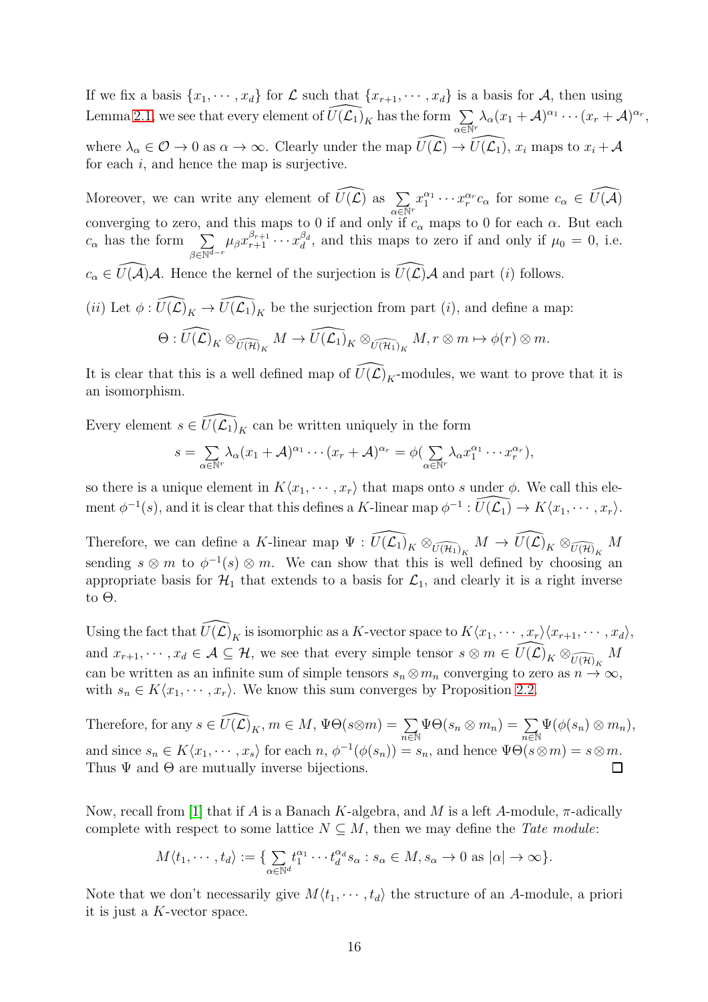If we fix a basis  $\{x_1, \dots, x_d\}$  for  $\mathcal L$  such that  $\{x_{r+1}, \dots, x_d\}$  is a basis for  $\mathcal A$ , then using Lemma [2.1,](#page-6-1) we see that every element of  $\widehat{U(\mathcal{L}_1)}_K$  has the form  $\sum_{\alpha \in \mathbb{N}^r}$  $\lambda_\alpha (x_1 + \mathcal{A})^{\alpha_1} \cdots (x_r + \mathcal{A})^{\alpha_r},$ where  $\lambda_{\alpha} \in \mathcal{O} \to 0$  as  $\alpha \to \infty$ . Clearly under the map  $\widehat{U(\mathcal{L})} \to \widehat{U(\mathcal{L}_1)}$ ,  $x_i$  maps to  $x_i + \mathcal{A}$ for each  $i$ , and hence the map is surjective.

Moreover, we can write any element of  $\widehat{U(\mathcal{L})}$  as  $\Sigma$  $\alpha \overline{\in} \mathbb{N}^r$  $x_1^{\alpha_1} \cdots x_r^{\alpha_r} c_{\alpha}$  for some  $c_{\alpha} \in \widehat{U(A)}$ converging to zero, and this maps to 0 if and only if  $c_{\alpha}$  maps to 0 for each  $\alpha$ . But each  $c_{\alpha}$  has the form  $\sum$  $\beta \in \overline{\mathbb{N}^{d-r}}$  $\mu_\beta x_{r+1}^{\beta_{r+1}} \cdots x_d^{\beta_d}$  $\frac{\beta d}{d}$ , and this maps to zero if and only if  $\mu_0 = 0$ , i.e.  $c_{\alpha} \in \widehat{U}(\mathcal{A})\mathcal{A}$ . Hence the kernel of the surjection is  $\widehat{U}(\mathcal{L})\mathcal{A}$  and part (i) follows. (*ii*) Let  $\phi: \widehat{U(\mathcal{L})}_K \to \widehat{U(\mathcal{L}_1)}_K$  be the surjection from part (*i*), and define a map:  $\Theta: \widehat{U(\mathcal{L})}_K \otimes_{\widehat{U(\mathcal{H})}_K} M \to \widehat{U(\mathcal{L}_1)}_K \otimes_{\widehat{U(\mathcal{H}_1)}_K} M, r \otimes m \mapsto \phi(r) \otimes m.$ 

It is clear that this is a well defined map of  $\widehat{U(\mathcal{L})}_K$ -modules, we want to prove that it is an isomorphism.

Every element  $s \in \widehat{U(\mathcal{L}_1)}_K$  can be written uniquely in the form

$$
s = \sum_{\alpha \in \mathbb{N}^r} \lambda_\alpha (x_1 + \mathcal{A})^{\alpha_1} \cdots (x_r + \mathcal{A})^{\alpha_r} = \phi \left( \sum_{\alpha \in \mathbb{N}^r} \lambda_\alpha x_1^{\alpha_1} \cdots x_r^{\alpha_r} \right),
$$

so there is a unique element in  $K\langle x_1, \dots, x_r \rangle$  that maps onto s under  $\phi$ . We call this element  $\phi^{-1}(s)$ , and it is clear that this defines a K-linear map  $\phi^{-1}: \widehat{U(\mathcal{L}_1)} \to K\langle x_1, \cdots, x_r \rangle$ .

Therefore, we can define a K-linear map  $\Psi: \widehat{U(\mathcal{L}_1)}_K \otimes_{\widehat{U(\mathcal{H}_1)}_K} M \to \widehat{U(\mathcal{L})}_K \otimes_{\widehat{U(\mathcal{H})}_K} M$ sending  $s \otimes m$  to  $\phi^{-1}(s) \otimes m$ . We can show that this is well defined by choosing an appropriate basis for  $\mathcal{H}_1$  that extends to a basis for  $\mathcal{L}_1$ , and clearly it is a right inverse to  $\Theta$ .

Using the fact that  $\widehat{U(\mathcal{L})}_K$  is isomorphic as a K-vector space to  $K\langle x_1, \cdots, x_r \rangle \langle x_{r+1}, \cdots, x_d \rangle$ , and  $x_{r+1}, \dots, x_d \in \mathcal{A} \subseteq \mathcal{H}$ , we see that every simple tensor  $s \otimes m \in \widehat{U(\mathcal{L})}_K \otimes_{\widehat{U(\mathcal{H})}_K} M$ can be written as an infinite sum of simple tensors  $s_n \otimes m_n$  converging to zero as  $n \to \infty$ , with  $s_n \in K\langle x_1, \cdots, x_r \rangle$ . We know this sum converges by Proposition [2.2.](#page-7-1)

Therefore, for any  $s \in \widehat{U(\mathcal{L})}_K$ ,  $m \in M$ ,  $\Psi \Theta(s \otimes m) = \sum_{n \in \mathbb{N}}$  $\Psi\Theta(s_n\otimes m_n)=\sum$  $\Psi(\phi(s_n)\otimes m_n),$  $\overline{n}$ ∈N and since  $s_n \in K\langle x_1, \cdots, x_s \rangle$  for each  $n, \phi^{-1}(\phi(s_n)) = s_n$ , and hence  $\Psi \Theta(s \otimes m) = s \otimes m$ . Thus  $\Psi$  and  $\Theta$  are mutually inverse bijections.  $\Box$ 

Now, recall from [\[1\]](#page-50-7) that if A is a Banach K-algebra, and M is a left A-module,  $\pi$ -adically complete with respect to some lattice  $N \subseteq M$ , then we may define the Tate module:

$$
M\langle t_1,\cdots,t_d\rangle:=\{\underset{\alpha\in\mathbb{N}^d}{\sum}t_1^{\alpha_1}\cdots t_d^{\alpha_d}s_{\alpha}:s_{\alpha}\in M, s_{\alpha}\to 0 \text{ as } |\alpha|\to\infty\}.
$$

Note that we don't necessarily give  $M(t_1, \dots, t_d)$  the structure of an A-module, a priori it is just a K-vector space.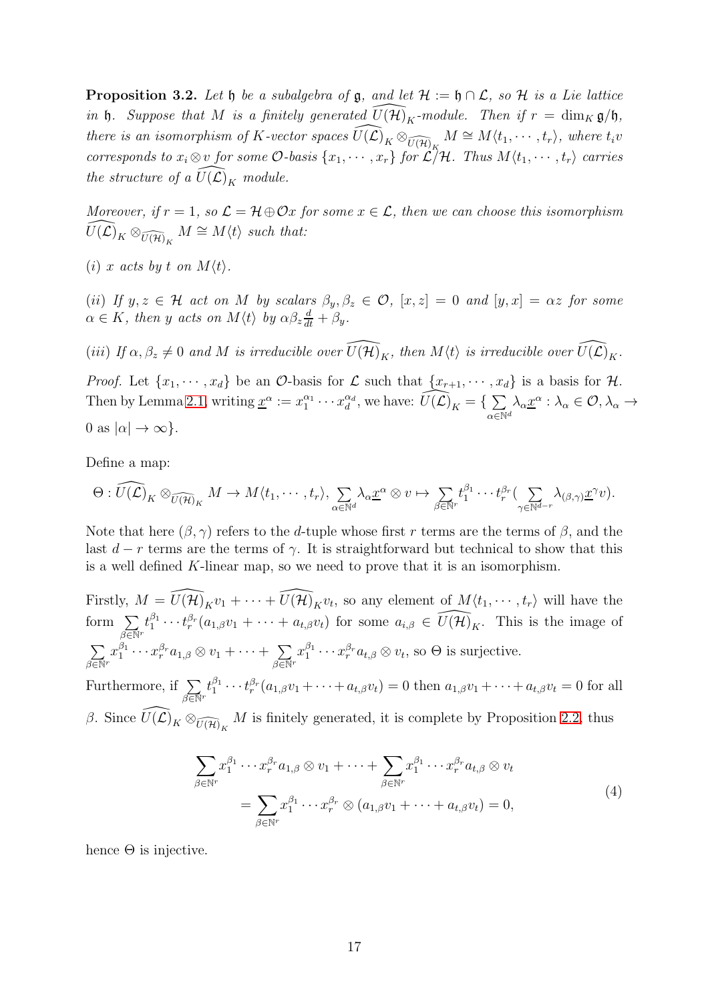<span id="page-16-0"></span>**Proposition 3.2.** Let  $\mathfrak{h}$  be a subalgebra of  $\mathfrak{g}$ , and let  $\mathcal{H} := \mathfrak{h} \cap \mathcal{L}$ , so  $\mathcal{H}$  is a Lie lattice in h. Suppose that M is a finitely generated  $\widehat{U(\mathcal{H})}_K$ -module. Then if  $r = \dim_K \mathfrak{g}/\mathfrak{h}$ , there is an isomorphism of K-vector spaces  $\widehat{U(\mathcal{L})}_K \otimes_{\widehat{U(\mathcal{H})}_K} M \cong M\langle t_1, \cdots, t_r \rangle$ , where  $t_i v$ corresponds to  $x_i \otimes v$  for some  $\mathcal{O}$ -basis  $\{x_1, \cdots, x_r\}$  for  $\mathcal{L}/\mathcal{H}$ . Thus  $M\langle t_1, \cdots, t_r\rangle$  carries the structure of a  $\widehat{U(\mathcal{L})}_K$  module.

Moreover, if  $r = 1$ , so  $\mathcal{L} = \mathcal{H} \oplus \mathcal{O}x$  for some  $x \in \mathcal{L}$ , then we can choose this isomorphism  $\widehat{U(\mathcal{L})}_K \otimes_{\widehat{U(\mathcal{H})}_K} M \cong M\langle t \rangle$  such that:

(i) x acts by t on  $M\langle t\rangle$ .

(ii) If  $y, z \in \mathcal{H}$  act on M by scalars  $\beta_y, \beta_z \in \mathcal{O}$ ,  $[x, z] = 0$  and  $[y, x] = \alpha z$  for some  $\alpha \in K$ , then y acts on  $M\langle t \rangle$  by  $\alpha \beta_z \frac{d}{dt} + \beta_y$ .

(iii) If  $\alpha, \beta_z \neq 0$  and M is irreducible over  $\widehat{U(\mathcal{H})}_K$ , then  $M\langle t \rangle$  is irreducible over  $\widehat{U(\mathcal{L})}_K$ .

*Proof.* Let  $\{x_1, \dots, x_d\}$  be an  $\mathcal{O}$ -basis for  $\mathcal{L}$  such that  $\{x_{r+1}, \dots, x_d\}$  is a basis for  $\mathcal{H}$ . Then by Lemma [2.1,](#page-6-1) writing  $\underline{x}^{\alpha} := x_1^{\alpha_1} \cdots x_d^{\alpha_d}$  $\det_d^{\alpha_d}$ , we have:  $\widehat{U(\mathcal{L})}_K = \{ \sum \}$  $\alpha \in \mathbb{N}^d$  $\lambda_{\alpha} \underline{x}^{\alpha} : \lambda_{\alpha} \in \mathcal{O}, \lambda_{\alpha} \rightarrow$ 0 as  $|\alpha| \to \infty$ .

Define a map:

$$
\Theta: \widehat{U(\mathcal{L})}_K \otimes_{\widehat{U(\mathcal{H})}_K} M \to M\langle t_1, \cdots, t_r \rangle, \sum_{\alpha \in \mathbb{N}^d} \lambda_{\alpha} \underline{x}^{\alpha} \otimes v \mapsto \sum_{\beta \in \mathbb{N}^r} t_1^{\beta_1} \cdots t_r^{\beta_r} (\sum_{\gamma \in \mathbb{N}^{d-r}} \lambda_{(\beta,\gamma)} \underline{x}^{\gamma} v).
$$

Note that here  $(\beta, \gamma)$  refers to the d-tuple whose first r terms are the terms of  $\beta$ , and the last  $d - r$  terms are the terms of  $\gamma$ . It is straightforward but technical to show that this is a well defined K-linear map, so we need to prove that it is an isomorphism.

Firstly,  $M = \widehat{U(\mathcal{H})}_K v_1 + \cdots + \widehat{U(\mathcal{H})}_K v_t$ , so any element of  $M\langle t_1, \cdots, t_r \rangle$  will have the form  $\sum$  $\beta \overline{\in} \mathbb{N}^r$  $t_1^{\beta_1}$  $i_1^{\beta_1} \cdots t_r^{\beta_r}(a_{1,\beta}v_1 + \cdots + a_{t,\beta}v_t)$  for some  $a_{i,\beta} \in \widehat{U(\mathcal{H})}_K$ . This is the image of  $\sum$  $\beta \overline{\in} \mathbb{N}^r$  $x_1^{\beta_1}$  $\frac{\beta_1}{1}\cdots x_r^{\beta_r}a_{1,\beta}\otimes v_1+\cdots+\sum_s$  $\beta \overline{\in} \mathbb{N}^r$  $x_1^{\beta_1}$  $i_1^{\beta_1} \cdots x_r^{\beta_r} a_{t,\beta} \otimes v_t$ , so  $\Theta$  is surjective.

Furthermore, if  $\Sigma$  $\beta \overline{\in} \mathbb{N}^r$  $t_1^{\beta_1}$  $i_1^{\beta_1} \cdots t_r^{\beta_r} (a_{1,\beta}v_1 + \cdots + a_{t,\beta}v_t) = 0$  then  $a_{1,\beta}v_1 + \cdots + a_{t,\beta}v_t = 0$  for all β. Since  $\widehat{U(\mathcal{L})}_K \otimes_{\widehat{U(\mathcal{H})}_K} M$  is finitely generated, it is complete by Proposition [2.2,](#page-7-1) thus

$$
\sum_{\beta \in \mathbb{N}^r} x_1^{\beta_1} \cdots x_r^{\beta_r} a_{1,\beta} \otimes v_1 + \cdots + \sum_{\beta \in \mathbb{N}^r} x_1^{\beta_1} \cdots x_r^{\beta_r} a_{t,\beta} \otimes v_t
$$
\n
$$
= \sum_{\beta \in \mathbb{N}^r} x_1^{\beta_1} \cdots x_r^{\beta_r} \otimes (a_{1,\beta} v_1 + \cdots + a_{t,\beta} v_t) = 0,
$$
\n(4)

hence  $\Theta$  is injective.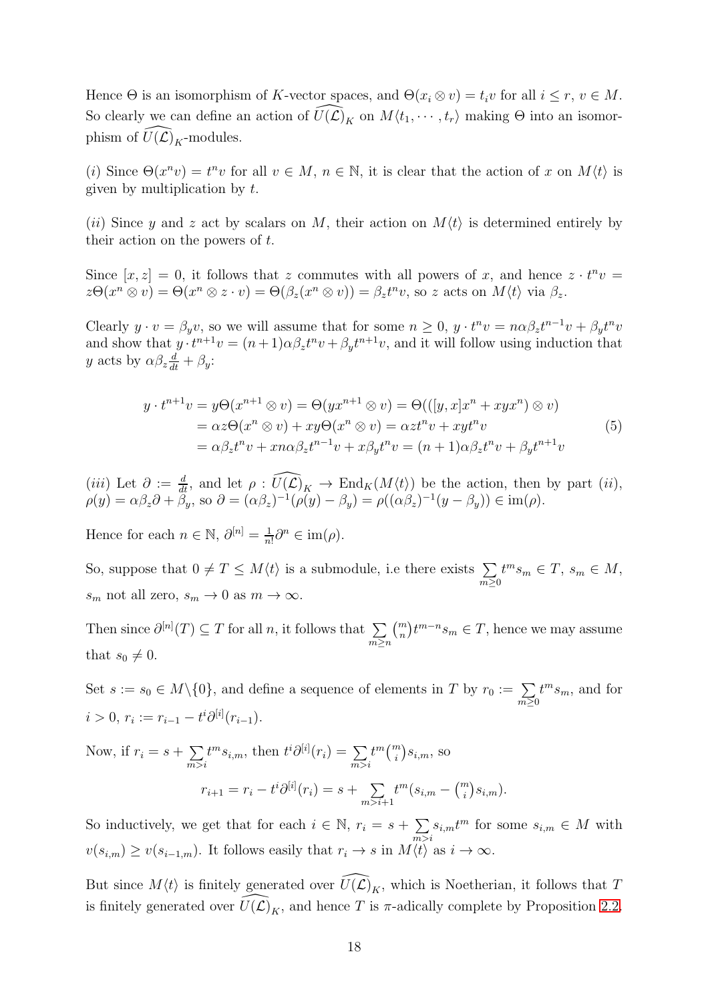Hence  $\Theta$  is an isomorphism of K-vector spaces, and  $\Theta(x_i \otimes v) = t_i v$  for all  $i \leq r, v \in M$ . So clearly we can define an action of  $\widehat{U}(\widehat{\mathcal{L}})_K$  on  $M\langle t_1, \cdots, t_r \rangle$  making  $\Theta$  into an isomorphism of  $\widehat{U}(\mathcal{L})_K$ -modules.

(i) Since  $\Theta(x^n v) = t^n v$  for all  $v \in M$ ,  $n \in \mathbb{N}$ , it is clear that the action of x on  $M\langle t \rangle$  is given by multiplication by  $t$ .

(ii) Since y and z act by scalars on M, their action on  $M(t)$  is determined entirely by their action on the powers of t.

Since  $[x, z] = 0$ , it follows that z commutes with all powers of x, and hence  $z \cdot t^n v =$  $z\Theta(x^n \otimes v) = \Theta(x^n \otimes z \cdot v) = \Theta(\beta_z(x^n \otimes v)) = \beta_z t^n v$ , so z acts on  $M\langle t \rangle$  via  $\beta_z$ .

Clearly  $y \cdot v = \beta_y v$ , so we will assume that for some  $n \geq 0$ ,  $y \cdot t^n v = n \alpha \beta_z t^{n-1} v + \beta_y t^n v$ and show that  $y \cdot t^{n+1}v = (n+1)\alpha \beta_z t^n v + \beta_y t^{n+1}v$ , and it will follow using induction that y acts by  $\alpha \beta_z \frac{d}{dt} + \beta_y$ :

$$
y \cdot t^{n+1}v = y\Theta(x^{n+1} \otimes v) = \Theta(yx^{n+1} \otimes v) = \Theta(([y, x]x^n + xyx^n) \otimes v)
$$
  
=  $\alpha z\Theta(x^n \otimes v) + xy\Theta(x^n \otimes v) = \alpha z t^n v + xy t^n v$   
=  $\alpha \beta_z t^n v + x n \alpha \beta_z t^{n-1} v + x \beta_y t^n v = (n+1) \alpha \beta_z t^n v + \beta_y t^{n+1} v$  (5)

(*iii*) Let  $\partial := \frac{d}{dt}$ , and let  $\rho : \widehat{U(\mathcal{L})}_K \to \text{End}_K(M\langle t\rangle)$  be the action, then by part (*ii*),  $\rho(y) = \alpha \beta_z \partial + \beta_y$ , so  $\partial = (\alpha \beta_z)^{-1} (\rho(y) - \beta_y) = \rho((\alpha \beta_z)^{-1} (y - \beta_y)) \in \text{im}(\rho)$ .

Hence for each  $n \in \mathbb{N}$ ,  $\partial^{[n]} = \frac{1}{n}$  $\frac{1}{n!}\partial^n \in \text{im}(\rho).$ 

So, suppose that  $0 \neq T \leq M\langle t \rangle$  is a submodule, i.e there exists  $\sum$  $m\succeq0$  $t^m s_m \in T$ ,  $s_m \in M$ ,  $s_m$  not all zero,  $s_m \to 0$  as  $m \to \infty$ .

Then since  $\partial^{[n]}(T) \subseteq T$  for all n, it follows that  $\sum$ m≥n  $\binom{m}{n} t^{m-n} s_m \in T$ , hence we may assume that  $s_0 \neq 0$ .

Set  $s := s_0 \in M \setminus \{0\}$ , and define a sequence of elements in T by  $r_0 := \sum_{m \geq 0}$  $t^m s_m$ , and for  $i > 0, r_i := r_{i-1} - t^i \partial^{[i]}(r_{i-1}).$ 

Now, if  $r_i = s + \sum$  $\overline{m>}i$  $t^m s_{i,m}$ , then  $t^i \partial^{[i]}(r_i) = \sum_{m>i}$  $t^m\binom{m}{i}s_{i,m}$ , so  $r_{i+1} = r_i - t^i \partial^{[i]}(r_i) = s + \sum$  $m > i+1$  $t^m(s_{i,m} - \binom{m}{i} s_{i,m}).$ 

So inductively, we get that for each  $i \in \mathbb{N}$ ,  $r_i = s + \sum$  $\sum_{m>i} s_{i,m} t^m$  for some  $s_{i,m} \in M$  with  $v(s_{i,m}) \ge v(s_{i-1,m})$ . It follows easily that  $r_i \to s$  in  $M\langle t \rangle$  as  $i \to \infty$ .

But since  $M\langle t \rangle$  is finitely generated over  $\widehat{U}(\widehat{\mathcal{L}})_K$ , which is Noetherian, it follows that T is finitely generated over  $\widehat{U}(\widehat{\mathcal{L}})_K$ , and hence T is  $\pi$ -adically complete by Proposition [2.2.](#page-7-1)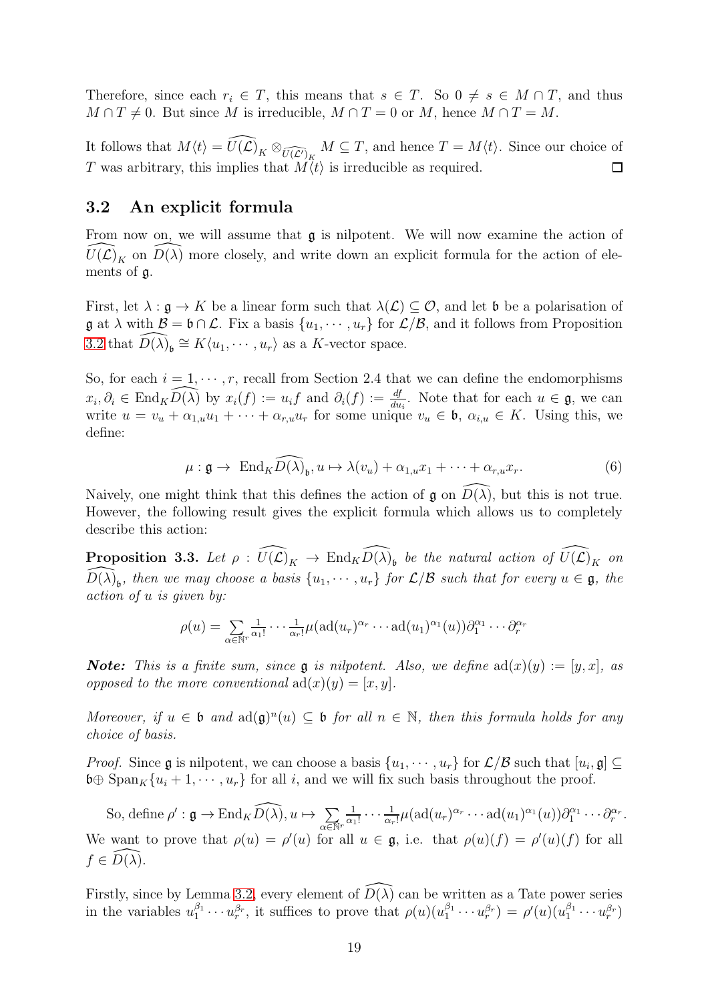Therefore, since each  $r_i \in T$ , this means that  $s \in T$ . So  $0 \neq s \in M \cap T$ , and thus  $M \cap T \neq 0$ . But since M is irreducible,  $M \cap T = 0$  or M, hence  $M \cap T = M$ .

It follows that  $M\langle t\rangle = \widehat{U(\mathcal{L})}_K \otimes_{\widehat{U(\mathcal{L})}_K} M \subseteq T$ , and hence  $T = M\langle t\rangle$ . Since our choice of T was arbitrary, this implies that  $\overrightarrow{M(t)}$  is irreducible as required.  $\Box$ 

#### <span id="page-18-0"></span>3.2 An explicit formula

From now on, we will assume that  $\mathfrak g$  is nilpotent. We will now examine the action of  $\widehat{U(\mathcal{L})}_K$  on  $\widehat{D(\lambda)}$  more closely, and write down an explicit formula for the action of elements of g.

First, let  $\lambda : \mathfrak{g} \to K$  be a linear form such that  $\lambda(\mathcal{L}) \subset \mathcal{O}$ , and let b be a polarisation of  $\mathfrak{g}$  at  $\lambda$  with  $\mathcal{B} = \mathfrak{b} \cap \mathcal{L}$ . Fix a basis  $\{u_1, \dots, u_r\}$  for  $\mathcal{L}/\mathcal{B}$ , and it follows from Proposition [3.2](#page-16-0) that  $\widehat{D(\lambda)}_b \cong K\langle u_1, \cdots, u_r \rangle$  as a K-vector space.

So, for each  $i = 1, \dots, r$ , recall from Section 2.4 that we can define the endomorphisms  $x_i, \partial_i \in \text{End}_K \widehat{D(\lambda)}$  by  $x_i(f) := u_i f$  and  $\partial_i(f) := \frac{df}{du_i}$ . Note that for each  $u \in \mathfrak{g}$ , we can write  $u = v_u + \alpha_{1,u}u_1 + \cdots + \alpha_{r,u}u_r$  for some unique  $v_u \in \mathfrak{b}, \alpha_{i,u} \in K$ . Using this, we define:

$$
\mu: \mathfrak{g} \to \operatorname{End}_{K} \widehat{D(\lambda)}_{\mathfrak{b}}, u \mapsto \lambda(v_{u}) + \alpha_{1,u} x_{1} + \cdots + \alpha_{r,u} x_{r}.
$$
 (6)

Naively, one might think that this defines the action of  $\mathfrak{g}$  on  $\overline{D(\lambda)}$ , but this is not true. However, the following result gives the explicit formula which allows us to completely describe this action:

<span id="page-18-1"></span>**Proposition 3.3.** Let  $\rho : \widehat{U(\mathcal{L})}_K \to \text{End}_K \widehat{D(\lambda)}_b$  be the natural action of  $\widehat{U(\mathcal{L})}_K$  on  $\widehat{D(\lambda)}_b$ , then we may choose a basis  $\{u_1, \cdots, u_r\}$  for  $\mathcal{L}/\mathcal{B}$  such that for every  $u \in \mathfrak{g}$ , the action of u is given by:

$$
\rho(u) = \sum_{\alpha \in \mathbb{N}^r} \frac{1}{\alpha_1!} \cdots \frac{1}{\alpha_r!} \mu(\text{ad}(u_r)^{\alpha_r} \cdots \text{ad}(u_1)^{\alpha_1}(u)) \partial_1^{\alpha_1} \cdots \partial_r^{\alpha_r}
$$

**Note:** This is a finite sum, since **g** is nilpotent. Also, we define  $ad(x)(y) := [y, x]$ , as opposed to the more conventional  $ad(x)(y) = [x, y]$ .

Moreover, if  $u \in \mathfrak{b}$  and  $ad(\mathfrak{g})^n(u) \subseteq \mathfrak{b}$  for all  $n \in \mathbb{N}$ , then this formula holds for any choice of basis.

*Proof.* Since **g** is nilpotent, we can choose a basis  $\{u_1, \dots, u_r\}$  for  $\mathcal{L}/\mathcal{B}$  such that  $[u_i, \mathfrak{g}] \subseteq$  $\mathfrak{b} \oplus \text{Span}_K\{u_i + 1, \cdots, u_r\}$  for all i, and we will fix such basis throughout the proof.

So, define  $\rho' : \mathfrak{g} \to \text{End}_K \widehat{D(\lambda)}, u \mapsto \sum$  $\alpha \overline{\in} \mathbb{N}^r$ 1  $\frac{1}{\alpha_1!}\cdots\frac{1}{\alpha_r}$  $\frac{1}{\alpha_r!}\mu(\text{ad}(u_r)^{\alpha_r}\cdots \text{ad}(u_1)^{\alpha_1}(u))\partial_1^{\alpha_1}\cdots \partial_r^{\alpha_r}.$ We want to prove that  $\rho(u) = \rho'(u)$  for all  $u \in \mathfrak{g}$ , i.e. that  $\rho(u)(f) = \rho'(u)(f)$  for all  $f \in D(\lambda)$ .

Firstly, since by Lemma [3.2,](#page-16-0) every element of  $\widehat{D(\lambda)}$  can be written as a Tate power series in the variables  $u_1^{\beta_1} \cdots u_r^{\beta_r}$ , it suffices to prove that  $\rho(u)(u_1^{\beta_1} \cdots u_r^{\beta_r}) = \rho'(u)(u_1^{\beta_1} \cdots u_r^{\beta_r})$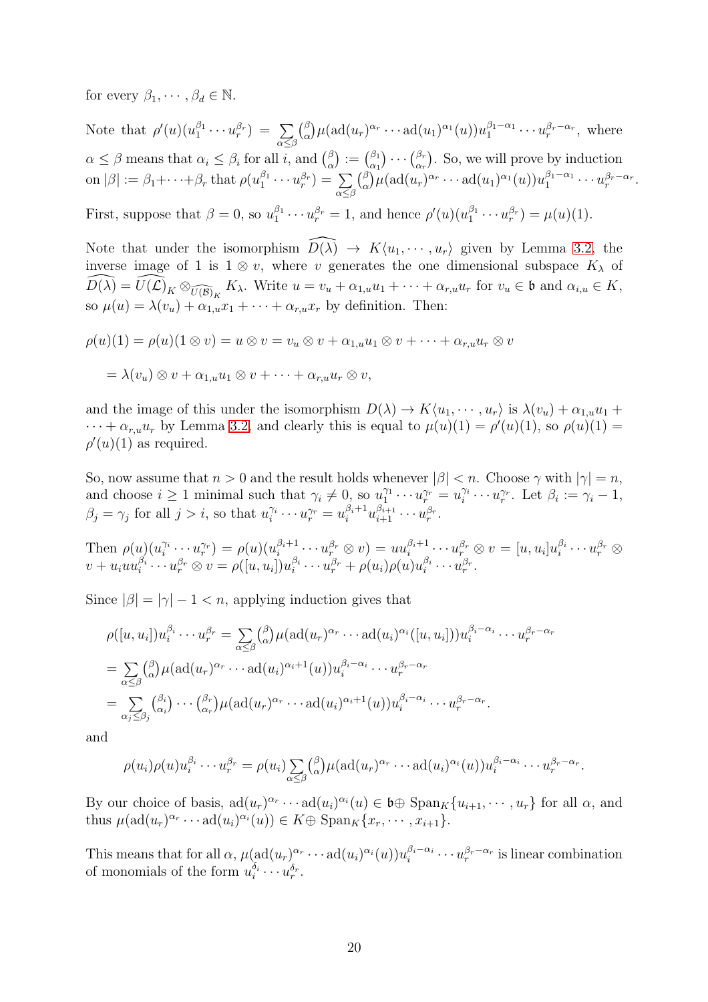for every  $\beta_1, \cdots, \beta_d \in \mathbb{N}$ .

Note that  $\rho'(u)(u_1^{\beta_1})$  $\frac{\beta_1}{1} \cdots u_r^{\beta_r} \big) \; = \; \sum$  $\alpha \leq \beta$  $\beta$  $\int_{\alpha}^{\beta} \mu(\operatorname{ad}(u_r)^{\alpha_r} \cdots \operatorname{ad}(u_1)^{\alpha_1}(u)) u_1^{\beta_1-\alpha_1}$  $u_1^{\beta_1-\alpha_1}\cdots u_r^{\beta_r-\alpha_r}$ , where  $\alpha \leq \beta$  means that  $\alpha_i \leq \beta_i$  for all i, and  $\binom{\beta}{\alpha}$  $\binom{\beta}{\alpha}:=\binom{\beta_1}{\alpha_1}$  $\begin{pmatrix} \beta_1 \\ \alpha_1 \end{pmatrix} \cdots \begin{pmatrix} \beta_r \\ \alpha_r \end{pmatrix}$  $\begin{pmatrix} \beta_r \\ \alpha_r \end{pmatrix}$ . So, we will prove by induction on  $|\beta| := \beta_1 + \cdots + \beta_r$  that  $\rho(u_1^{\beta_1} \cdots u_r^{\beta_r}) = \sum_i$  $\alpha{\leq}\beta$  $\beta$  $\int_{\alpha}^{\beta} \mu(\text{ad}(u_r)^{\alpha_r} \cdots \text{ad}(u_1)^{\alpha_1}(u)) u_1^{\beta_1-\alpha_1} \cdots u_r^{\beta_r-\alpha_r}.$ First, suppose that  $\beta = 0$ , so  $u_1^{\beta_1}$  $u_1^{\beta_1} \cdots u_r^{\beta_r} = 1$ , and hence  $\rho'(u)(u_1^{\beta_1})$  $u_1^{\beta_1} \cdots u_r^{\beta_r} = \mu(u)(1).$ 

Note that under the isomorphism  $\widehat{D(\lambda)} \to K\langle u_1, \dots, u_r \rangle$  given by Lemma [3.2,](#page-16-0) the inverse image of 1 is  $1 \otimes v$ , where v generates the one dimensional subspace  $K_{\lambda}$  of  $\widehat{D(\lambda)} = \widehat{U(\mathcal{L})}_K \otimes_{\widehat{U(\mathcal{B})}_K} K_\lambda$ . Write  $u = v_u + \alpha_{1,u}u_1 + \cdots + \alpha_{r,u}u_r$  for  $v_u \in \mathfrak{b}$  and  $\alpha_{i,u} \in K$ , so  $\mu(u) = \lambda(v_u) + \alpha_{1,u}x_1 + \cdots + \alpha_{r,u}x_r$  by definition. Then:

$$
\rho(u)(1) = \rho(u)(1 \otimes v) = u \otimes v = v_u \otimes v + \alpha_{1,u}u_1 \otimes v + \dots + \alpha_{r,u}u_r \otimes v
$$

$$
= \lambda(v_u) \otimes v + \alpha_{1,u}u_1 \otimes v + \dots + \alpha_{r,u}u_r \otimes v,
$$

and the image of this under the isomorphism  $D(\lambda) \to K\langle u_1, \dots, u_r \rangle$  is  $\lambda(v_u) + \alpha_{1,u}u_1 +$  $\cdots + \alpha_{r,u}u_r$  by Lemma [3.2,](#page-16-0) and clearly this is equal to  $\mu(u)(1) = \rho'(u)(1)$ , so  $\rho(u)(1) =$  $\rho'(u)(1)$  as required.

So, now assume that  $n > 0$  and the result holds whenever  $|\beta| < n$ . Choose  $\gamma$  with  $|\gamma| = n$ , and choose  $i \geq 1$  minimal such that  $\gamma_i \neq 0$ , so  $u_1^{\gamma_1}$  $u_1^{\gamma_1}\cdots u_r^{\gamma_r}=u_i^{\gamma_i}$  $\gamma_i^{\gamma_i} \cdots u_r^{\gamma_r}$ . Let  $\beta_i := \gamma_i - 1$ ,  $\beta_j = \gamma_j$  for all  $j > i$ , so that  $u_i^{\gamma_i}$  $\tilde{u}_i^{\gamma_i} \cdots u_r^{\gamma_r} = u_i^{\beta_i+1} u_{i+1}^{\beta_{i+1}} \cdots u_r^{\beta_r}.$ 

Then  $\rho(u)$  $(u_i^{\gamma_i})$  $\hat{v}_i^{\gamma_i}\cdots u_r^{\gamma_r})=\rho(u)(u_i^{\beta_i+1})$  $\{ \theta_i^{\beta_i+1} \cdots u_r^{\beta_r} \otimes v \} = u u_i^{\beta_i+1}$  $\begin{array}{c} \alpha_{i+1} \cdots u_r^{\beta_r} \otimes v = [u,u_i]u_i^{\beta_i} \end{array}$  $i \atop i}^{\beta_i} \cdots u_r^{\beta_r} \otimes$  $v + u_i u u_i^{\beta_i}$  $i^{\beta_i}\cdots u_r^{\beta_r}\otimes v=\rho([u,u_i])u_i^{\beta_i}$  $u_i^{\beta_i}\cdots u_r^{\beta_r}+\rho(u_i)\rho(u)u_i^{\beta_i}$  $i^{\beta_i}\cdots u_r^{\beta_r}.$ 

Since  $|\beta| = |\gamma| - 1 < n$ , applying induction gives that

$$
\rho([u, u_i])u_i^{\beta_i} \cdots u_r^{\beta_r} = \sum_{\alpha \leq \beta} {\beta \choose \alpha} \mu(\text{ad}(u_r)^{\alpha_r} \cdots \text{ad}(u_i)^{\alpha_i}([u, u_i]))u_i^{\beta_i - \alpha_i} \cdots u_r^{\beta_r - \alpha_r}
$$
  
\n
$$
= \sum_{\alpha \leq \beta} {\beta \choose \alpha} \mu(\text{ad}(u_r)^{\alpha_r} \cdots \text{ad}(u_i)^{\alpha_i+1}(u))u_i^{\beta_i - \alpha_i} \cdots u_r^{\beta_r - \alpha_r}
$$
  
\n
$$
= \sum_{\alpha_j \leq \beta_j} {\beta_i \choose \alpha_i} \cdots {\beta_r \choose \alpha_r} \mu(\text{ad}(u_r)^{\alpha_r} \cdots \text{ad}(u_i)^{\alpha_i+1}(u))u_i^{\beta_i - \alpha_i} \cdots u_r^{\beta_r - \alpha_r}.
$$

and

$$
\rho(u_i)\rho(u)u_i^{\beta_i}\cdots u_r^{\beta_r} = \rho(u_i)\sum_{\alpha\leq\beta} {\beta\choose \alpha}\mu(\mathrm{ad}(u_r)^{\alpha_r}\cdots\mathrm{ad}(u_i)^{\alpha_i}(u))u_i^{\beta_i-\alpha_i}\cdots u_r^{\beta_r-\alpha_r}.
$$

By our choice of basis,  $ad(u_r)^{\alpha_r} \cdots ad(u_i)^{\alpha_i}(u) \in \mathfrak{b} \oplus \text{Span}_K\{u_{i+1}, \cdots, u_r\}$  for all  $\alpha$ , and thus  $\mu(\text{ad}(u_r)^{\alpha_r} \cdots \text{ad}(u_i)^{\alpha_i}(u)) \in K \oplus \text{Span}_K \{x_r, \cdots, x_{i+1}\}.$ 

This means that for all  $\alpha$ ,  $\mu(\text{ad}(u_r)^{\alpha_r} \cdots \text{ad}(u_i)^{\alpha_i}(u))u_i^{\beta_i-\alpha_i}$  $i_i^{\beta_i-\alpha_i}\cdots u_r^{\beta_r-\alpha_r}$  is linear combination of monomials of the form  $u_i^{\delta_i} \cdots u_r^{\delta_r}$ .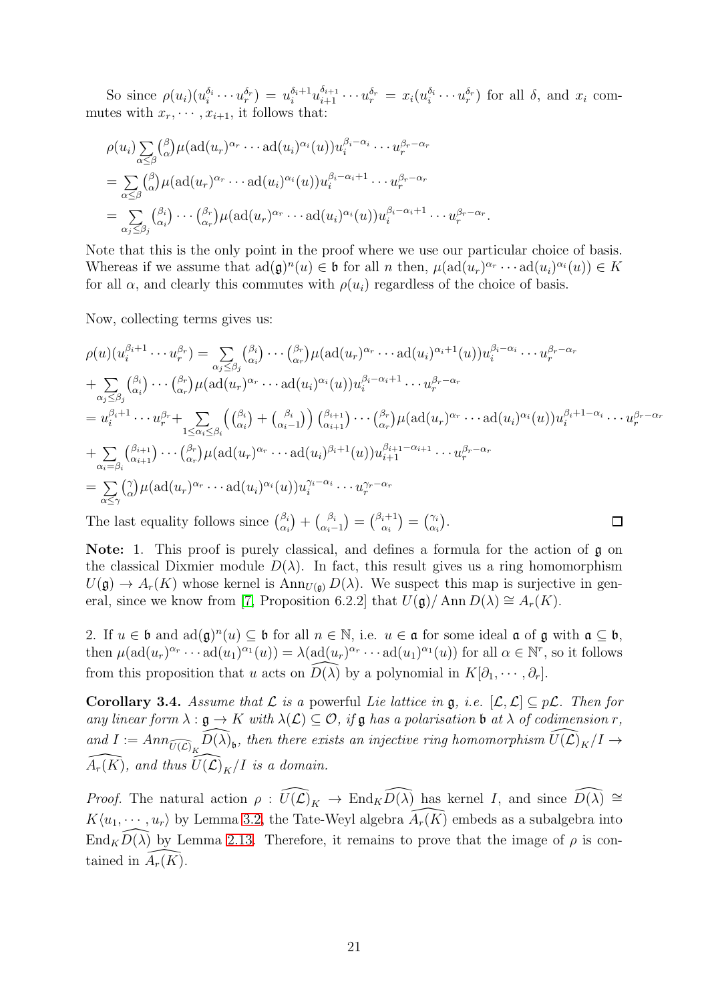So since  $\rho(u_i)(u_i^{\delta_i} \cdots u_r^{\delta_r}) = u_i^{\delta_i+1} u_{i+1}^{\delta_{i+1}} \cdots u_r^{\delta_r} = x_i(u_i^{\delta_i} \cdots u_r^{\delta_r})$  for all  $\delta$ , and  $x_i$  commutes with  $x_r, \dots, x_{i+1}$ , it follows that:

$$
\rho(u_i) \sum_{\alpha \leq \beta} {\beta \choose \alpha} \mu(\text{ad}(u_r)^{\alpha_r} \cdots \text{ad}(u_i)^{\alpha_i}(u)) u_i^{\beta_i - \alpha_i} \cdots u_r^{\beta_r - \alpha_r}
$$
  
= 
$$
\sum_{\alpha \leq \beta} {\beta \choose \alpha} \mu(\text{ad}(u_r)^{\alpha_r} \cdots \text{ad}(u_i)^{\alpha_i}(u)) u_i^{\beta_i - \alpha_i + 1} \cdots u_r^{\beta_r - \alpha_r}
$$
  
= 
$$
\sum_{\alpha_j \leq \beta_j} {\beta_i \choose \alpha_i} \cdots {\beta_r \choose \alpha_r} \mu(\text{ad}(u_r)^{\alpha_r} \cdots \text{ad}(u_i)^{\alpha_i}(u)) u_i^{\beta_i - \alpha_i + 1} \cdots u_r^{\beta_r - \alpha_r}
$$

Note that this is the only point in the proof where we use our particular choice of basis. Whereas if we assume that  $ad(\mathfrak{g})^n(u) \in \mathfrak{b}$  for all n then,  $\mu(ad(u_r)^{\alpha_r}\cdots ad(u_i)^{\alpha_i}(u)) \in K$ for all  $\alpha$ , and clearly this commutes with  $\rho(u_i)$  regardless of the choice of basis.

.

Now, collecting terms gives us:

$$
\rho(u)(u_i^{\beta_i+1}\cdots u_r^{\beta_r}) = \sum_{\alpha_j \leq \beta_j} {(\beta_i) \choose \alpha_i} \cdots {(\beta_r) \choose \alpha_r} \mu(\mathrm{ad}(u_r)^{\alpha_r} \cdots \mathrm{ad}(u_i)^{\alpha_i+1}(u)) u_i^{\beta_i-\alpha_i} \cdots u_r^{\beta_r-\alpha_r}
$$
\n
$$
+ \sum_{\alpha_j \leq \beta_j} {(\beta_i) \choose \alpha_i} \cdots {(\beta_r) \choose \alpha_r} \mu(\mathrm{ad}(u_r)^{\alpha_r} \cdots \mathrm{ad}(u_i)^{\alpha_i}(u)) u_i^{\beta_i-\alpha_i+1} \cdots u_r^{\beta_r-\alpha_r}
$$
\n
$$
= u_i^{\beta_i+1} \cdots u_r^{\beta_r} + \sum_{1 \leq \alpha_i \leq \beta_i} \left( {(\beta_i) \choose \alpha_i} + {(\beta_i) \choose \alpha_i-1} \right) {(\beta_{i+1}) \choose \alpha_{i+1}} \cdots {(\beta_r) \choose \alpha_r} \mu(\mathrm{ad}(u_r)^{\alpha_r} \cdots \mathrm{ad}(u_i)^{\alpha_i}(u)) u_i^{\beta_i+1-\alpha_i} \cdots u_r^{\beta_r-\alpha_r}
$$
\n
$$
+ \sum_{\alpha_i = \beta_i} {(\beta_i+1) \choose \alpha_i+1} \cdots {(\beta_r) \choose \alpha_r} \mu(\mathrm{ad}(u_r)^{\alpha_r} \cdots \mathrm{ad}(u_i)^{\beta_i+1}(u)) u_{i+1}^{\beta_{i+1}-\alpha_{i+1}} \cdots u_r^{\beta_r-\alpha_r}
$$
\n
$$
= \sum_{\alpha \leq \gamma} {(\gamma) \choose \alpha} \mu(\mathrm{ad}(u_r)^{\alpha_r} \cdots \mathrm{ad}(u_i)^{\alpha_i}(u)) u_i^{\gamma_i-\alpha_i} \cdots u_r^{\gamma_r-\alpha_r}
$$
\nThe last equality follows since  ${(\beta_i) \choose \alpha_i} + {(\beta_i \choose \alpha_i-1}) = {(\beta_i+1) \choose \alpha_i} = {(\gamma_i) \choose \alpha_i}.$ 

**Note:** 1. This proof is purely classical, and defines a formula for the action of  $\mathfrak{g}$  on the classical Dixmier module  $D(\lambda)$ . In fact, this result gives us a ring homomorphism  $U(\mathfrak{g}) \to A_r(K)$  whose kernel is  $\text{Ann}_{U(\mathfrak{g})} D(\lambda)$ . We suspect this map is surjective in gen-eral, since we know from [\[7,](#page-50-0) Proposition 6.2.2] that  $U(\mathfrak{g})/\text{Ann }D(\lambda) \cong A_r(K)$ .

2. If  $u \in \mathfrak{b}$  and  $\text{ad}(\mathfrak{g})^n(u) \subseteq \mathfrak{b}$  for all  $n \in \mathbb{N}$ , i.e.  $u \in \mathfrak{a}$  for some ideal  $\mathfrak{a}$  of  $\mathfrak{g}$  with  $\mathfrak{a} \subseteq \mathfrak{b}$ , then  $\mu(\text{ad}(u_r)^{\alpha_r} \cdots \text{ad}(u_1)^{\alpha_1}(u)) = \lambda(\text{ad}(u_r)^{\alpha_r} \cdots \text{ad}(u_1)^{\alpha_1}(u))$  for all  $\alpha \in \mathbb{N}^r$ , so it follows from this proposition that u acts on  $\widehat{D(\lambda)}$  by a polynomial in  $K[\partial_1, \cdots, \partial_r]$ .

<span id="page-20-0"></span>**Corollary 3.4.** Assume that  $\mathcal L$  is a powerful Lie lattice in  $\mathfrak g$ , i.e.  $[\mathcal L, \mathcal L] \subseteq p\mathcal L$ . Then for any linear form  $\lambda : \mathfrak{g} \to K$  with  $\lambda(\mathcal{L}) \subseteq \mathcal{O}$ , if  $\mathfrak{g}$  has a polarisation  $\mathfrak{b}$  at  $\lambda$  of codimension r, and  $I := Ann_{\widehat{U(\mathcal{L})}_K}\widehat{D(\lambda)}_{\mathfrak{b}},$  then there exists an injective ring homomorphism  $\widehat{U(\mathcal{L})}_K/I \to$  $\widehat{A_r(K)}$ , and thus  $\widehat{U(\mathcal{L})}_K/I$  is a domain.

*Proof.* The natural action  $\rho : \widehat{U(\mathcal{L})}_K \to \text{End}_K\widehat{D(\lambda)}$  has kernel I, and since  $\widehat{D(\lambda)} \cong$  $K\langle u_1, \cdots, u_r \rangle$  by Lemma [3.2,](#page-16-0) the Tate-Weyl algebra  $\overline{A}_r(K)$  embeds as a subalgebra into  $\text{End}_{K}\overline{D(\lambda)}$  by Lemma [2.13.](#page-13-1) Therefore, it remains to prove that the image of  $\rho$  is contained in  $A_r(K)$ .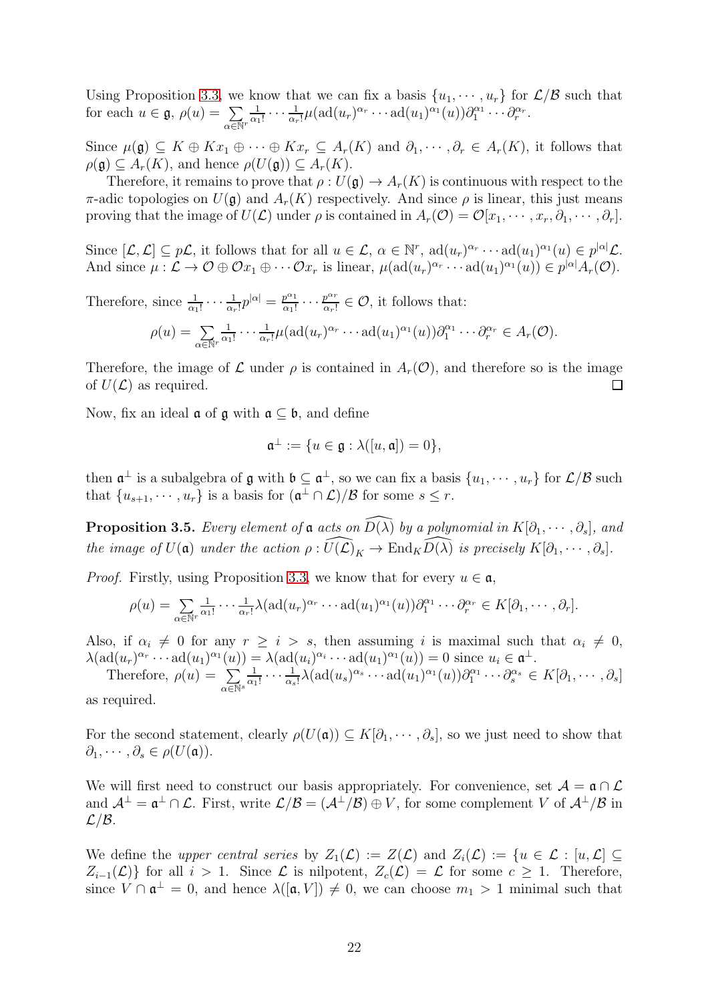Using Proposition [3.3,](#page-18-1) we know that we can fix a basis  $\{u_1, \dots, u_r\}$  for  $\mathcal{L}/\mathcal{B}$  such that for each  $u \in \mathfrak{g}$ ,  $\rho(u) = \sum$  $\alpha \overline{\in} \mathbb{N}^r$ 1  $\frac{1}{\alpha_1!}\cdots\frac{1}{\alpha_r}$  $\frac{1}{\alpha_r!}\mu(\mathrm{ad}(u_r)^{\alpha_r}\cdots \mathrm{ad}(u_1)^{\alpha_1}(u))\partial_1^{\alpha_1}\cdots \partial_r^{\alpha_r}.$ 

Since  $\mu(\mathfrak{g}) \subseteq K \oplus Kx_1 \oplus \cdots \oplus Kx_r \subseteq A_r(K)$  and  $\partial_1, \cdots, \partial_r \in A_r(K)$ , it follows that  $\rho(\mathfrak{g}) \subset A_r(K)$ , and hence  $\rho(U(\mathfrak{g})) \subset A_r(K)$ .

Therefore, it remains to prove that  $\rho: U(\mathfrak{g}) \to A_r(K)$  is continuous with respect to the π-adic topologies on  $U(\mathfrak{g})$  and  $A_r(K)$  respectively. And since  $ρ$  is linear, this just means proving that the image of  $U(\mathcal{L})$  under  $\rho$  is contained in  $A_r(\mathcal{O}) = \mathcal{O}[x_1, \cdots, x_r, \partial_1, \cdots, \partial_r].$ 

Since  $[\mathcal{L}, \mathcal{L}] \subseteq p\mathcal{L}$ , it follows that for all  $u \in \mathcal{L}$ ,  $\alpha \in \mathbb{N}^r$ ,  $\text{ad}(u_r)^{\alpha_r} \cdots \text{ad}(u_1)^{\alpha_1}(u) \in p^{|\alpha|} \mathcal{L}$ . And since  $\mu: \mathcal{L} \to \mathcal{O} \oplus \mathcal{O}x_1 \oplus \cdots \mathcal{O}x_r$  is linear,  $\mu(\text{ad}(u_r)^{\alpha_r} \cdots \text{ad}(u_1)^{\alpha_1}(u)) \in p^{|\alpha|}A_r(\mathcal{O})$ .

Therefore, since  $\frac{1}{\alpha_1!} \cdots \frac{1}{\alpha_n}$  $\frac{1}{\alpha_r!}p^{|\alpha|} = \frac{p^{\alpha_1}}{\alpha_1!}$  $\frac{p^{\alpha_1}}{\alpha_1!} \cdots \frac{p^{\alpha_r}}{\alpha_r!}$  $\frac{p^{\alpha r}}{(\alpha r)!} \in \mathcal{O}$ , it follows that:

$$
\rho(u) = \sum_{\alpha \in \mathbb{N}^r} \frac{1}{\alpha_1!} \cdots \frac{1}{\alpha_r!} \mu(\text{ad}(u_r)^{\alpha_r} \cdots \text{ad}(u_1)^{\alpha_1}(u)) \partial_1^{\alpha_1} \cdots \partial_r^{\alpha_r} \in A_r(\mathcal{O}).
$$

Therefore, the image of  $\mathcal L$  under  $\rho$  is contained in  $A_r(\mathcal O)$ , and therefore so is the image of  $U(\mathcal{L})$  as required.  $\Box$ 

Now, fix an ideal  $\mathfrak a$  of  $\mathfrak g$  with  $\mathfrak a \subset \mathfrak b$ , and define

$$
\mathfrak{a}^{\perp} := \{ u \in \mathfrak{g} : \lambda([u, \mathfrak{a}]) = 0 \},
$$

then  $\mathfrak{a}^{\perp}$  is a subalgebra of  $\mathfrak g$  with  $\mathfrak b \subseteq \mathfrak{a}^{\perp}$ , so we can fix a basis  $\{u_1, \cdots, u_r\}$  for  $\mathcal L/\mathcal B$  such that  $\{u_{s+1}, \dots, u_r\}$  is a basis for  $(\mathfrak{a}^\perp \cap \mathcal{L})/\mathcal{B}$  for some  $s \leq r$ .

<span id="page-21-0"></span>**Proposition 3.5.** Every element of **a** acts on  $\widehat{D(\lambda)}$  by a polynomial in  $K[\partial_1, \cdots, \partial_s]$ , and the image of  $U(\mathfrak{a})$  under the action  $\rho : \widehat{U(\mathcal{L})}_K \to \text{End}_K\widehat{D(\lambda)}$  is precisely  $K[\partial_1, \cdots, \partial_s]$ .

*Proof.* Firstly, using Proposition [3.3,](#page-18-1) we know that for every  $u \in \mathfrak{a}$ ,

$$
\rho(u) = \sum_{\alpha \in \mathbb{N}^r} \frac{1}{\alpha_1!} \cdots \frac{1}{\alpha_r!} \lambda(\mathrm{ad}(u_r)^{\alpha_r} \cdots \mathrm{ad}(u_1)^{\alpha_1}(u)) \partial_1^{\alpha_1} \cdots \partial_r^{\alpha_r} \in K[\partial_1, \cdots, \partial_r].
$$

Also, if  $\alpha_i \neq 0$  for any  $r \geq i > s$ , then assuming i is maximal such that  $\alpha_i \neq 0$ ,  $\lambda(\text{ad}(u_r)^{\alpha_r}\cdots \text{ad}(u_1)^{\alpha_1}(u)) = \lambda(\text{ad}(u_i)^{\alpha_i}\cdots \text{ad}(u_1)^{\alpha_1}(u)) = 0$  since  $u_i \in \mathfrak{a}^{\perp}$ .

Therefore, 
$$
\rho(u) = \sum_{\alpha \in \mathbb{N}^s} \frac{1}{\alpha_1!} \cdots \frac{1}{\alpha_s!} \lambda(\text{ad}(u_s)^{\alpha_s} \cdots \text{ad}(u_1)^{\alpha_1}(u)) \partial_1^{\alpha_1} \cdots \partial_s^{\alpha_s} \in K[\partial_1, \cdots, \partial_s]
$$

as required.

For the second statement, clearly  $\rho(U(\mathfrak{a})) \subseteq K[\partial_1, \cdots, \partial_s]$ , so we just need to show that  $\partial_1, \cdots, \partial_s \in \rho(U(\mathfrak{a})).$ 

We will first need to construct our basis appropriately. For convenience, set  $A = \mathfrak{a} \cap \mathcal{L}$ and  $\mathcal{A}^{\perp} = \mathfrak{a}^{\perp} \cap \mathcal{L}$ . First, write  $\mathcal{L}/\mathcal{B} = (\mathcal{A}^{\perp}/\mathcal{B}) \oplus V$ , for some complement V of  $\mathcal{A}^{\perp}/\mathcal{B}$  in  $\mathcal{L}/\mathcal{B}$ .

We define the upper central series by  $Z_1(\mathcal{L}) := Z(\mathcal{L})$  and  $Z_i(\mathcal{L}) := \{u \in \mathcal{L} : [u, \mathcal{L}] \subset$  $Z_{i-1}(\mathcal{L})$  for all  $i > 1$ . Since  $\mathcal L$  is nilpotent,  $Z_c(\mathcal{L}) = \mathcal L$  for some  $c \geq 1$ . Therefore, since  $V \cap \mathfrak{a}^{\perp} = 0$ , and hence  $\lambda([\mathfrak{a}, V]) \neq 0$ , we can choose  $m_1 > 1$  minimal such that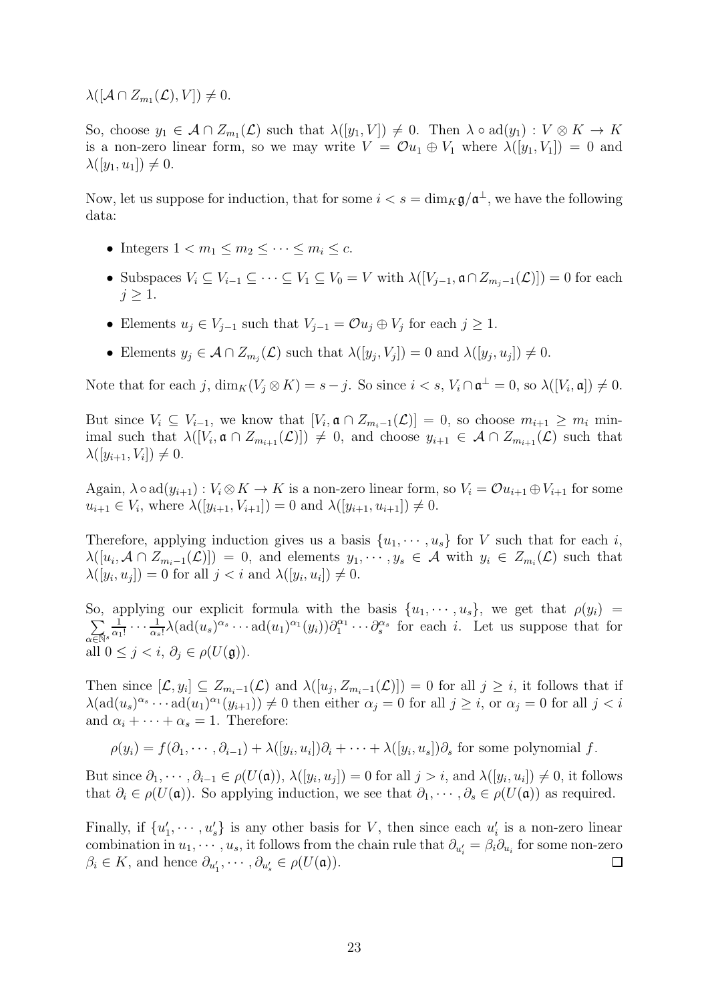$\lambda([\mathcal{A}\cap Z_{m_1}(\mathcal{L}),V])\neq 0.$ 

So, choose  $y_1 \in \mathcal{A} \cap Z_{m_1}(\mathcal{L})$  such that  $\lambda([y_1, V]) \neq 0$ . Then  $\lambda \circ \text{ad}(y_1) : V \otimes K \to K$ is a non-zero linear form, so we may write  $V = \mathcal{O}u_1 \oplus V_1$  where  $\lambda([y_1, V_1]) = 0$  and  $\lambda([y_1, u_1]) \neq 0.$ 

Now, let us suppose for induction, that for some  $i < s = \dim_K \mathfrak{g}/\mathfrak{a}^{\perp}$ , we have the following data:

- Integers  $1 < m_1 \le m_2 \le \cdots \le m_i \le c$ .
- Subspaces  $V_i \subseteq V_{i-1} \subseteq \cdots \subseteq V_1 \subseteq V_0 = V$  with  $\lambda([V_{i-1}, \mathfrak{a} \cap Z_{m_i-1}(\mathcal{L})]) = 0$  for each  $j \geq 1$ .
- Elements  $u_j \in V_{j-1}$  such that  $V_{j-1} = \mathcal{O} u_j \oplus V_j$  for each  $j \geq 1$ .
- Elements  $y_j \in \mathcal{A} \cap Z_{m_j}(\mathcal{L})$  such that  $\lambda([y_j, V_j]) = 0$  and  $\lambda([y_j, u_j]) \neq 0$ .

Note that for each j,  $\dim_K(V_j \otimes K) = s - j$ . So since  $i < s$ ,  $V_i \cap \mathfrak{a}^{\perp} = 0$ , so  $\lambda([V_i, \mathfrak{a}]) \neq 0$ .

But since  $V_i \subseteq V_{i-1}$ , we know that  $[V_i, \mathfrak{a} \cap Z_{m_i-1}(\mathcal{L})] = 0$ , so choose  $m_{i+1} \geq m_i$  minimal such that  $\lambda([V_i, \mathfrak{a} \cap Z_{m_{i+1}}(\mathcal{L})]) \neq 0$ , and choose  $y_{i+1} \in \mathcal{A} \cap Z_{m_{i+1}}(\mathcal{L})$  such that  $\lambda([y_{i+1}, V_i]) \neq 0.$ 

Again,  $\lambda \circ \text{ad}(y_{i+1}) : V_i \otimes K \to K$  is a non-zero linear form, so  $V_i = \mathcal{O}u_{i+1} \oplus V_{i+1}$  for some  $u_{i+1} \in V_i$ , where  $\lambda([y_{i+1}, V_{i+1}]) = 0$  and  $\lambda([y_{i+1}, u_{i+1}]) \neq 0$ .

Therefore, applying induction gives us a basis  $\{u_1, \dots, u_s\}$  for V such that for each i,  $\lambda([u_i, \mathcal{A} \cap Z_{m_i-1}(\mathcal{L})]) = 0$ , and elements  $y_1, \dots, y_s \in \mathcal{A}$  with  $y_i \in Z_{m_i}(\mathcal{L})$  such that  $\lambda([y_i, u_j]) = 0$  for all  $j < i$  and  $\lambda([y_i, u_i]) \neq 0$ .

So, applying our explicit formula with the basis  $\{u_1, \dots, u_s\}$ , we get that  $\rho(y_i)$  =  $\sum$  $\alpha \overline{\in} \mathbb{N}^s$ 1  $\frac{1}{\alpha_1!}\cdots\frac{1}{\alpha_s}$  $\frac{1}{\alpha_s!}\lambda(\text{ad}(u_s)^{\alpha_s}\cdots \text{ad}(u_1)^{\alpha_1}(y_i))\partial_1^{\alpha_1}\cdots \partial_s^{\alpha_s}$  for each *i*. Let us suppose that for all  $0 \leq j \leq i, \partial_i \in \rho(U(\mathfrak{g})).$ 

Then since  $[\mathcal{L}, y_i] \subseteq Z_{m_i-1}(\mathcal{L})$  and  $\lambda([u_j, Z_{m_i-1}(\mathcal{L})]) = 0$  for all  $j \geq i$ , it follows that if  $\lambda(\text{ad}(u_s)^{\alpha_s}\cdots \text{ad}(u_1)^{\alpha_1}(y_{i+1}))\neq 0$  then either  $\alpha_j=0$  for all  $j\geq i$ , or  $\alpha_j=0$  for all  $j$ and  $\alpha_i + \cdots + \alpha_s = 1$ . Therefore:

$$
\rho(y_i) = f(\partial_1, \cdots, \partial_{i-1}) + \lambda([y_i, u_i])\partial_i + \cdots + \lambda([y_i, u_s])\partial_s
$$
 for some polynomial  $f$ .

But since  $\partial_1, \cdots, \partial_{i-1} \in \rho(U(\mathfrak{a}))$ ,  $\lambda([y_i, u_j]) = 0$  for all  $j > i$ , and  $\lambda([y_i, u_i]) \neq 0$ , it follows that  $\partial_i \in \rho(U(\mathfrak{a}))$ . So applying induction, we see that  $\partial_1, \cdots, \partial_s \in \rho(U(\mathfrak{a}))$  as required.

Finally, if  $\{u'_1, \dots, u'_s\}$  is any other basis for V, then since each  $u'_i$  is a non-zero linear combination in  $u_1, \dots, u_s$ , it follows from the chain rule that  $\partial_{u'_i} = \beta_i \partial_{u_i}$  for some non-zero  $\beta_i \in K$ , and hence  $\partial_{u'_1}, \cdots, \partial_{u'_s} \in \rho(U(\mathfrak{a}))$ .  $\Box$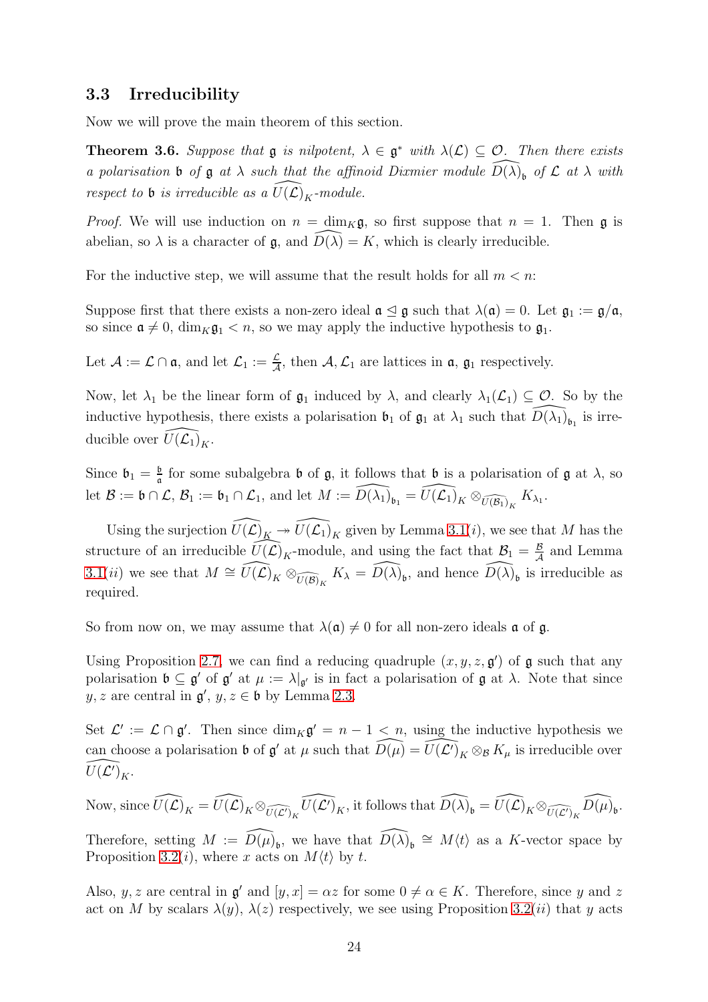#### <span id="page-23-0"></span>3.3 Irreducibility

Now we will prove the main theorem of this section.

<span id="page-23-1"></span>**Theorem 3.6.** Suppose that  $\mathfrak{g}$  is nilpotent,  $\lambda \in \mathfrak{g}^*$  with  $\lambda(\mathcal{L}) \subseteq \mathcal{O}$ . Then there exists a polarisation b of  $\frak g$  at  $\lambda$  such that the affinoid Dixmier module  $\widehat{D(\lambda)}_b$  of  $\mathcal L$  at  $\lambda$  with respect to **b** is irreducible as a  $\widehat{U(L)}_K$ -module.

*Proof.* We will use induction on  $n = \dim_K \mathfrak{g}$ , so first suppose that  $n = 1$ . Then  $\mathfrak{g}$  is abelian, so  $\lambda$  is a character of  $\mathfrak{g}$ , and  $D(\lambda) = K$ , which is clearly irreducible.

For the inductive step, we will assume that the result holds for all  $m < n$ .

Suppose first that there exists a non-zero ideal  $\mathfrak{a} \leq \mathfrak{g}$  such that  $\lambda(\mathfrak{a}) = 0$ . Let  $\mathfrak{g}_1 := \mathfrak{g}/\mathfrak{a}$ , so since  $\mathfrak{a} \neq 0$ , dim<sub>K</sub> $\mathfrak{g}_1 < n$ , so we may apply the inductive hypothesis to  $\mathfrak{g}_1$ .

Let  $\mathcal{A} := \mathcal{L} \cap \mathfrak{a}$ , and let  $\mathcal{L}_1 := \frac{\mathcal{L}}{\mathcal{A}}$ , then  $\mathcal{A}, \mathcal{L}_1$  are lattices in  $\mathfrak{a}, \mathfrak{g}_1$  respectively.

Now, let  $\lambda_1$  be the linear form of  $\mathfrak{g}_1$  induced by  $\lambda$ , and clearly  $\lambda_1(\mathcal{L}_1) \subseteq \mathcal{O}$ . So by the inductive hypothesis, there exists a polarisation  $\mathfrak{b}_1$  of  $\mathfrak{g}_1$  at  $\lambda_1$  such that  $\widehat{D(\lambda_1)}_{\mathfrak{b}_1}$  is irreducible over  $\widehat{U(\mathcal{L}_1)}_K$ .

Since  $\mathfrak{b}_1 = \frac{\mathfrak{b}}{\mathfrak{a}}$  $\frac{b}{a}$  for some subalgebra **b** of **g**, it follows that **b** is a polarisation of **g** at  $\lambda$ , so let  $\mathcal{B} := \mathfrak{b} \cap \mathcal{L}, \, \mathcal{B}_1 := \mathfrak{b}_1 \cap \mathcal{L}_1$ , and let  $M := \widehat{D(\lambda_1)}_{\mathfrak{b}_1} = \widehat{U(\mathcal{L}_1)}_K \otimes_{\widehat{U(\mathcal{B}_1)}_K} K_{\lambda_1}$ .

Using the surjection  $\widehat{U(\mathcal{L})}_K \twoheadrightarrow \widehat{U(\mathcal{L}_1)}_K$  given by Lemma [3.1\(](#page-14-2)*i*), we see that M has the structure of an irreducible  $\widehat{U(\mathcal{L})}_K$ -module, and using the fact that  $\mathcal{B}_1 = \frac{B}{\mathcal{A}}$  $\frac{B}{A}$  and Lemma [3.1\(](#page-14-2)*ii*) we see that  $M \cong \widehat{U(\mathcal{L})}_K \otimes_{\widehat{U(\mathcal{B})}_K} K_\lambda = \widehat{D(\lambda)}_b$ , and hence  $\widehat{D(\lambda)}_b$  is irreducible as required.

So from now on, we may assume that  $\lambda(\mathfrak{a})\neq 0$  for all non-zero ideals  $\mathfrak{a}$  of  $\mathfrak{g}$ .

Using Proposition [2.7,](#page-10-0) we can find a reducing quadruple  $(x, y, z, \mathfrak{g}')$  of  $\mathfrak{g}$  such that any polarisation  $\mathfrak{b} \subseteq \mathfrak{g}'$  of  $\mathfrak{g}'$  at  $\mu := \lambda|_{\mathfrak{g}'}$  is in fact a polarisation of  $\mathfrak{g}$  at  $\lambda$ . Note that since  $y, z$  are central in  $\mathfrak{g}'$ ,  $y, z \in \mathfrak{b}$  by Lemma [2.3.](#page-7-2)

Set  $\mathcal{L}' := \mathcal{L} \cap \mathfrak{g}'$ . Then since  $\dim_K \mathfrak{g}' = n - 1 < n$ , using the inductive hypothesis we can choose a polarisation **b** of  $\mathfrak{g}'$  at  $\mu$  such that  $\widehat{D(\mu)} = \widehat{U(\mathcal{L}')}_K \otimes_B K_{\mu}$  is irreducible over  $\widehat{U(\mathcal{L}')}_K.$ 

Now, since  $\widehat{U(\mathcal{L})}_K = \widehat{U(\mathcal{L})}_K \otimes_{\widehat{U(\mathcal{L}')}_K} \widehat{U(\mathcal{L}')}_K$ , it follows that  $\widehat{D(\lambda)}_b = \widehat{U(\mathcal{L})}_K \otimes_{\widehat{U(\mathcal{L}')}_K} \widehat{D(\mu)}_b$ .

Therefore, setting  $M := \widehat{D(\mu)}_b$ , we have that  $\widehat{D(\lambda)}_b \cong M\langle t \rangle$  as a K-vector space by Proposition [3.2\(](#page-16-0)*i*), where x acts on  $M(t)$  by t.

Also, y, z are central in  $\mathfrak{g}'$  and  $[y, x] = \alpha z$  for some  $0 \neq \alpha \in K$ . Therefore, since y and z act on M by scalars  $\lambda(y)$ ,  $\lambda(z)$  respectively, we see using Proposition [3.2\(](#page-16-0)*ii*) that y acts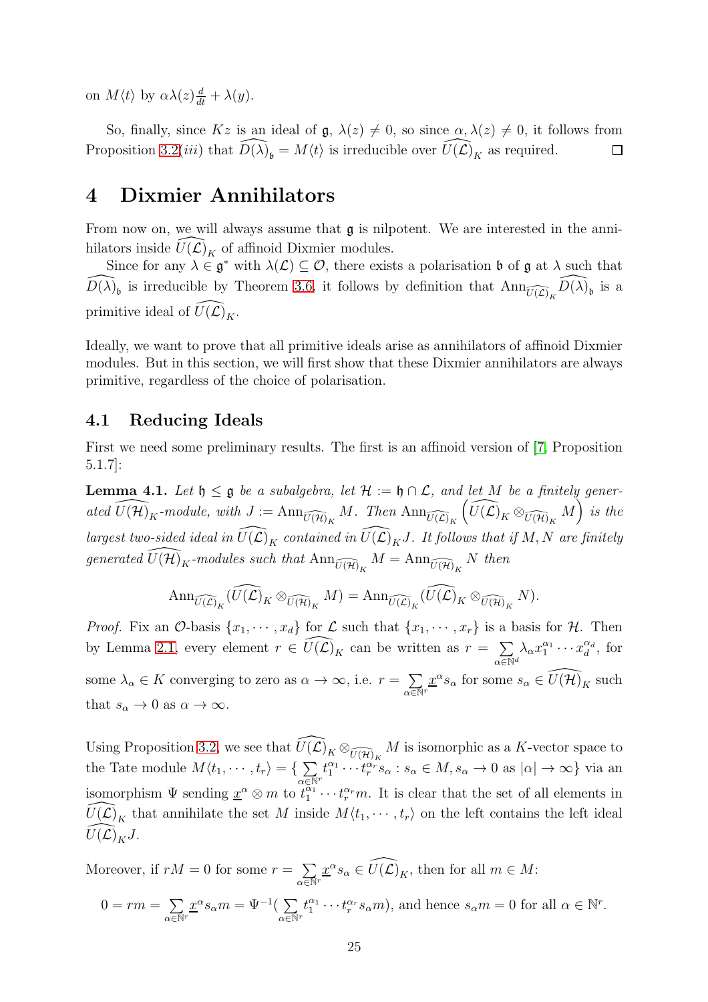on  $M\langle t \rangle$  by  $\alpha\lambda(z)\frac{d}{dt} + \lambda(y)$ .

So, finally, since Kz is an ideal of  $\mathfrak{g}, \lambda(z) \neq 0$ , so since  $\alpha, \lambda(z) \neq 0$ , it follows from Proposition [3.2\(](#page-16-0)*iii*) that  $\widehat{D(\lambda)}_b = M\langle t \rangle$  is irreducible over  $\widehat{U(\mathcal{L})}_K$  as required.  $\Box$ 

## <span id="page-24-0"></span>4 Dixmier Annihilators

From now on, we will always assume that  $\mathfrak g$  is nilpotent. We are interested in the annihilators inside  $U(\mathcal{L})_K$  of affinoid Dixmier modules.

Since for any  $\lambda \in \mathfrak{g}^*$  with  $\lambda(\mathcal{L}) \subseteq \mathcal{O}$ , there exists a polarisation **b** of  $\mathfrak{g}$  at  $\lambda$  such that  $\widehat{D(\lambda)}_b$  is irreducible by Theorem [3.6,](#page-23-1) it follows by definition that  $\text{Ann}_{\widehat{U(\mathcal{L})}_K}\widehat{D(\lambda)}_b$  is a primitive ideal of  $\widehat{U}(\widehat{\mathcal{L}})_{K}$ .

Ideally, we want to prove that all primitive ideals arise as annihilators of affinoid Dixmier modules. But in this section, we will first show that these Dixmier annihilators are always primitive, regardless of the choice of polarisation.

#### <span id="page-24-1"></span>4.1 Reducing Ideals

First we need some preliminary results. The first is an affinoid version of [\[7,](#page-50-0) Proposition 5.1.7]:

<span id="page-24-2"></span>**Lemma 4.1.** Let  $\mathfrak{h} \leq \mathfrak{g}$  be a subalgebra, let  $\mathcal{H} := \mathfrak{h} \cap \mathcal{L}$ , and let M be a finitely generated  $\widehat{U(\mathcal{H})}_K$ -module, with  $J := \text{Ann}_{\widehat{U(\mathcal{H})}_K} M$ . Then  $\text{Ann}_{\widehat{U(\mathcal{L})}_K} \left( \widehat{U(\mathcal{L})}_K \otimes_{\widehat{U(\mathcal{H})}_K} M \right)^{\nu}$  is the largest two-sided ideal in  $\widehat{U(\mathcal{L})}_K$  contained in  $\widehat{U(\mathcal{L})}_KJ$ . It follows that if M, N are finitely generated  $\widehat{U(\mathcal{H})}_K$ -modules such that  $\mathrm{Ann}_{\widehat{U(\mathcal{H})}_K}M = \mathrm{Ann}_{\widehat{U(\mathcal{H})}_K}N$  then

$$
\mathrm{Ann}_{\widehat{U(\mathcal{L})}_K}(\widehat{U(\mathcal{L})}_K \otimes_{\widehat{U(\mathcal{H})}_K} M) = \mathrm{Ann}_{\widehat{U(\mathcal{L})}_K}(\widehat{U(\mathcal{L})}_K \otimes_{\widehat{U(\mathcal{H})}_K} N).
$$

*Proof.* Fix an  $\mathcal{O}$ -basis  $\{x_1, \dots, x_d\}$  for  $\mathcal{L}$  such that  $\{x_1, \dots, x_r\}$  is a basis for  $\mathcal{H}$ . Then by Lemma [2.1,](#page-6-1) every element  $r \in \widehat{U(\mathcal{L})}_K$  can be written as  $r = \sum$  $\alpha \in \mathbb{N}^d$  $\lambda_\alpha x_1^{\alpha_1} \cdots x_d^{\alpha_d}$  $\frac{\alpha_d}{d}$ , for some  $\lambda_{\alpha} \in K$  converging to zero as  $\alpha \to \infty$ , i.e.  $r = \sum$  $\alpha \overline{\in} \mathbb{N}^r$  $\underline{x}^{\alpha} s_{\alpha}$  for some  $s_{\alpha} \in \widehat{U(\mathcal{H})}_K$  such that  $s_{\alpha} \to 0$  as  $\alpha \to \infty$ .

Using Proposition [3.2,](#page-16-0) we see that  $\widehat{U(\mathcal{L})}_K \otimes_{\widehat{U(\mathcal{H})}_K} M$  is isomorphic as a K-vector space to the Tate module  $M\langle t_1, \cdots, t_r \rangle = \{ \sum_{i=1}^{r} a_i \rangle$  $\alpha \overline{\in} \mathbb{N}^r$  $t_1^{\alpha_1} \cdots t_r^{\alpha_r} s_\alpha : s_\alpha \in M, s_\alpha \to 0 \text{ as } |\alpha| \to \infty$ } via an isomorphism  $\Psi$  sending  $\underline{x}^{\alpha} \otimes m$  to  $t_1^{\alpha_1} \cdots t_r^{\alpha_r} m$ . It is clear that the set of all elements in  $U(\mathcal{L})_K$  that annihilate the set M inside  $M\langle t_1, \cdots, t_r \rangle$  on the left contains the left ideal  $\overline{U(\mathcal{L})}_KJ$ .

Moreover, if  $rM = 0$  for some  $r = \sum$  $\alpha \overline{\in} \mathbb{N}^r$  $\underline{x}^{\alpha} s_{\alpha} \in \widehat{U(\mathcal{L})}_K$ , then for all  $m \in M$ :  $0=rm=\sum$  $\alpha \overline{\in} \mathbb{N}^r$  $\underline{x}^{\alpha} s_{\alpha} m = \Psi^{-1}(\sum)$  $\alpha \overline{\in} \mathbb{N}^r$  $t_1^{\alpha_1} \cdots t_r^{\alpha_r} s_\alpha m$ , and hence  $s_\alpha m = 0$  for all  $\alpha \in \mathbb{N}^r$ .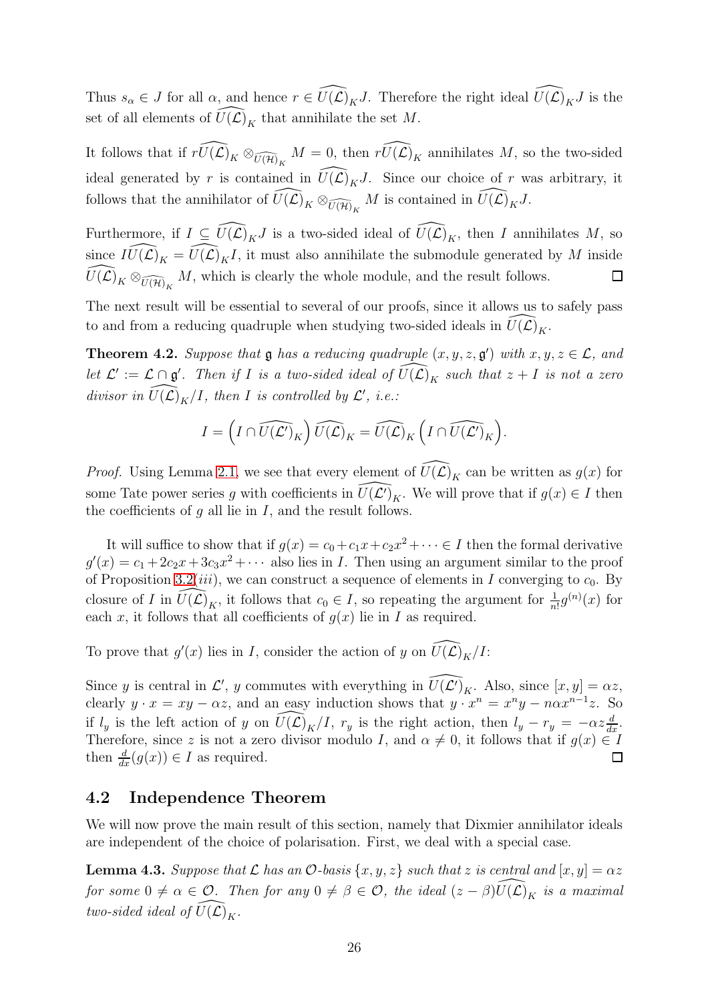Thus  $s_{\alpha} \in J$  for all  $\alpha$ , and hence  $r \in \widehat{U(\mathcal{L})_K J}$ . Therefore the right ideal  $\widehat{U(\mathcal{L})_K J}$  is the set of all elements of  $\widehat{U}(\mathcal{L})_K$  that annihilate the set M.

It follows that if  $\widehat{rU(\mathcal{L})}_K \otimes_{\widehat{U(\mathcal{H})}_K} M = 0$ , then  $\widehat{rU(\mathcal{L})}_K$  annihilates M, so the two-sided ideal generated by r is contained in  $\widehat{U}(\widehat{\mathcal{L}})_{K}J$ . Since our choice of r was arbitrary, it follows that the annihilator of  $\widehat{U(\mathcal{L})}_K \otimes_{\widehat{U(\mathcal{H})}_K} M$  is contained in  $\widehat{U(\mathcal{L})}_K J$ .

Furthermore, if  $I \subseteq \widehat{U(\mathcal{L})_K J}$  is a two-sided ideal of  $\widehat{U(\mathcal{L})_K}$ , then I annihilates M, so since  $\widehat{IU(\mathcal{L})}_K = \widehat{U(\mathcal{L})}_K I$ , it must also annihilate the submodule generated by M inside  $\widehat{U(\mathcal{L})}_K \otimes_{\widehat{U(\mathcal{H})}_K} M$ , which is clearly the whole module, and the result follows.  $\Box$ 

The next result will be essential to several of our proofs, since it allows us to safely pass to and from a reducing quadruple when studying two-sided ideals in  $U(\mathcal{L})_K$ .

<span id="page-25-1"></span>**Theorem 4.2.** Suppose that **g** has a reducing quadruple  $(x, y, z, \mathfrak{g}')$  with  $x, y, z \in \mathcal{L}$ , and let  $\mathcal{L}' := \mathcal{L} \cap \mathfrak{g}'$ . Then if I is a two-sided ideal of  $\widehat{U(\mathcal{L})}_K$  such that  $z + I$  is not a zero divisor in  $\widehat{U(\mathcal{L})}_K/I$ , then I is controlled by  $\mathcal{L}'$ , i.e.:

$$
I=\left(I\cap \widehat{U(\mathcal{L}')_K}\right)\widehat{U(\mathcal{L})}_K=\widehat{U(\mathcal{L})}_K\left(I\cap \widehat{U(\mathcal{L}')_K}\right).
$$

*Proof.* Using Lemma [2.1,](#page-6-1) we see that every element of  $\widehat{U}(\widehat{\mathcal{L}})_{K}$  can be written as  $g(x)$  for some Tate power series g with coefficients in  $\widehat{U(\mathcal{L}')}_K$ . We will prove that if  $g(x) \in I$  then the coefficients of  $q$  all lie in  $I$ , and the result follows.

It will suffice to show that if  $g(x) = c_0 + c_1x + c_2x^2 + \cdots \in I$  then the formal derivative  $g'(x) = c_1 + 2c_2x + 3c_3x^2 + \cdots$  also lies in *I*. Then using an argument similar to the proof of Proposition [3.2\(](#page-16-0)*iii*), we can construct a sequence of elements in I converging to  $c_0$ . By closure of I in  $\widehat{U(\mathcal{L})}_K$ , it follows that  $c_0 \in I$ , so repeating the argument for  $\frac{1}{n!}g^{(n)}(x)$  for each x, it follows that all coefficients of  $g(x)$  lie in I as required.

To prove that  $g'(x)$  lies in I, consider the action of y on  $\widehat{U(\mathcal{L})}_K/I$ :

Since y is central in  $\mathcal{L}'$ , y commutes with everything in  $\widehat{U(\mathcal{L}')}_K$ . Also, since  $[x, y] = \alpha z$ , clearly  $y \cdot x = xy - \alpha z$ , and an easy induction shows that  $y \cdot x^n = x^n y - n \alpha x^{n-1} z$ . So if  $l_y$  is the left action of y on  $\widehat{U(\mathcal{L})}_K/I$ ,  $r_y$  is the right action, then  $l_y - r_y = -\alpha z \frac{d}{dx}$ . Therefore, since z is not a zero divisor modulo I, and  $\alpha \neq 0$ , it follows that if  $g(x) \in I$ then  $\frac{d}{dx}(g(x)) \in I$  as required.  $\Box$ 

## <span id="page-25-0"></span>4.2 Independence Theorem

We will now prove the main result of this section, namely that Dixmier annihilator ideals are independent of the choice of polarisation. First, we deal with a special case.

<span id="page-25-2"></span>**Lemma 4.3.** Suppose that  $\mathcal L$  has an  $\mathcal O$ -basis  $\{x, y, z\}$  such that z is central and  $[x, y] = \alpha z$ for some  $0 \neq \alpha \in \mathcal{O}$ . Then for any  $0 \neq \beta \in \mathcal{O}$ , the ideal  $(z - \beta) \widehat{U(\mathcal{L})}_K$  is a maximal two-sided ideal of  $\widehat{U(\mathcal{L})}_K$ .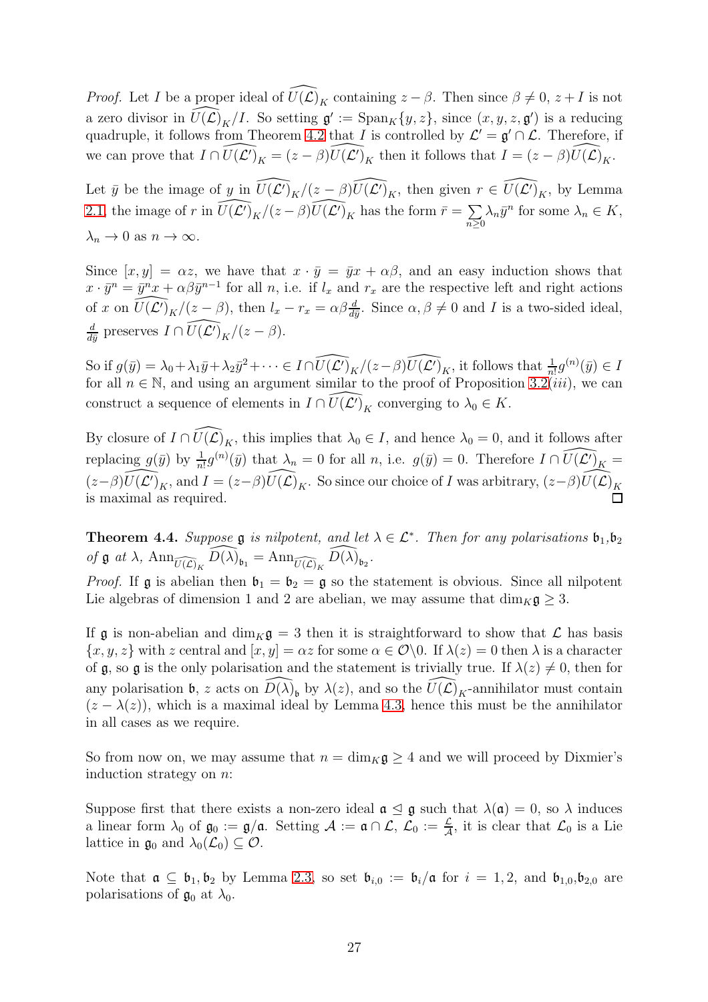*Proof.* Let I be a proper ideal of  $\widehat{U}(\widehat{\mathcal{L}})$ <sub>K</sub> containing  $z - \beta$ . Then since  $\beta \neq 0, z + I$  is not a zero divisor in  $\widehat{U(\mathcal{L})}_K/I$ . So setting  $\mathfrak{g}' := \text{Span}_K\{y, z\}$ , since  $(x, y, z, \mathfrak{g}')$  is a reducing quadruple, it follows from Theorem [4.2](#page-25-1) that I is controlled by  $\mathcal{L}' = \mathfrak{g}' \cap \mathcal{L}$ . Therefore, if we can prove that  $I \cap \widehat{U(\mathcal{L}')}_K = (z - \beta) \widehat{U(\mathcal{L}')}_K$  then it follows that  $I = (z - \beta) \widehat{U(\mathcal{L})}_K$ .

Let  $\bar{y}$  be the image of  $y$  in  $\widehat{U(\mathcal{L}')}_K/(z-\beta)\widehat{U(\mathcal{L}')}_K$ , then given  $r \in \widehat{U(\mathcal{L}')}_K$ , by Lemma [2.1,](#page-6-1) the image of r in  $\widehat{U(\mathcal{L}')}_K/(z-\beta)\widehat{U(\mathcal{L}')}_K$  has the form  $\bar{r} = \sum_{\alpha}$  $\sum_{n\geq 0} \lambda_n \bar{y}^n$  for some  $\lambda_n \in K$ ,  $\lambda_n \to 0$  as  $n \to \infty$ .

Since  $[x, y] = \alpha z$ , we have that  $x \cdot \bar{y} = \bar{y}x + \alpha \beta$ , and an easy induction shows that  $x \cdot \bar{y}^n = \bar{y}^n x + \alpha \beta \bar{y}^{n-1}$  for all n, i.e. if  $l_x$  and  $r_x$  are the respective left and right actions of x on  $\widehat{U(\mathcal{L}')}_K/(z-\beta)$ , then  $l_x - r_x = \alpha \beta \frac{d}{d\bar{y}}$ . Since  $\alpha, \beta \neq 0$  and I is a two-sided ideal, d  $\frac{d}{d\bar{y}}$  preserves  $I \cap \widehat{U(\mathcal{L}')}_{K}/(z - \beta)$ .

So if  $g(\bar{y}) = \lambda_0 + \lambda_1 \bar{y} + \lambda_2 \bar{y}^2 + \cdots \in I \cap \widehat{U(\mathcal{L}')}_K / (z - \beta) \widehat{U(\mathcal{L}')}_K$ , it follows that  $\frac{1}{n!} g^{(n)}(\bar{y}) \in I$ for all  $n \in \mathbb{N}$ , and using an argument similar to the proof of Proposition [3.2\(](#page-16-0)*iii*), we can construct a sequence of elements in  $I \cap \widehat{U(\mathcal{L}')_K}$  converging to  $\lambda_0 \in K$ .

By closure of  $I \cap \widehat{U(\mathcal{L})}_K$ , this implies that  $\lambda_0 \in I$ , and hence  $\lambda_0 = 0$ , and it follows after replacing  $g(\bar{y})$  by  $\frac{1}{n!}g^{(n)}(\bar{y})$  that  $\lambda_n = 0$  for all n, i.e.  $g(\bar{y}) = 0$ . Therefore  $I \cap \widehat{U(\mathcal{L}')}_{K} =$  $(z-\beta)\widehat{U(\mathcal{L}')}_K$ , and  $I = (z-\beta)\widehat{U(\mathcal{L})}_K$ . So since our choice of I was arbitrary,  $(z-\beta)\widehat{U(\mathcal{L})}_K$ is maximal as required.

<span id="page-26-0"></span>**Theorem 4.4.** Suppose  $\mathfrak g$  is nilpotent, and let  $\lambda \in \mathcal L^*$ . Then for any polarisations  $\mathfrak b_1, \mathfrak b_2$ of  $\mathfrak g$  at  $\lambda$ ,  $\text{Ann}_{\widehat{U(\mathcal{L})}_K} \widehat{D(\lambda)}_{\mathfrak b_1} = \text{Ann}_{\widehat{U(\mathcal{L})}_K} \widehat{D(\lambda)}_{\mathfrak b_2}.$ 

*Proof.* If  $\mathfrak g$  is abelian then  $\mathfrak b_1 = \mathfrak b_2 = \mathfrak g$  so the statement is obvious. Since all nilpotent Lie algebras of dimension 1 and 2 are abelian, we may assume that  $\dim_K \mathfrak{g} \geq 3$ .

If g is non-abelian and  $\dim_K g = 3$  then it is straightforward to show that  $\mathcal L$  has basis  ${x, y, z}$  with z central and  $[x, y] = \alpha z$  for some  $\alpha \in \mathcal{O}\backslash 0$ . If  $\lambda(z) = 0$  then  $\lambda$  is a character of g, so g is the only polarisation and the statement is trivially true. If  $\lambda(z) \neq 0$ , then for any polarisation **b**, z acts on  $\widehat{D(\lambda)}_b$  by  $\lambda(z)$ , and so the  $\widehat{U(\mathcal{L})}_K$ -annihilator must contain  $(z - \lambda(z))$ , which is a maximal ideal by Lemma [4.3,](#page-25-2) hence this must be the annihilator in all cases as we require.

So from now on, we may assume that  $n = \dim_K \mathfrak{g} \geq 4$  and we will proceed by Dixmier's induction strategy on n:

Suppose first that there exists a non-zero ideal  $\mathfrak{a} \leq \mathfrak{g}$  such that  $\lambda(\mathfrak{a}) = 0$ , so  $\lambda$  induces a linear form  $\lambda_0$  of  $\mathfrak{g}_0 := \mathfrak{g}/\mathfrak{a}$ . Setting  $\mathcal{A} := \mathfrak{a} \cap \mathcal{L}$ ,  $\mathcal{L}_0 := \frac{\mathcal{L}}{\mathcal{A}}$ , it is clear that  $\mathcal{L}_0$  is a Lie lattice in  $\mathfrak{g}_0$  and  $\lambda_0(\mathcal{L}_0) \subseteq \mathcal{O}$ .

Note that  $\mathfrak{a} \subseteq \mathfrak{b}_1, \mathfrak{b}_2$  by Lemma [2.3,](#page-7-2) so set  $\mathfrak{b}_{i,0} := \mathfrak{b}_i/\mathfrak{a}$  for  $i = 1,2$ , and  $\mathfrak{b}_{1,0}, \mathfrak{b}_{2,0}$  are polarisations of  $\mathfrak{g}_0$  at  $\lambda_0$ .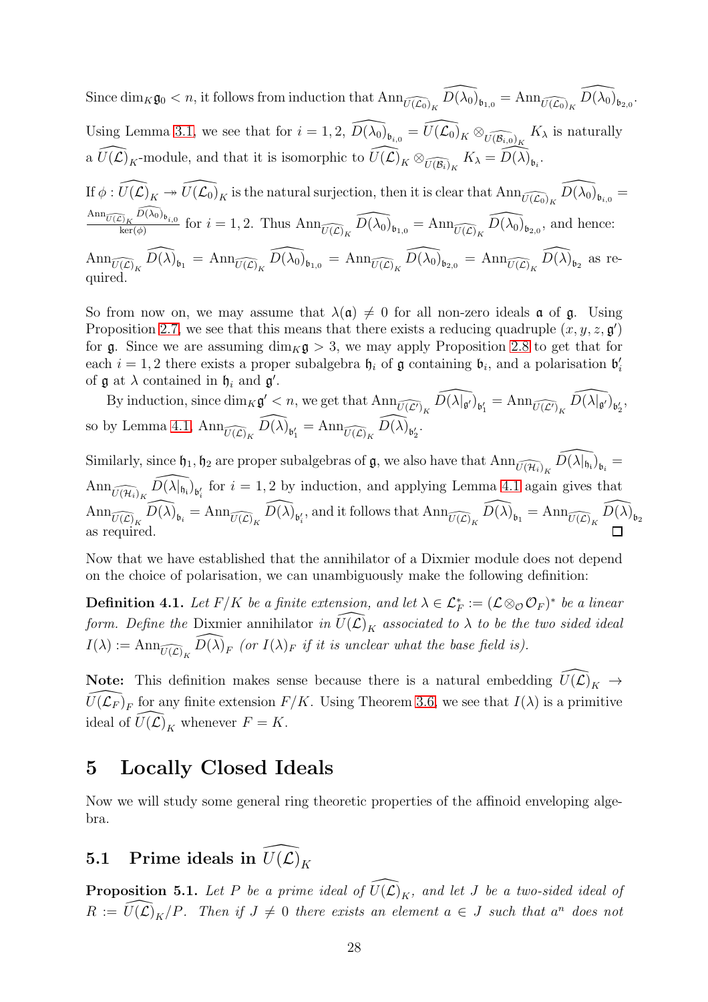Since  $\dim_K \mathfrak{g}_0 < n$ , it follows from induction that  $\text{Ann}_{\widehat{U(\mathcal{L}_0)}_K} \widehat{D(\lambda_0)}_{\mathfrak{b}_{1,0}} = \text{Ann}_{\widehat{U(\mathcal{L}_0)}_K} \widehat{D(\lambda_0)}_{\mathfrak{b}_{2,0}}$ . Using Lemma [3.1,](#page-14-2) we see that for  $i = 1, 2$ ,  $\widehat{D(\lambda_0)}_{\mathfrak{b}_{i,0}} = \widehat{U(\mathcal{L}_0)}_K \otimes_{\widehat{U(\mathcal{B}_{i,0})}_K} K_\lambda$  is naturally a  $\widehat{U(\mathcal{L})}_K$ -module, and that it is isomorphic to  $\widehat{U(\mathcal{L})}_K \otimes_{\widehat{U(\mathcal{B}_i)}_K} K_\lambda = \widehat{D(\lambda)}_{\mathfrak{b}_i}$ . If  $\phi: \widehat{U(\mathcal{L})}_K \twoheadrightarrow \widehat{U(\mathcal{L}_0)}_K$  is the natural surjection, then it is clear that  $\text{Ann}_{\widehat{U(\mathcal{L}_0)}_K} \widehat{D(\lambda_0)}_{\mathfrak{b}_{i,0}} =$  $\mathrm{Ann}_{\widehat{U(\mathcal{L})}_K}\widehat{D(\lambda_0)}_{{\mathfrak{b}}_{i,0}}$  $\overline{\lim}_{\text{ker}(\phi)}^{\overline{D}_K(D(\lambda_0))_{\mathfrak{b}_{i,0}}}$  for  $i = 1, 2$ . Thus  $\text{Ann}_{\widehat{U(\mathcal{L})}_K}^{\overline{D}(\lambda_0)}\widehat{D(\lambda_0)}_{\mathfrak{b}_{1,0}} = \text{Ann}_{\widehat{U(\mathcal{L})}_K}^{\overline{D}(\lambda_0)}\widehat{D(\lambda_0)}_{\mathfrak{b}_{2,0}},$  and hence:  $\text{Ann}_{\widehat{U(\mathcal{L})}_K}\widehat{D(\lambda)}_{\mathfrak{b}_1} = \text{Ann}_{\widehat{U(\mathcal{L})}_K}\widehat{D(\lambda_0)}_{\mathfrak{b}_{1,0}} = \text{Ann}_{\widehat{U(\mathcal{L})}_K}\widehat{D(\lambda_0)}_{\mathfrak{b}_{2,0}} = \text{Ann}_{\widehat{U(\mathcal{L})}_K}\widehat{D(\lambda)}_{\mathfrak{b}_2}$  as required.

So from now on, we may assume that  $\lambda(\mathfrak{a}) \neq 0$  for all non-zero ideals **a** of **g**. Using Proposition [2.7,](#page-10-0) we see that this means that there exists a reducing quadruple  $(x, y, z, \mathfrak{g})$ for g. Since we are assuming  $\dim_K g > 3$ , we may apply Proposition [2.8](#page-10-1) to get that for each  $i = 1, 2$  there exists a proper subalgebra  $\mathfrak{h}_i$  of  $\mathfrak g$  containing  $\mathfrak{b}_i$ , and a polarisation  $\mathfrak{b}'_i$ of  $\mathfrak g$  at  $\lambda$  contained in  $\mathfrak h_i$  and  $\mathfrak g'$ .

By induction, since  $\dim_K \mathfrak{g}' < n$ , we get that  $\text{Ann}_{\widehat{U(\mathcal{L}')}_K} \widehat{D(\lambda|_{\mathfrak{g}'})}_{\mathfrak{b}'_1} = \text{Ann}_{\widehat{U(\mathcal{L}')}_K} \widehat{D(\lambda|_{\mathfrak{g}'})}_{\mathfrak{b}'_2}$ , so by Lemma [4.1,](#page-24-2)  $\text{Ann}_{\widehat{U(\mathcal{L})}_K} \widehat{D(\lambda)}_{\mathfrak{b}'_1} = \text{Ann}_{\widehat{U(\mathcal{L})}_K} \widehat{D(\lambda)}_{\mathfrak{b}'_2}.$ 

Similarly, since  $\mathfrak{h}_1, \mathfrak{h}_2$  are proper subalgebras of  $\mathfrak{g}$ , we also have that  $\text{Ann}_{\widehat{U(\mathcal{H}_i)}_K} \widehat{D(\lambda|_{\mathfrak{h}_i})}_{\mathfrak{b}_i}$  $\text{Ann}_{\widehat{U(\mathcal{H}_i)}_K} \widehat{D(\lambda|_{\mathfrak{h}_i})}_{\mathfrak{b}'_i}$  for  $i = 1, 2$  by induction, and applying Lemma [4.1](#page-24-2) again gives that  $\text{Ann}_{\widehat{U(\mathcal{L})}_K}\widehat{D(\lambda)}_{\mathfrak{b}_i} = \text{Ann}_{\widehat{U(\mathcal{L})}_K}\widehat{D(\lambda)}_{\mathfrak{b}'_i}$ , and it follows that  $\text{Ann}_{\widehat{U(\mathcal{L})}_K}\widehat{D(\lambda)}_{\mathfrak{b}_1} = \text{Ann}_{\widehat{U(\mathcal{L})}_K}\widehat{D(\lambda)}_{\mathfrak{b}_2}$ as required.

Now that we have established that the annihilator of a Dixmier module does not depend on the choice of polarisation, we can unambiguously make the following definition:

**Definition 4.1.** Let  $F/K$  be a finite extension, and let  $\lambda \in \mathcal{L}_F^* := (\mathcal{L} \otimes_{\mathcal{O}} \mathcal{O}_F)^*$  be a linear form. Define the Dixmier annihilator in  $\widehat{U}(\mathcal{L})_K$  associated to  $\lambda$  to be the two sided ideal  $I(\lambda) := \text{Ann}_{\widehat{U(\mathcal{L})_K}} \widehat{D(\lambda)}_F$  (or  $I(\lambda)_F$  if it is unclear what the base field is).

**Note:** This definition makes sense because there is a natural embedding  $\widehat{U}(\widehat{\mathcal{L}})_{K} \rightarrow$  $\widehat{U(\mathcal{L}_F)}_F$  for any finite extension  $F/K$ . Using Theorem [3.6,](#page-23-1) we see that  $I(\lambda)$  is a primitive ideal of  $\widehat{U}(\widehat{\mathcal{L}})_K$  whenever  $F = K$ .

# <span id="page-27-0"></span>5 Locally Closed Ideals

Now we will study some general ring theoretic properties of the affinoid enveloping algebra.

# <span id="page-27-1"></span>**5.1** Prime ideals in  $\widehat{U}(\widehat{\mathcal{L}})_K$

<span id="page-27-2"></span>**Proposition 5.1.** Let P be a prime ideal of  $\widehat{U(L)}_K$ , and let J be a two-sided ideal of  $R := \widehat{U(\mathcal{L})}_K/P$ . Then if  $J \neq 0$  there exists an element  $a \in J$  such that  $a^n$  does not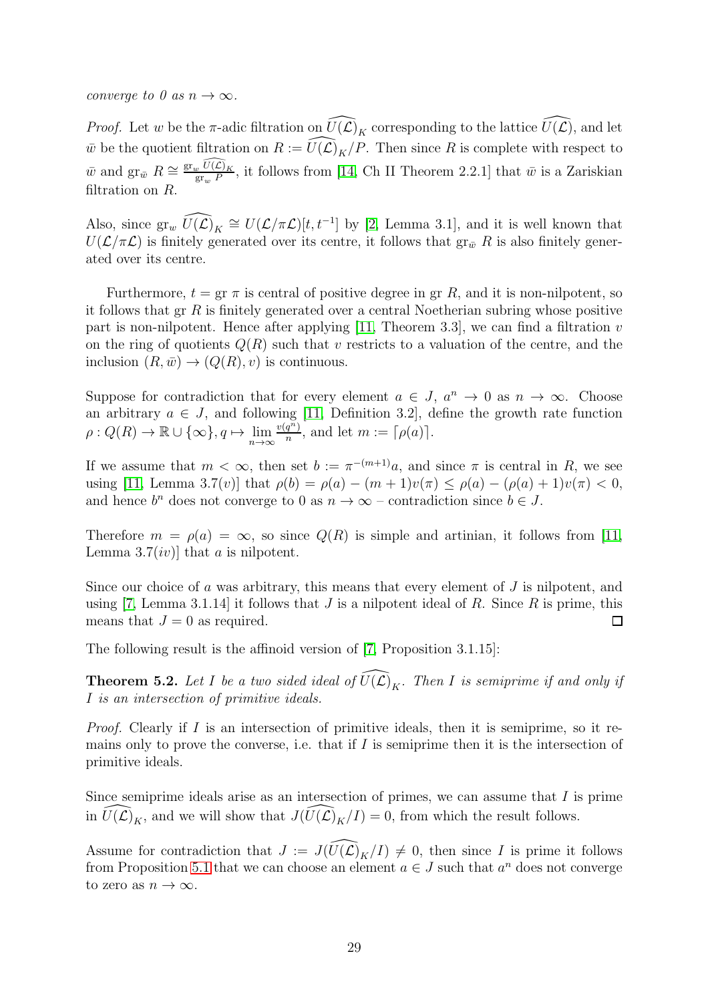converge to 0 as  $n \to \infty$ .

*Proof.* Let w be the  $\pi$ -adic filtration on  $\widehat{U(\mathcal{L})}_K$  corresponding to the lattice  $\widehat{U(\mathcal{L})}$ , and let  $\overline{w}$  be the quotient filtration on  $R := \widehat{U(\mathcal{L})}_K/P$ . Then since R is complete with respect to  $\bar{w}$  and  $\operatorname{gr}_{\bar{w}} R \cong \frac{\operatorname{gr}_{w} \widehat{U(\mathcal{L})}_{K}}{\operatorname{gr}_{P}}$  $\frac{g_v C(E)}{g_{\text{F}_w} P}$ , it follows from [\[14,](#page-51-4) Ch II Theorem 2.2.1] that  $\bar{w}$  is a Zariskian filtration on R.

Also, since  $\text{gr}_{w}$   $\widehat{U(\mathcal{L})}_K \cong U(\mathcal{L}/\pi\mathcal{L})[t, t^{-1}]$  by [\[2,](#page-50-3) Lemma 3.1], and it is well known that  $U(\mathcal{L}/\pi\mathcal{L})$  is finitely generated over its centre, it follows that  $gr_{\bar{w}} R$  is also finitely generated over its centre.

Furthermore,  $t = \text{gr } \pi$  is central of positive degree in gr R, and it is non-nilpotent, so it follows that  $gr R$  is finitely generated over a central Noetherian subring whose positive part is non-nilpotent. Hence after applying  $[11,$  Theorem 3.3, we can find a filtration v on the ring of quotients  $Q(R)$  such that v restricts to a valuation of the centre, and the inclusion  $(R,\bar{w}) \rightarrow (Q(R),v)$  is continuous.

Suppose for contradiction that for every element  $a \in J$ ,  $a^n \to 0$  as  $n \to \infty$ . Choose an arbitrary  $a \in J$ , and following [\[11,](#page-51-6) Definition 3.2], define the growth rate function  $\rho: Q(R) \to \mathbb{R} \cup {\infty}, q \mapsto \lim_{n \to \infty} \frac{v(q^n)}{n}$  $\frac{q^{n}}{n}$ , and let  $m := \lceil \rho(a) \rceil$ .

If we assume that  $m < \infty$ , then set  $b := \pi^{-(m+1)}a$ , and since  $\pi$  is central in R, we see using [\[11,](#page-51-6) Lemma 3.7(v)] that  $\rho(b) = \rho(a) - (m+1)v(\pi) \leq \rho(a) - (\rho(a)+1)v(\pi) < 0$ , and hence  $b^n$  does not converge to 0 as  $n \to \infty$  – contradiction since  $b \in J$ .

Therefore  $m = \rho(a) = \infty$ , so since  $Q(R)$  is simple and artinian, it follows from [\[11,](#page-51-6) Lemma 3.7(*iv*)] that *a* is nilpotent.

Since our choice of a was arbitrary, this means that every element of  $J$  is nilpotent, and using [\[7,](#page-50-0) Lemma 3.1.14] it follows that  $J$  is a nilpotent ideal of  $R$ . Since  $R$  is prime, this means that  $J = 0$  as required.  $\Box$ 

The following result is the affinoid version of [\[7,](#page-50-0) Proposition 3.1.15]:

<span id="page-28-0"></span>**Theorem 5.2.** Let I be a two sided ideal of  $\widehat{U(L)}_K$ . Then I is semiprime if and only if I is an intersection of primitive ideals.

*Proof.* Clearly if I is an intersection of primitive ideals, then it is semiprime, so it remains only to prove the converse, i.e. that if  $I$  is semiprime then it is the intersection of primitive ideals.

Since semiprime ideals arise as an intersection of primes, we can assume that  $I$  is prime in  $\widehat{U(\mathcal{L})}_K$ , and we will show that  $J(\widehat{U(\mathcal{L})}_K/I) = 0$ , from which the result follows.

Assume for contradiction that  $J := J(\widehat{U(\mathcal{L})}_K/I) \neq 0$ , then since I is prime it follows from Proposition [5.1](#page-27-2) that we can choose an element  $a \in J$  such that  $a^n$  does not converge to zero as  $n \to \infty$ .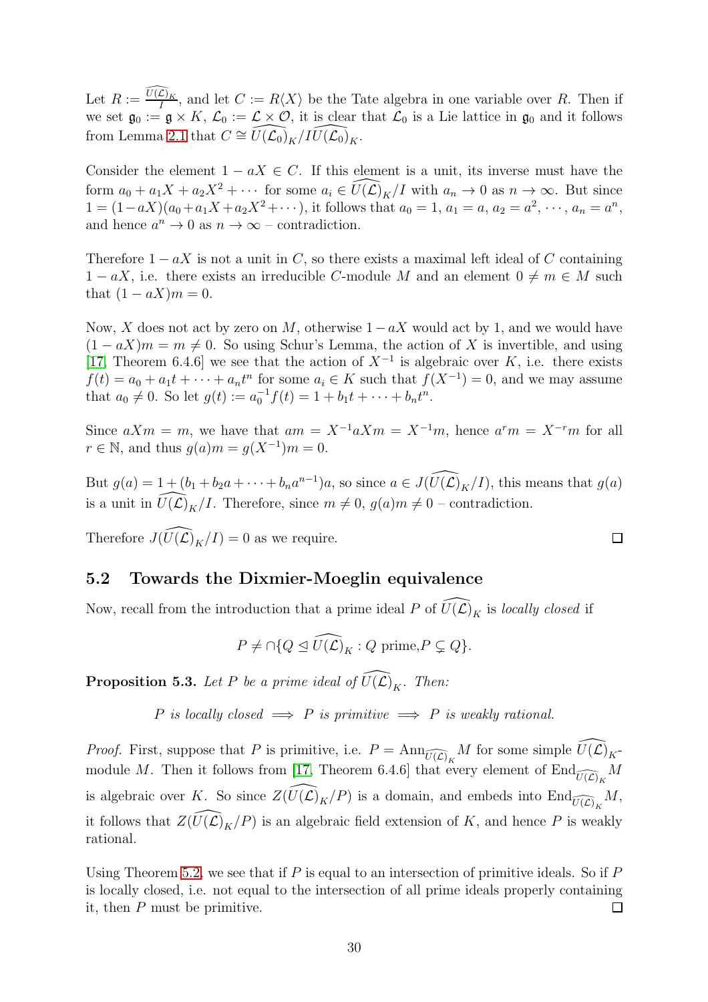Let  $R := \frac{\widehat{U(\mathcal{L})}_K}{I}$  $\frac{L_{K}}{I}$ , and let  $C := R\langle X \rangle$  be the Tate algebra in one variable over R. Then if we set  $\mathfrak{g}_0 := \mathfrak{g} \times K$ ,  $\mathcal{L}_0 := \mathcal{L} \times \mathcal{O}$ , it is clear that  $\mathcal{L}_0$  is a Lie lattice in  $\mathfrak{g}_0$  and it follows from Lemma [2.1](#page-6-1) that  $C \cong U(\mathcal{L}_0)_{K}/IU(\mathcal{L}_0)_{K}$ .

Consider the element  $1 - aX \in C$ . If this element is a unit, its inverse must have the form  $a_0 + a_1X + a_2X^2 + \cdots$  for some  $a_i \in \widehat{U}(\widehat{\mathcal{L}})_{\widehat{K}}/I$  with  $a_n \to 0$  as  $n \to \infty$ . But since  $1 = (1 - aX)(a_0 + a_1X + a_2X^2 + \cdots),$  it follows that  $a_0 = 1, a_1 = a, a_2 = a^2, \cdots, a_n = a^n$ , and hence  $a^n \to 0$  as  $n \to \infty$  – contradiction.

Therefore  $1 - aX$  is not a unit in C, so there exists a maximal left ideal of C containing  $1 - aX$ , i.e. there exists an irreducible C-module M and an element  $0 \neq m \in M$  such that  $(1 - aX)m = 0$ .

Now, X does not act by zero on M, otherwise  $1-aX$  would act by 1, and we would have  $(1 - aX)m = m \neq 0$ . So using Schur's Lemma, the action of X is invertible, and using [\[17,](#page-51-7) Theorem 6.4.6] we see that the action of  $X^{-1}$  is algebraic over K, i.e. there exists  $f(t) = a_0 + a_1 t + \cdots + a_n t^n$  for some  $a_i \in K$  such that  $f(X^{-1}) = 0$ , and we may assume that  $a_0 \neq 0$ . So let  $g(t) := a_0^{-1} f(t) = 1 + b_1 t + \cdots + b_n t^n$ .

Since  $aXm = m$ , we have that  $am = X^{-1}aXm = X^{-1}m$ , hence  $a^r m = X^{-r}m$  for all  $r \in \mathbb{N}$ , and thus  $g(a)m = g(X^{-1})m = 0$ .

But  $g(a) = 1 + (b_1 + b_2 a + \cdots + b_n a^{n-1})a$ , so since  $a \in J(\widehat{U(\mathcal{L})}_K/I)$ , this means that  $g(a)$ is a unit in  $\widehat{U(\mathcal{L})}_K/I$ . Therefore, since  $m \neq 0$ ,  $g(a)m \neq 0$  – contradiction.

 $\Box$ 

Therefore  $J(\widehat{U(\mathcal{L})}_{K}/I) = 0$  as we require.

#### <span id="page-29-0"></span>5.2 Towards the Dixmier-Moeglin equivalence

Now, recall from the introduction that a prime ideal P of  $\widehat{U(\mathcal{L})}_K$  is locally closed if

$$
P \neq \bigcap \{ Q \leq \widehat{U(\mathcal{L})}_K : Q \text{ prime}, P \subsetneq Q \}.
$$

<span id="page-29-1"></span>**Proposition 5.3.** Let P be a prime ideal of  $\widehat{U(L)}_K$ . Then:

P is locally closed  $\implies$  P is primitive  $\implies$  P is weakly rational.

*Proof.* First, suppose that P is primitive, i.e.  $P = \text{Ann}_{\widehat{U(\mathcal{L})}_K} M$  for some simple  $\widehat{U(\mathcal{L})}_K$ -module M. Then it follows from [\[17,](#page-51-7) Theorem 6.4.6] that every element of  $\text{End}_{\widehat{U(\mathcal{L})}_K} M$ is algebraic over K. So since  $Z(\widehat{U(\mathcal{L})}_K/P)$  is a domain, and embeds into  $\text{End}_{\widehat{U(\mathcal{L})}_K}M$ , it follows that  $Z(\widehat{U(\mathcal{L})}_K/P)$  is an algebraic field extension of K, and hence P is weakly rational.

Using Theorem [5.2,](#page-28-0) we see that if  $P$  is equal to an intersection of primitive ideals. So if  $P$ is locally closed, i.e. not equal to the intersection of all prime ideals properly containing it, then P must be primitive.  $\Box$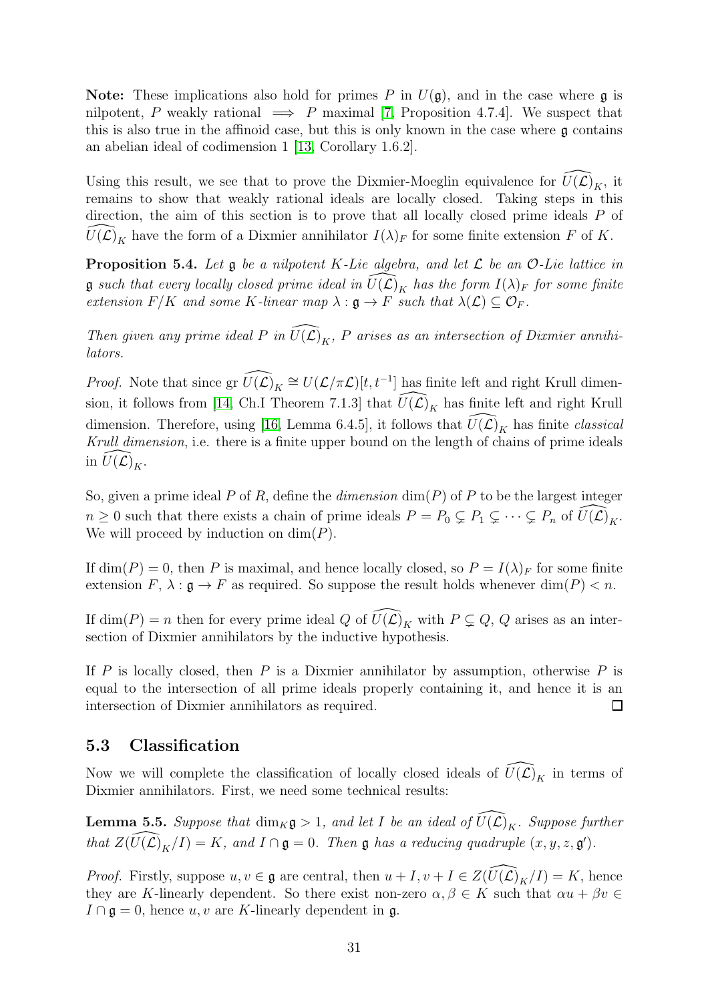**Note:** These implications also hold for primes P in  $U(\mathfrak{g})$ , and in the case where  $\mathfrak{g}$  is nilpotent, P weakly rational  $\implies$  P maximal [\[7,](#page-50-0) Proposition 4.7.4]. We suspect that this is also true in the affinoid case, but this is only known in the case where  $\mathfrak g$  contains an abelian ideal of codimension 1 [\[13,](#page-51-2) Corollary 1.6.2].

Using this result, we see that to prove the Dixmier-Moeglin equivalence for  $U(\mathcal{L})_K$ , it remains to show that weakly rational ideals are locally closed. Taking steps in this direction, the aim of this section is to prove that all locally closed prime ideals P of  $U(\mathcal{L})_K$  have the form of a Dixmier annihilator  $I(\lambda)_F$  for some finite extension F of K.

<span id="page-30-2"></span>**Proposition 5.4.** Let  $\mathfrak g$  be a nilpotent K-Lie algebra, and let  $\mathcal L$  be an O-Lie lattice in **g** such that every locally closed prime ideal in  $U(\mathcal{L})_K$  has the form  $I(\lambda)_F$  for some finite extension  $F/K$  and some K-linear map  $\lambda : \mathfrak{g} \to F$  such that  $\lambda(\mathcal{L}) \subseteq \mathcal{O}_F$ .

Then given any prime ideal P in  $\widehat{U(\mathcal{L})}_K$ , P arises as an intersection of Dixmier annihilators.

*Proof.* Note that since  $\text{gr } \widehat{U(\mathcal{L})}_K \cong U(\mathcal{L}/\pi\mathcal{L})[t, t^{-1}]$  has finite left and right Krull dimen-sion, it follows from [\[14,](#page-51-4) Ch.I Theorem 7.1.3] that  $\widehat{U(\mathcal{L})}_K$  has finite left and right Krull dimension. Therefore, using [\[16,](#page-51-0) Lemma 6.4.5], it follows that  $\widehat{U}(\mathcal{L})_K$  has finite classical Krull dimension, i.e. there is a finite upper bound on the length of chains of prime ideals in  $\widehat{U}(\widehat{\mathcal{L}})_{K}$ .

So, given a prime ideal P of R, define the *dimension*  $\dim(P)$  of P to be the largest integer  $n \geq 0$  such that there exists a chain of prime ideals  $P = P_0 \subsetneq P_1 \subsetneq \cdots \subsetneq P_n$  of  $\widehat{U(\mathcal{L})}_K$ . We will proceed by induction on  $\dim(P)$ .

If  $\dim(P) = 0$ , then P is maximal, and hence locally closed, so  $P = I(\lambda)$  for some finite extension  $F$ ,  $\lambda : \mathfrak{g} \to F$  as required. So suppose the result holds whenever dim(P) < n.

If dim(P) = n then for every prime ideal Q of  $\widehat{U}(\widehat{\mathcal{L}})_K$  with  $P \subsetneq Q$ , Q arises as an intersection of Dixmier annihilators by the inductive hypothesis.

If P is locally closed, then P is a Dixmier annihilator by assumption, otherwise P is equal to the intersection of all prime ideals properly containing it, and hence it is an intersection of Dixmier annihilators as required.  $\Box$ 

#### <span id="page-30-0"></span>5.3 Classification

Now we will complete the classification of locally closed ideals of  $\widehat{U(\mathcal{L})}_K$  in terms of Dixmier annihilators. First, we need some technical results:

<span id="page-30-1"></span>**Lemma 5.5.** Suppose that  $\dim_K \mathfrak{g} > 1$ , and let I be an ideal of  $\widehat{U(L)}_K$ . Suppose further that  $Z(\widehat{U(\mathcal{L})}_K/I) = K$ , and  $I \cap \mathfrak{g} = 0$ . Then  $\mathfrak{g}$  has a reducing quadruple  $(x, y, z, \mathfrak{g}')$ .

*Proof.* Firstly, suppose  $u, v \in \mathfrak{g}$  are central, then  $u + I, v + I \in Z(\tilde{U}(\mathcal{L})_K/I) = K$ , hence they are K-linearly dependent. So there exist non-zero  $\alpha, \beta \in K$  such that  $\alpha u + \beta v \in$  $I \cap \mathfrak{g} = 0$ , hence  $u, v$  are K-linearly dependent in  $\mathfrak{g}$ .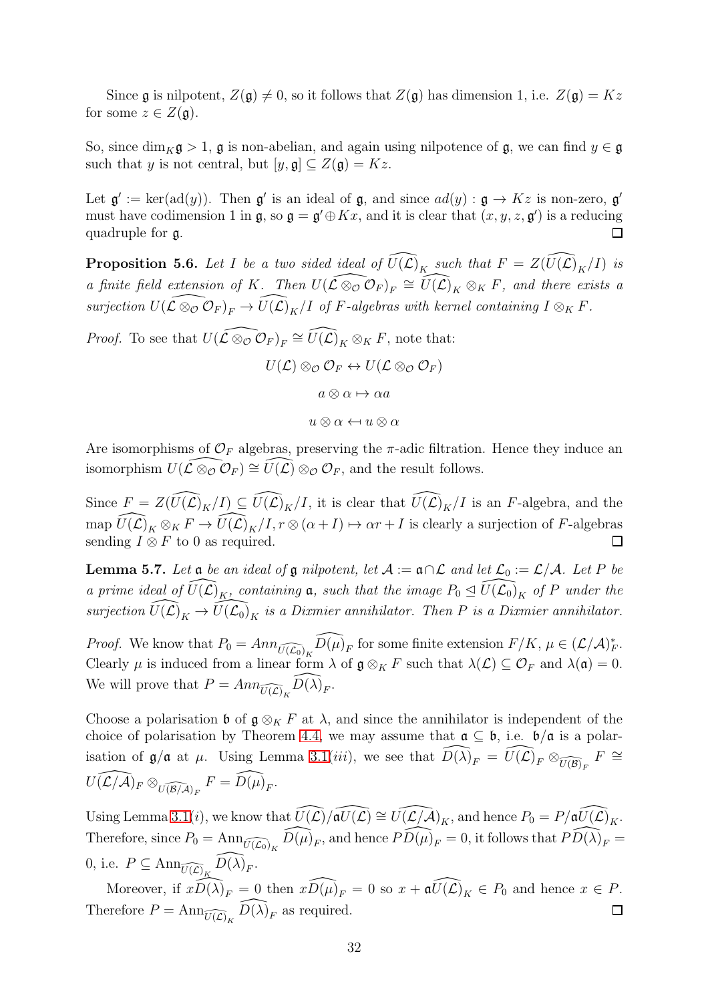Since g is nilpotent,  $Z(\mathfrak{g}) \neq 0$ , so it follows that  $Z(\mathfrak{g})$  has dimension 1, i.e.  $Z(\mathfrak{g}) = Kz$ for some  $z \in Z(\mathfrak{g})$ .

So, since  $\dim_K \mathfrak{g} > 1$ ,  $\mathfrak{g}$  is non-abelian, and again using nilpotence of  $\mathfrak{g}$ , we can find  $y \in \mathfrak{g}$ such that y is not central, but  $[y, \mathfrak{g}] \subseteq Z(\mathfrak{g}) = Kz$ .

Let  $\mathfrak{g}' := \ker(\text{ad}(y))$ . Then  $\mathfrak{g}'$  is an ideal of  $\mathfrak{g}$ , and since  $ad(y) : \mathfrak{g} \to Kz$  is non-zero,  $\mathfrak{g}'$ must have codimension 1 in  $\mathfrak{g}$ , so  $\mathfrak{g} = \mathfrak{g}' \oplus Kx$ , and it is clear that  $(x, y, z, \mathfrak{g}')$  is a reducing quadruple for g.  $\Box$ 

<span id="page-31-1"></span>**Proposition 5.6.** Let I be a two sided ideal of  $\widehat{U(L)}_K$  such that  $F = Z(\widehat{U(L)}_K/I)$  is a finite field extension of K. Then  $U(\widehat{L \otimes_{\mathcal{O}} C_F})_F \cong \widehat{U(L)}_K \otimes_K F$ , and there exists a surjection  $U(\widetilde{\mathcal{L}} \otimes_{\mathcal{O}} \widetilde{\mathcal{O}}_F)_F \to \widetilde{U}(\widetilde{\mathcal{L}})_K/I$  of F-algebras with kernel containing  $I \otimes_K F$ .

*Proof.* To see that  $U(\widehat{L \otimes_{\mathcal{O}}} \mathcal{O}_F)_F \cong \widehat{U(\mathcal{L})}_K \otimes_K F$ , note that:

$$
U(\mathcal{L}) \otimes_{\mathcal{O}} \mathcal{O}_F \leftrightarrow U(\mathcal{L} \otimes_{\mathcal{O}} \mathcal{O}_F)
$$

$$
a \otimes \alpha \mapsto \alpha a
$$

$$
u \otimes \alpha \leftarrow u \otimes \alpha
$$

Are isomorphisms of  $\mathcal{O}_F$  algebras, preserving the  $\pi$ -adic filtration. Hence they induce an isomorphism  $U(\widehat{\mathcal{L}\otimes_{\mathcal{O}}\mathcal{O}_F})\cong \widehat{U(\mathcal{L})}\otimes_{\mathcal{O}}\mathcal{O}_F$ , and the result follows.

Since  $F = Z(\widehat{U(\mathcal{L})}_K/I) \subseteq \widehat{U(\mathcal{L})}_K/I$ , it is clear that  $\widehat{U(\mathcal{L})}_K/I$  is an F-algebra, and the map  $\widehat{U(\mathcal{L})}_K \otimes_K F \to \widehat{U(\mathcal{L})}_K/I$ ,  $r \otimes (\alpha + I) \mapsto \alpha r + I$  is clearly a surjection of F-algebras sending  $I \otimes F$  to 0 as required. sending  $I \otimes F$  to 0 as required.

<span id="page-31-0"></span>**Lemma 5.7.** Let  $\mathfrak a$  be an ideal of  $\mathfrak g$  nilpotent, let  $\mathcal A := \mathfrak a \cap \mathcal L$  and let  $\mathcal L_0 := \mathcal L/\mathcal A$ . Let P be a prime ideal of  $\widehat{U}(\mathcal{L})_K$ , containing  $\mathfrak{a}$ , such that the image  $P_0 \trianglelefteq \widehat{U}(\mathcal{L}_0)_K$  of P under the surjection  $\widehat{U(\mathcal{L})}_K \to \widehat{U(\mathcal{L}_0)}_K$  is a Dixmier annihilator. Then P is a Dixmier annihilator.

*Proof.* We know that  $P_0 = Ann_{\widehat{U(\mathcal{L}_0)}_K} \widehat{D(\mu)}_F$  for some finite extension  $F/K$ ,  $\mu \in (\mathcal{L}/\mathcal{A})_F^*$ . Clearly  $\mu$  is induced from a linear form  $\lambda$  of  $\mathfrak{g} \otimes_K F$  such that  $\lambda(\mathcal{L}) \subseteq \mathcal{O}_F$  and  $\lambda(\mathfrak{a}) = 0$ . We will prove that  $P = Ann_{\widehat{U(\mathcal{L})}_K}\widehat{D(\lambda)}_F$ .

Choose a polarisation b of  $\mathfrak{g} \otimes_K F$  at  $\lambda$ , and since the annihilator is independent of the choice of polarisation by Theorem [4.4,](#page-26-0) we may assume that  $\mathfrak{a} \subseteq \mathfrak{b}$ , i.e.  $\mathfrak{b}/\mathfrak{a}$  is a polarisation of  $\mathfrak{g}/\mathfrak{a}$  at  $\mu$ . Using Lemma [3.1\(](#page-14-2)*iii*), we see that  $\widehat{D(\lambda)}_F = \widehat{U(\mathcal{L})}_F \otimes_{\widehat{U(\mathcal{B})}_F} F \cong$  $U(\widehat{{\mathcal L}/{\mathcal A}})_F \otimes_{\widehat{U(\mathcal B/{\mathcal A})}_F} F = \widehat{D(\mu)}_F.$ 

Using Lemma [3.1\(](#page-14-2)i), we know that  $\widehat{U(\mathcal{L})}/\widehat{\mathfrak{a}U(\mathcal{L})} \cong \widehat{U(\mathcal{L}/\mathcal{A})}_K$ , and hence  $P_0 = P/\widehat{\mathfrak{a}U(\mathcal{L})}_K$ . Therefore, since  $P_0 = \text{Ann}_{\widehat{U(\mathcal{L}_0)}_K} \widehat{D(\mu)}_F$ , and hence  $\widehat{PD(\mu)}_F = 0$ , it follows that  $\widehat{PD(\lambda)}_F =$ 0, i.e.  $P \subseteq \text{Ann}_{\widehat{U(\mathcal{L})}_K} \widehat{D(\lambda)}_F$ .

Moreover, if  $x\widehat{D(\lambda)}_F = 0$  then  $x\widehat{D(\mu)}_F = 0$  so  $x + \widehat{\mathfrak{a}U(\mathcal{L})}_K \in P_0$  and hence  $x \in P$ . Therefore  $P = \text{Ann}_{\widehat{U(\mathcal{L})}_K} \widehat{D(\lambda)}_F$  as required.  $\Box$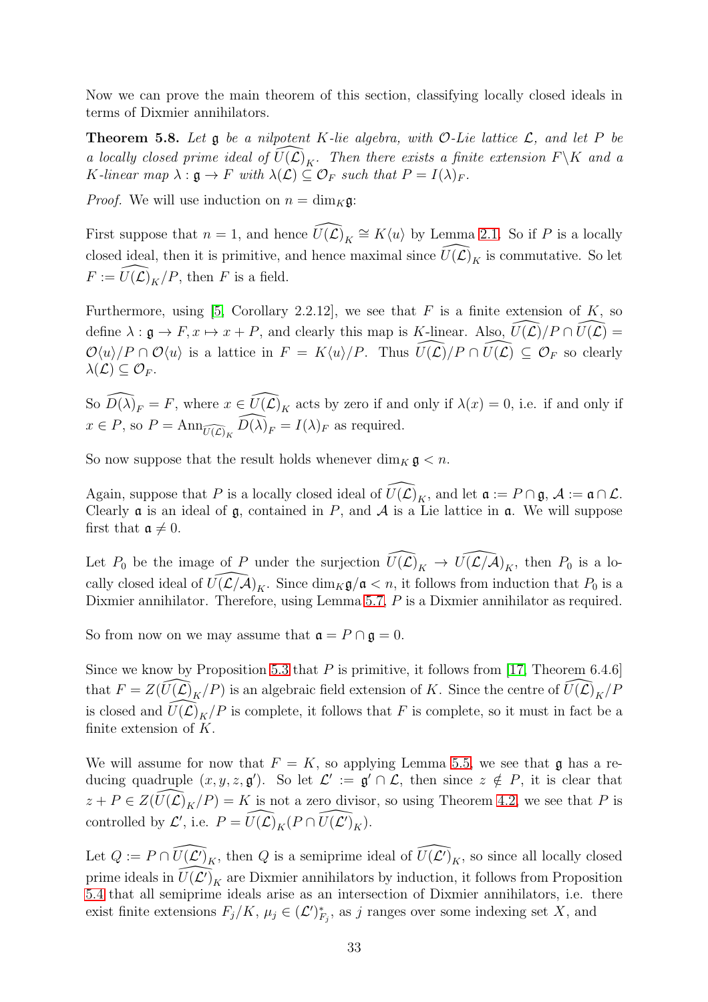Now we can prove the main theorem of this section, classifying locally closed ideals in terms of Dixmier annihilators.

<span id="page-32-0"></span>**Theorem 5.8.** Let  $\mathfrak g$  be a nilpotent K-lie algebra, with O-Lie lattice  $\mathcal L$ , and let P be a locally closed prime ideal of  $U(\mathcal{L})_K$ . Then there exists a finite extension  $F\backslash K$  and a K-linear map  $\lambda : \mathfrak{g} \to F$  with  $\lambda(\mathcal{L}) \subseteq \mathcal{O}_F$  such that  $P = I(\lambda)_F$ .

*Proof.* We will use induction on  $n = \dim_K \mathfrak{g}$ :

First suppose that  $n = 1$ , and hence  $\widehat{U(\mathcal{L})}_K \cong K\langle u \rangle$  by Lemma [2.1.](#page-6-1) So if P is a locally closed ideal, then it is primitive, and hence maximal since  $\widehat{U}(\widehat{\mathcal{L}})_K$  is commutative. So let  $F := \widehat{U}(\widehat{\mathcal{L}})_K/P$ , then F is a field.

Furthermore, using [\[5,](#page-50-4) Corollary 2.2.12], we see that  $F$  is a finite extension of  $K$ , so define  $\lambda : \mathfrak{g} \to F, x \mapsto x + P$ , and clearly this map is K-linear. Also,  $\widetilde{U}(\mathcal{L})/P \cap \widetilde{U}(\mathcal{L}) =$  $\mathcal{O}\langle u \rangle/P \cap \mathcal{O}\langle u \rangle$  is a lattice in  $F = K\langle u \rangle/P$ . Thus  $\widehat{U(\mathcal{L})}/P \cap \widehat{U(\mathcal{L})} \subseteq \mathcal{O}_F$  so clearly  $\lambda(\mathcal{L}) \subseteq \mathcal{O}_F$ .

So  $\widehat{D(\lambda)}_F = F$ , where  $x \in \widehat{U(\mathcal{L})}_K$  acts by zero if and only if  $\lambda(x) = 0$ , i.e. if and only if  $x \in P$ , so  $P = \text{Ann}_{\widehat{U(\mathcal{L})_K}} \widehat{D(\lambda)}_F = I(\lambda)_F$  as required.

So now suppose that the result holds whenever  $\dim_K \mathfrak{g} < n$ .

Again, suppose that P is a locally closed ideal of  $\widehat{U(\mathcal{L})}_K$ , and let  $\mathfrak{a} := P \cap \mathfrak{g}, \mathcal{A} := \mathfrak{a} \cap \mathcal{L}$ . Clearly  $\alpha$  is an ideal of  $\beta$ , contained in P, and A is a Lie lattice in  $\alpha$ . We will suppose first that  $\mathfrak{a} \neq 0$ .

Let  $P_0$  be the image of P under the surjection  $\widehat{U}(\widehat{\mathcal{L}})_K \to \widehat{U}(\mathcal{L}/\widehat{\mathcal{A}})_K$ , then  $P_0$  is a locally closed ideal of  $\widehat{U(L/A)}_K$ . Since  $\dim_K \mathfrak{g}/\mathfrak{a} < n$ , it follows from induction that  $P_0$  is a Dixmier annihilator. Therefore, using Lemma [5.7,](#page-31-0) P is a Dixmier annihilator as required.

So from now on we may assume that  $\mathfrak{a} = P \cap \mathfrak{g} = 0$ .

Since we know by Proposition [5.3](#page-29-1) that P is primitive, it follows from [\[17,](#page-51-7) Theorem 6.4.6] that  $F = Z(\widehat{U}(\mathcal{L})_K/P)$  is an algebraic field extension of K. Since the centre of  $\widehat{U}(\mathcal{L})_K/P$ is closed and  $\widehat{U(\mathcal{L})}_K/P$  is complete, it follows that F is complete, so it must in fact be a finite extension of  $K$ .

We will assume for now that  $F = K$ , so applying Lemma [5.5,](#page-30-1) we see that g has a reducing quadruple  $(x, y, z, \mathfrak{g}')$ . So let  $\mathcal{L}' := \mathfrak{g}' \cap \mathcal{L}$ , then since  $z \notin P$ , it is clear that  $z + P \in Z(\widehat{U}(\mathcal{L})_K/P) = K$  is not a zero divisor, so using Theorem [4.2,](#page-25-1) we see that P is controlled by  $\mathcal{L}'$ , i.e.  $P = \widehat{U(\mathcal{L})}_K(P \cap \widehat{U(\mathcal{L}')}_K)$ .

Let  $Q := P \cap \widehat{U(\mathcal{L}')}_K$ , then Q is a semiprime ideal of  $\widehat{U(\mathcal{L}')}_K$ , so since all locally closed prime ideals in  $\widehat{U(\mathcal{L}')}_K$  are Dixmier annihilators by induction, it follows from Proposition [5.4](#page-30-2) that all semiprime ideals arise as an intersection of Dixmier annihilators, i.e. there exist finite extensions  $F_j/K$ ,  $\mu_j \in (\mathcal{L}')^*_{F_j}$ , as j ranges over some indexing set X, and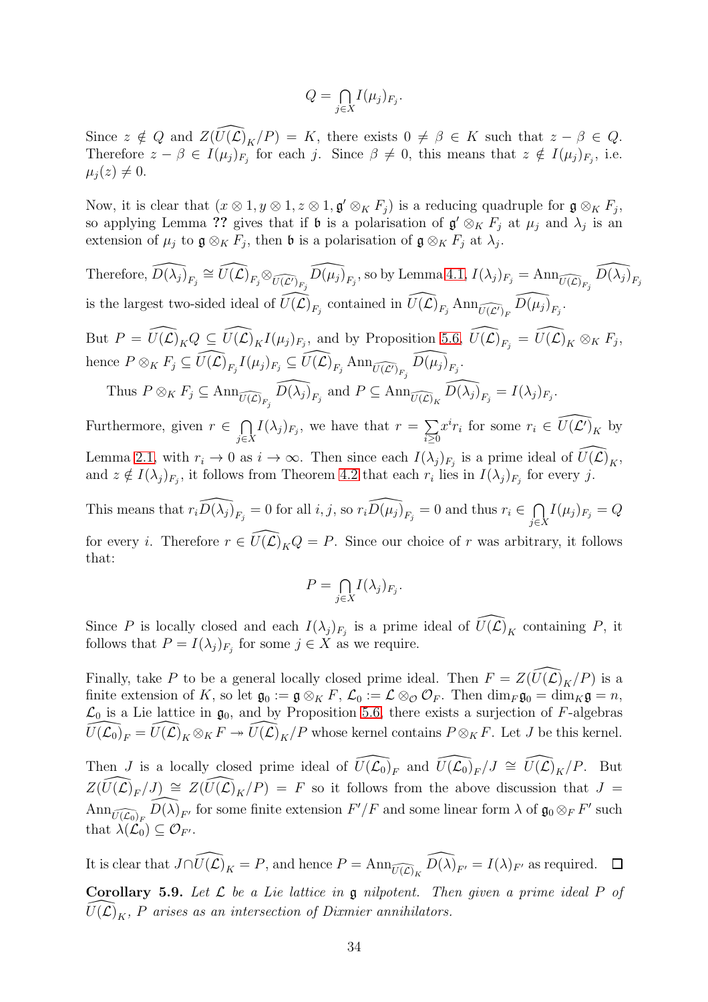$$
Q = \bigcap_{j \in X} I(\mu_j)_{F_j}.
$$

Since  $z \notin Q$  and  $Z(\widehat{U}(\mathcal{L})_K/P) = K$ , there exists  $0 \neq \beta \in K$  such that  $z - \beta \in Q$ . Therefore  $z - \beta \in I(\mu_j)_{F_j}$  for each j. Since  $\beta \neq 0$ , this means that  $z \notin I(\mu_j)_{F_j}$ , i.e.  $\mu_i(z) \neq 0.$ 

Now, it is clear that  $(x \otimes 1, y \otimes 1, z \otimes 1, \mathfrak{g}' \otimes_K F_j)$  is a reducing quadruple for  $\mathfrak{g} \otimes_K F_j$ , so applying Lemma ?? gives that if  $\mathfrak b$  is a polarisation of  $\mathfrak g' \otimes_K F_j$  at  $\mu_j$  and  $\lambda_j$  is an extension of  $\mu_j$  to  $\mathfrak{g} \otimes_K F_j$ , then  $\mathfrak{b}$  is a polarisation of  $\mathfrak{g} \otimes_K F_j$  at  $\lambda_j$ .

Therefore,  $\widehat{D(\lambda_j)}_{F_j} \cong \widehat{U(\mathcal{L})}_{F_j} \otimes_{\widehat{U(\mathcal{L}')}_{F_j}} \widehat{D(\mu_j)}_{F_j}$ , so by Lemma [4.1,](#page-24-2)  $I(\lambda_j)_{F_j} = \text{Ann}_{\widehat{U(\mathcal{L})}_{F_j}} \widehat{D(\lambda_j)}_{F_j}$ is the largest two-sided ideal of  $\widehat{U(\mathcal{L})}_{F_j}$  contained in  $\widehat{U(\mathcal{L})}_{F_j}$  Ann $\widehat{U(\mathcal{L})}_F$   $\widehat{D(\mu_j)}_{F_j}$ . But  $P = \widehat{U(\mathcal{L})}_K Q \subseteq \widehat{U(\mathcal{L})}_K I(\mu_j)_{F_j}$ , and by Proposition [5.6,](#page-31-1)  $\widehat{U(\mathcal{L})}_{F_j} = \widehat{U(\mathcal{L})}_K \otimes_K F_j$ , hence  $P \otimes_K F_j \subseteq \widehat{U(\mathcal{L})}_{F_j} I(\mu_j)_{F_j} \subseteq \widehat{U(\mathcal{L})}_{F_j}$  Ann $_{\widehat{U(\mathcal{L}')}_{F_j}} \widehat{D(\mu_j)}_{F_j}$ . Thus  $P \otimes_K F_j \subseteq \text{Ann}_{\widehat{U(\mathcal{L})}_{F_j}} \widehat{D(\lambda_j)}_{F_j}$  and  $P \subseteq \text{Ann}_{\widehat{U(\mathcal{L})}_K} \widehat{D(\lambda_j)}_{F_j} = I(\lambda_j)_{F_j}$ . Furthermore, given  $r \in \bigcap$  $\bigcap_{j\in X} I(\lambda_j)_{F_j}$ , we have that  $r = \sum_{i\geq 0}$  $i \geq 0$  $x^{i}r_{i}$  for some  $r_{i} \in \widehat{U(\mathcal{L}')_{K}}$  by Lemma [2.1,](#page-6-1) with  $r_i \to 0$  as  $i \to \infty$ . Then since each  $I(\lambda_j)_{F_j}$  is a prime ideal of  $\widehat{U(\mathcal{L})}_K$ , and  $z \notin I(\lambda_j)_{F_j}$ , it follows from Theorem [4.2](#page-25-1) that each  $r_i$  lies in  $I(\lambda_j)_{F_j}$  for every j. This means that  $r_i \widehat{D(\lambda_j)}_{F_j} = 0$  for all  $i, j$ , so  $r_i \widehat{D(\mu_j)}_{F_j} = 0$  and thus  $r_i \in \bigcap_{i=1}^n j$  $\bigcap_{j\in X} I(\mu_j)_{F_j} = Q$ 

for every *i*. Therefore  $r \in \widehat{U(\mathcal{L})}_K Q = P$ . Since our choice of r was arbitrary, it follows that:

$$
P = \bigcap_{j \in X} I(\lambda_j)_{F_j}.
$$

Since P is locally closed and each  $I(\lambda_j)_{F_j}$  is a prime ideal of  $\widehat{U(\mathcal{L})}_K$  containing P, it follows that  $P = I(\lambda_j)_{F_j}$  for some  $j \in X$  as we require.

Finally, take P to be a general locally closed prime ideal. Then  $F = Z(\widehat{U(\mathcal{L})}_K/P)$  is a finite extension of K, so let  $\mathfrak{g}_0 := \mathfrak{g} \otimes_K F$ ,  $\mathcal{L}_0 := \mathcal{L} \otimes_{\mathcal{O}} \mathcal{O}_F$ . Then  $\dim_F \mathfrak{g}_0 = \dim_K \mathfrak{g} = n$ ,  $\mathcal{L}_0$  is a Lie lattice in  $\mathfrak{g}_0$ , and by Proposition 5.6, there exists a surjection of F-algebras  $\mathcal{L}_0$  is a Lie lattice in  $\mathfrak{g}_0$ , and by Proposition [5.6,](#page-31-1) there exists a surjection of F-algebras  $\widehat{U(\mathcal{L}_0)}_F = \widehat{U(\mathcal{L})}_K \otimes_K F \twoheadrightarrow \widehat{U(\mathcal{L})}_K/P$  whose kernel contains  $P \otimes_K F$ . Let J be this kernel.

Then J is a locally closed prime ideal of  $\widehat{U(\mathcal{L}_0)}_F$  and  $\widehat{U(\mathcal{L}_0)}_F/J \cong \widehat{U(\mathcal{L})}_K/P$ . But  $Z(\widehat{U(\mathcal{L})}_F/J) \cong Z(\widehat{U(\mathcal{L})}_K/P) = F$  so it follows from the above discussion that  $J =$  $\text{Ann}_{\widehat{U(\mathcal{L}_0)}_F}\widehat{D(\lambda)}_{F'}$  for some finite extension  $F'/F$  and some linear form  $\lambda$  of  $\mathfrak{g}_0 \otimes_F F'$  such that  $\lambda(\mathcal{L}_0) \subseteq \mathcal{O}_{F'}$ .

<span id="page-33-0"></span>It is clear that  $J \cap \widehat{U(\mathcal{L})}_K = P$ , and hence  $P = \text{Ann}_{\widehat{U(\mathcal{L})}_K} \widehat{D(\lambda)}_{F'} = I(\lambda)_{F'}$  as required.  $\Box$ **Corollary 5.9.** Let  $\mathcal{L}$  be a Lie lattice in  $\mathfrak{g}$  nilpotent. Then given a prime ideal P of  $\widehat{U}(\widehat{\mathcal{L}})_K$ , P arises as an intersection of Dixmier annihilators.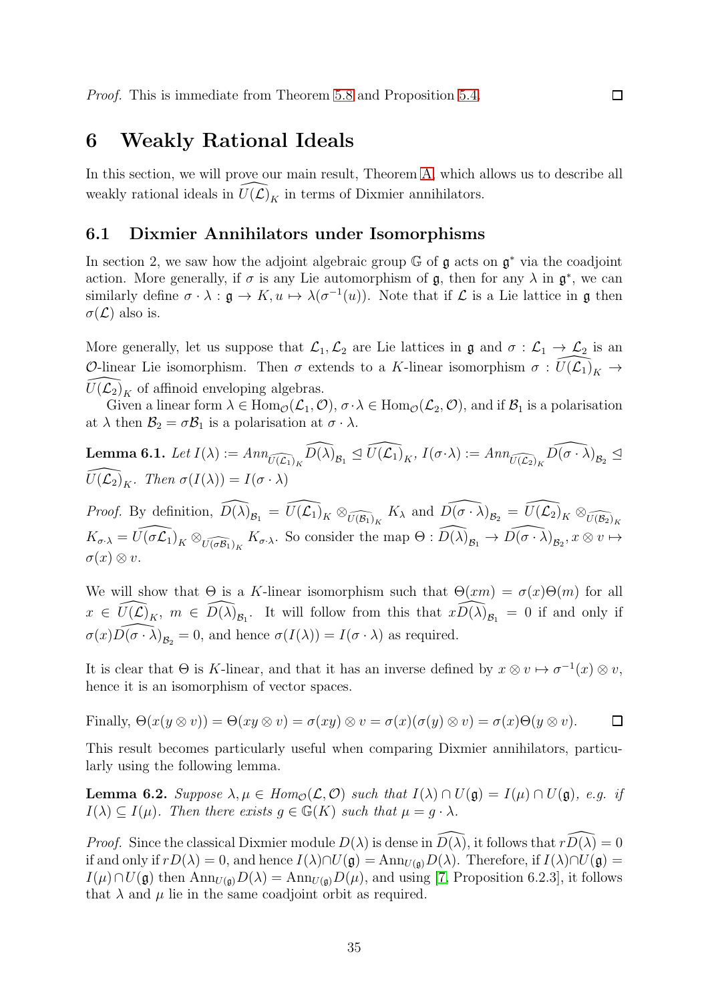## <span id="page-34-0"></span>6 Weakly Rational Ideals

In this section, we will prove our main result, Theorem [A,](#page-3-1) which allows us to describe all weakly rational ideals in  $\widehat{U}(\widehat{\mathcal{L}})_{K}$  in terms of Dixmier annihilators.

 $\Box$ 

#### <span id="page-34-1"></span>6.1 Dixmier Annihilators under Isomorphisms

In section 2, we saw how the adjoint algebraic group  $\mathbb G$  of  $\mathfrak g$  acts on  $\mathfrak g^*$  via the coadjoint action. More generally, if  $\sigma$  is any Lie automorphism of  $\mathfrak{g}$ , then for any  $\lambda$  in  $\mathfrak{g}^*$ , we can similarly define  $\sigma \cdot \lambda : \mathfrak{g} \to K, u \mapsto \lambda(\sigma^{-1}(u))$ . Note that if  $\mathcal L$  is a Lie lattice in  $\mathfrak g$  then  $\sigma(\mathcal{L})$  also is.

More generally, let us suppose that  $\mathcal{L}_1,\mathcal{L}_2$  are Lie lattices in  $\mathfrak{g}$  and  $\sigma:\mathcal{L}_1\to\mathcal{L}_2$  is an O-linear Lie isomorphism. Then  $\sigma$  extends to a K-linear isomorphism  $\sigma: U(\mathcal{L}_1)_K \to$  $U(\mathcal{L}_2)_K$  of affinoid enveloping algebras.

Given a linear form  $\lambda \in \text{Hom}_{\mathcal{O}}(\mathcal{L}_1, \mathcal{O}), \sigma \cdot \lambda \in \text{Hom}_{\mathcal{O}}(\mathcal{L}_2, \mathcal{O}),$  and if  $\mathcal{B}_1$  is a polarisation at  $\lambda$  then  $\mathcal{B}_2 = \sigma \mathcal{B}_1$  is a polarisation at  $\sigma \cdot \lambda$ .

<span id="page-34-2"></span>**Lemma 6.1.** Let 
$$
I(\lambda) := Ann_{\widehat{U(\mathcal{L}_1)}_K} \widehat{D(\lambda)}_{\mathcal{B}_1} \trianglelefteq \widehat{U(\mathcal{L}_1)}_K
$$
,  $I(\sigma \cdot \lambda) := Ann_{\widehat{U(\mathcal{L}_2)}_K} \widehat{D(\sigma \cdot \lambda)}_{\mathcal{B}_2} \trianglelefteq \widehat{U(\mathcal{L}_2)}_K$ . Then  $\sigma(I(\lambda)) = I(\sigma \cdot \lambda)$ 

*Proof.* By definition,  $\widehat{D(\lambda)}_{\mathcal{B}_1} = \widehat{U(\mathcal{L}_1)}_K \otimes_{\widehat{U(\mathcal{B}_1)}_K} K_\lambda$  and  $\widehat{D(\sigma \cdot \lambda)}_{\mathcal{B}_2} = \widehat{U(\mathcal{L}_2)}_K \otimes_{\widehat{U(\mathcal{B}_2)}_K} K_\lambda$  $K_{\sigma \cdot \lambda} = \widehat{U(\sigma \mathcal{L}_1)}_K \otimes_{\widehat{U(\sigma \mathcal{B}_1)}_K} K_{\sigma \cdot \lambda}$ . So consider the map  $\Theta : \widehat{D(\lambda)}_{\mathcal{B}_1} \to \widehat{D(\sigma \cdot \lambda)}_{\mathcal{B}_2}, x \otimes v \mapsto$  $\sigma(x) \otimes v.$ 

We will show that  $\Theta$  is a K-linear isomorphism such that  $\Theta(xm) = \sigma(x)\Theta(m)$  for all  $x \in \widehat{U(\mathcal{L})}_K$ ,  $m \in \widehat{D(\lambda)}_{\mathcal{B}_1}$ . It will follow from this that  $x \widehat{D(\lambda)}_{\mathcal{B}_1} = 0$  if and only if  $\sigma(x)\widehat{D(\sigma \cdot \lambda)}_{\mathcal{B}_2} = 0$ , and hence  $\sigma(I(\lambda)) = I(\sigma \cdot \lambda)$  as required.

It is clear that  $\Theta$  is K-linear, and that it has an inverse defined by  $x \otimes v \mapsto \sigma^{-1}(x) \otimes v$ , hence it is an isomorphism of vector spaces.

Finally, 
$$
\Theta(x(y \otimes v)) = \Theta(xy \otimes v) = \sigma(xy) \otimes v = \sigma(x)(\sigma(y) \otimes v) = \sigma(x)\Theta(y \otimes v).
$$

This result becomes particularly useful when comparing Dixmier annihilators, particularly using the following lemma.

<span id="page-34-3"></span>**Lemma 6.2.** Suppose  $\lambda, \mu \in Hom_{\mathcal{O}}(\mathcal{L}, \mathcal{O})$  such that  $I(\lambda) \cap U(\mathfrak{g}) = I(\mu) \cap U(\mathfrak{g})$ , e.g. if  $I(\lambda) \subseteq I(\mu)$ . Then there exists  $g \in \mathbb{G}(K)$  such that  $\mu = g \cdot \lambda$ .

*Proof.* Since the classical Dixmier module  $D(\lambda)$  is dense in  $\widehat{D(\lambda)}$ , it follows that  $r\widehat{D(\lambda)} = 0$ if and only if  $rD(\lambda) = 0$ , and hence  $I(\lambda) \cap U(\mathfrak{g}) = \text{Ann}_{U(\mathfrak{g})}D(\lambda)$ . Therefore, if  $I(\lambda) \cap U(\mathfrak{g}) =$  $I(\mu) \cap U(\mathfrak{g})$  then  $\text{Ann}_{U(\mathfrak{g})}D(\lambda) = \text{Ann}_{U(\mathfrak{g})}D(\mu)$ , and using [\[7,](#page-50-0) Proposition 6.2.3], it follows that  $\lambda$  and  $\mu$  lie in the same coadjoint orbit as required.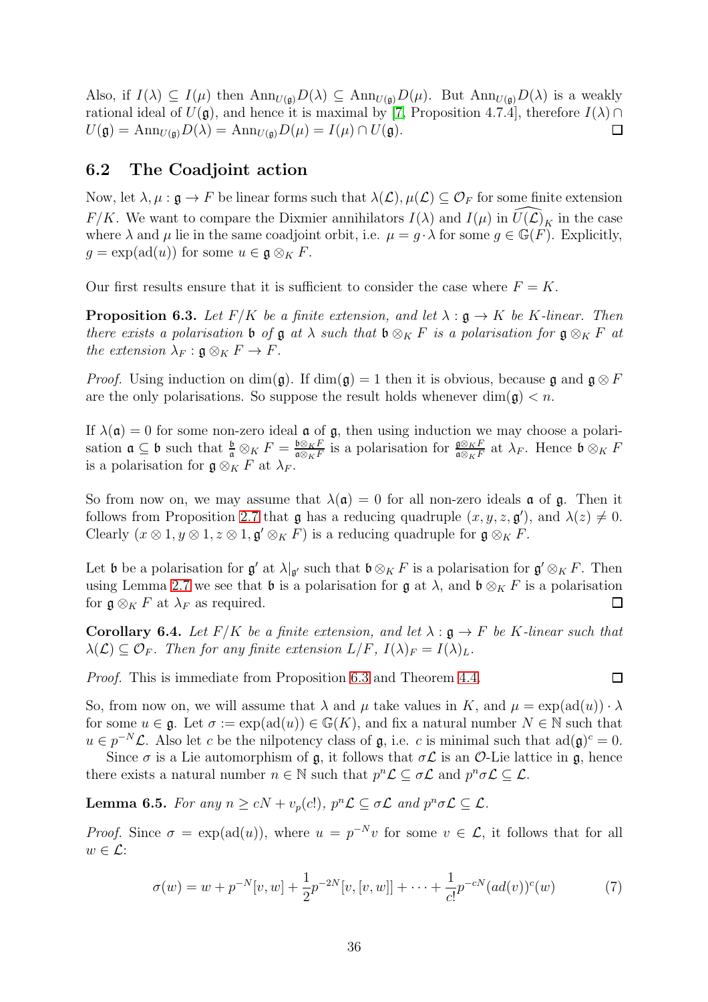Also, if  $I(\lambda) \subseteq I(\mu)$  then  $\text{Ann}_{U(\mathfrak{g})}D(\lambda) \subseteq \text{Ann}_{U(\mathfrak{g})}D(\mu)$ . But  $\text{Ann}_{U(\mathfrak{g})}D(\lambda)$  is a weakly rational ideal of  $U(\mathfrak{g})$ , and hence it is maximal by [\[7,](#page-50-0) Proposition 4.7.4], therefore  $I(\lambda) \cap$  $U(\mathfrak{g}) = \text{Ann}_{U(\mathfrak{g})}D(\lambda) = \text{Ann}_{U(\mathfrak{g})}D(\mu) = I(\mu) \cap U(\mathfrak{g}).$  $\Box$ 

## <span id="page-35-0"></span>6.2 The Coadjoint action

Now, let  $\lambda, \mu : \mathfrak{g} \to F$  be linear forms such that  $\lambda(\mathcal{L}), \mu(\mathcal{L}) \subseteq \mathcal{O}_F$  for some finite extension  $F/K$ . We want to compare the Dixmier annihilators  $I(\lambda)$  and  $I(\mu)$  in  $\widehat{U}(\mathcal{L})_K$  in the case where  $\lambda$  and  $\mu$  lie in the same coadjoint orbit, i.e.  $\mu = g \cdot \lambda$  for some  $g \in \mathbb{G}(F)$ . Explicitly,  $g = \exp(\text{ad}(u))$  for some  $u \in \mathfrak{g} \otimes_K F$ .

Our first results ensure that it is sufficient to consider the case where  $F = K$ .

<span id="page-35-1"></span>**Proposition 6.3.** Let  $F/K$  be a finite extension, and let  $\lambda : \mathfrak{g} \to K$  be K-linear. Then there exists a polarisation b of g at  $\lambda$  such that b  $\otimes_K F$  is a polarisation for  $\mathfrak{g} \otimes_K F$  at the extension  $\lambda_F : \mathfrak{g} \otimes_K F \to F$ .

*Proof.* Using induction on dim( $\mathfrak{g}$ ). If dim( $\mathfrak{g}$ ) = 1 then it is obvious, because  $\mathfrak{g}$  and  $\mathfrak{g} \otimes F$ are the only polarisations. So suppose the result holds whenever  $\dim(\mathfrak{g}) < n$ .

If  $\lambda(\mathfrak{a}) = 0$  for some non-zero ideal  $\mathfrak{a}$  of  $\mathfrak{g}$ , then using induction we may choose a polarisation  $\mathfrak{a} \subseteq \mathfrak{b}$  such that  $\frac{\mathfrak{b}}{\mathfrak{a}} \otimes_K F = \frac{\mathfrak{b} \otimes_K F}{\mathfrak{a} \otimes_K F}$  $\frac{\mathfrak{b} \otimes_K F}{\mathfrak{a} \otimes_K F}$  is a polarisation for  $\frac{\mathfrak{g} \otimes_K F}{\mathfrak{a} \otimes_K F}$  at  $\lambda_F$ . Hence  $\mathfrak{b} \otimes_K F$ is a polarisation for  $\mathfrak{g} \otimes_K F$  at  $\lambda_F$ .

So from now on, we may assume that  $\lambda(\mathfrak{a}) = 0$  for all non-zero ideals **a** of **g**. Then it follows from Proposition [2.7](#page-10-0) that  $\mathfrak g$  has a reducing quadruple  $(x, y, z, \mathfrak g')$ , and  $\lambda(z) \neq 0$ . Clearly  $(x \otimes 1, y \otimes 1, z \otimes 1, \mathfrak{g}' \otimes_K F)$  is a reducing quadruple for  $\mathfrak{g} \otimes_K F$ .

Let b be a polarisation for  $\mathfrak{g}'$  at  $\lambda|_{\mathfrak{g}'}$  such that  $\mathfrak{b} \otimes_K F$  is a polarisation for  $\mathfrak{g}' \otimes_K F$ . Then using Lemma [2.7](#page-10-0) we see that **b** is a polarisation for  $\mathfrak{g}$  at  $\lambda$ , and  $\mathfrak{b} \otimes_K F$  is a polarisation for  $\mathfrak{g} \otimes_K F$  at  $\lambda_F$  as required.  $\Box$ 

<span id="page-35-3"></span>Corollary 6.4. Let  $F/K$  be a finite extension, and let  $\lambda : \mathfrak{g} \to F$  be K-linear such that  $\lambda(\mathcal{L}) \subseteq \mathcal{O}_F$ . Then for any finite extension  $L/F$ ,  $I(\lambda)_F = I(\lambda)_L$ .

Proof. This is immediate from Proposition [6.3](#page-35-1) and Theorem [4.4.](#page-26-0)

$$
\Box
$$

So, from now on, we will assume that  $\lambda$  and  $\mu$  take values in K, and  $\mu = \exp(\text{ad}(u)) \cdot \lambda$ for some  $u \in \mathfrak{g}$ . Let  $\sigma := \exp(\mathrm{ad}(u)) \in \mathbb{G}(K)$ , and fix a natural number  $N \in \mathbb{N}$  such that  $u \in p^{-N} \mathcal{L}$ . Also let c be the nilpotency class of  $\mathfrak{g}$ , i.e. c is minimal such that  $ad(\mathfrak{g})^c = 0$ .

Since  $\sigma$  is a Lie automorphism of  $\mathfrak{g}$ , it follows that  $\sigma \mathcal{L}$  is an  $\mathcal{O}$ -Lie lattice in  $\mathfrak{g}$ , hence there exists a natural number  $n \in \mathbb{N}$  such that  $p^n \mathcal{L} \subseteq \sigma \mathcal{L}$  and  $p^n \sigma \mathcal{L} \subseteq \mathcal{L}$ .

<span id="page-35-2"></span>**Lemma 6.5.** For any  $n \ge cN + v_p(c!)$ ,  $p^n\mathcal{L} \subseteq \sigma\mathcal{L}$  and  $p^n\sigma\mathcal{L} \subseteq \mathcal{L}$ .

*Proof.* Since  $\sigma = \exp(\text{ad}(u))$ , where  $u = p^{-N}v$  for some  $v \in \mathcal{L}$ , it follows that for all  $w \in \mathcal{L}$ :

$$
\sigma(w) = w + p^{-N}[v, w] + \frac{1}{2}p^{-2N}[v, [v, w]] + \dots + \frac{1}{c!}p^{-cN}(ad(v))^c(w) \tag{7}
$$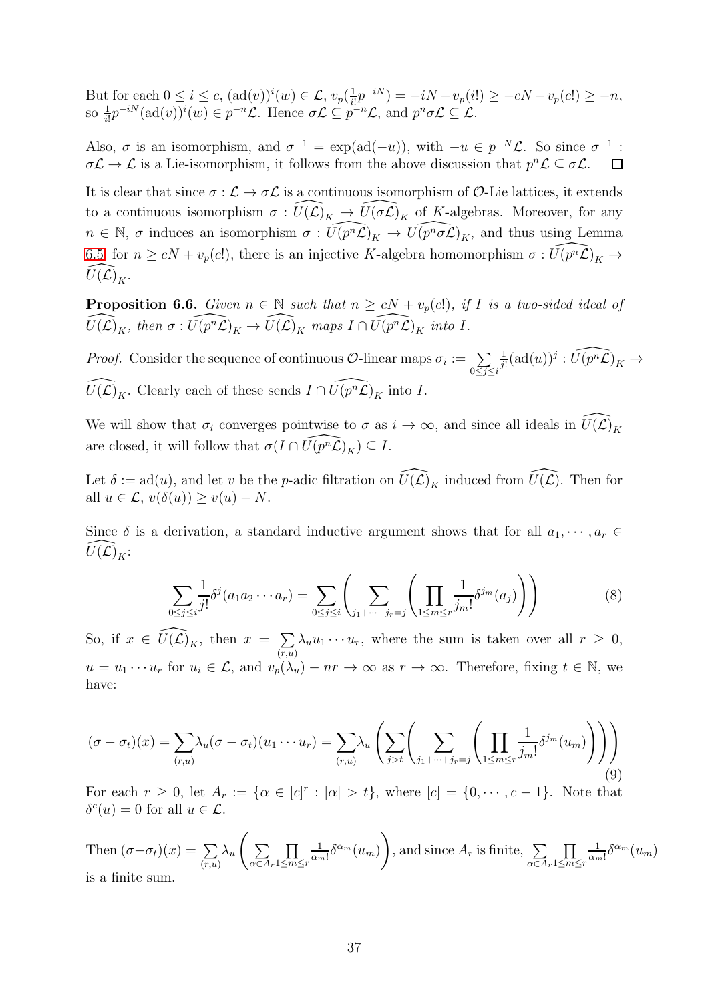But for each  $0 \leq i \leq c$ ,  $(\text{ad}(v))^i(w) \in \mathcal{L}$ ,  $v_p(\frac{1}{i!})$  $\frac{1}{i!}p^{-iN}$ ) =  $-iN - v_p(i!) \geq -cN - v_p(c!) \geq -n$ , so  $\frac{1}{i!}p^{-iN}(\text{ad}(v))^i(w) \in p^{-n}\mathcal{L}$ . Hence  $\sigma\mathcal{L} \subseteq p^{-n}\mathcal{L}$ , and  $p^n\sigma\mathcal{L} \subseteq \mathcal{L}$ .

Also,  $\sigma$  is an isomorphism, and  $\sigma^{-1} = \exp(\text{ad}(-u))$ , with  $-u \in p^{-N} \mathcal{L}$ . So since  $\sigma^{-1}$ :  $\sigma \mathcal{L} \to \mathcal{L}$  is a Lie-isomorphism, it follows from the above discussion that  $p^n \mathcal{L} \subseteq \sigma \mathcal{L}$ .  $\Box$ 

It is clear that since  $\sigma : \mathcal{L} \to \sigma \mathcal{L}$  is a continuous isomorphism of  $\mathcal{O}$ -Lie lattices, it extends to a continuous isomorphism  $\sigma : \widehat{U}(\widehat{\mathcal{L}})_K \to \widehat{U}(\sigma\widehat{\mathcal{L}})_K$  of K-algebras. Moreover, for any  $n \in \mathbb{N}$ ,  $\sigma$  induces an isomorphism  $\sigma : \widehat{U(p^n\mathcal{L})}_K \to \widehat{U(p^n\sigma\mathcal{L})}_K$ , and thus using Lemma [6.5,](#page-35-2) for  $n \ge cN + v_p(c!)$ , there is an injective K-algebra homomorphism  $\sigma : \widehat{U(p^n\mathcal{L})}_K \to$  $U(\mathcal{L})_K$ .

<span id="page-36-0"></span>**Proposition 6.6.** Given  $n \in \mathbb{N}$  such that  $n \ge cN + v_p(c!)$ , if I is a two-sided ideal of  $\widehat{U(\mathcal{L})}_K$ , then  $\sigma: \widehat{U(p^n\mathcal{L})}_K \to \widehat{U(\mathcal{L})}_K$  maps  $I \cap \widehat{U(p^n\mathcal{L})}_K$  into I.

*Proof.* Consider the sequence of continuous  $\mathcal{O}\text{-linear maps }\sigma_i := \sum$  $0 \leq j \leq i$ 1  $\frac{1}{j!}(\text{ad}(u))^j: \widehat{U(p^n\mathcal{L})}_K \to$  $\widehat{U(\mathcal{L})}_K$ . Clearly each of these sends  $I \cap \widehat{U(p^n\mathcal{L})}_K$  into I.

We will show that  $\sigma_i$  converges pointwise to  $\sigma$  as  $i \to \infty$ , and since all ideals in  $\widehat{U}(\widehat{\mathcal{L}})_K$ are closed, it will follow that  $\sigma(I \cap \widehat{U(p^n\mathcal{L})}_K) \subseteq I$ .

Let  $\delta := \text{ad}(u)$ , and let v be the p-adic filtration on  $\widehat{U(\mathcal{L})}_K$  induced from  $\widehat{U(\mathcal{L})}$ . Then for all  $u \in \mathcal{L}$ ,  $v(\delta(u)) \ge v(u) - N$ .

Since  $\delta$  is a derivation, a standard inductive argument shows that for all  $a_1, \dots, a_r \in$  $U(\mathcal{L})_K$ :

$$
\sum_{0 \le j \le i} \frac{1}{j!} \delta^j (a_1 a_2 \cdots a_r) = \sum_{0 \le j \le i} \left( \sum_{j_1 + \cdots + j_r = j} \left( \prod_{1 \le m \le r} \frac{1}{j_m!} \delta^{j_m}(a_j) \right) \right)
$$
(8)

So, if  $x \in \widehat{U(\mathcal{L})}_K$ , then  $x = \sum$  $(r,u)$  $\lambda_u u_1 \cdots u_r$ , where the sum is taken over all  $r \geq 0$ ,  $u = u_1 \cdots u_r$  for  $u_i \in \mathcal{L}$ , and  $v_p(\lambda_u) - nr \to \infty$  as  $r \to \infty$ . Therefore, fixing  $t \in \mathbb{N}$ , we have:

$$
(\sigma - \sigma_t)(x) = \sum_{(r,u)} \lambda_u(\sigma - \sigma_t)(u_1 \cdots u_r) = \sum_{(r,u)} \lambda_u \left( \sum_{j>t} \left( \sum_{j_1 + \cdots + j_r = j} \left( \prod_{1 \le m \le r} \frac{1}{j_m!} \delta^{j_m}(u_m) \right) \right) \right)
$$
(9)

For each  $r \geq 0$ , let  $A_r := \{ \alpha \in [c]^r : |\alpha| > t \}$ , where  $[c] = \{0, \dots, c-1\}$ . Note that  $\delta^c(u) = 0$  for all  $u \in \mathcal{L}$ .

Then  $(\sigma-\sigma_t)(x) = \sum$  $(r,u)$  $\lambda_u$  $\overline{ }$  $\sum$  $\alpha \in A_r$  $\overline{\Pi}$  $1\leq m\leq r$ 1  $\frac{1}{\alpha_m!} \delta^{\alpha_m}(u_m)$ å , and since  $A_r$  is finite,  $\sum$  $\alpha \in A_r$  $\overline{\Pi}$  $1\leq m\leq r$ 1  $\frac{1}{\alpha_m!} \delta^{\alpha_m}(u_m)$ is a finite sum.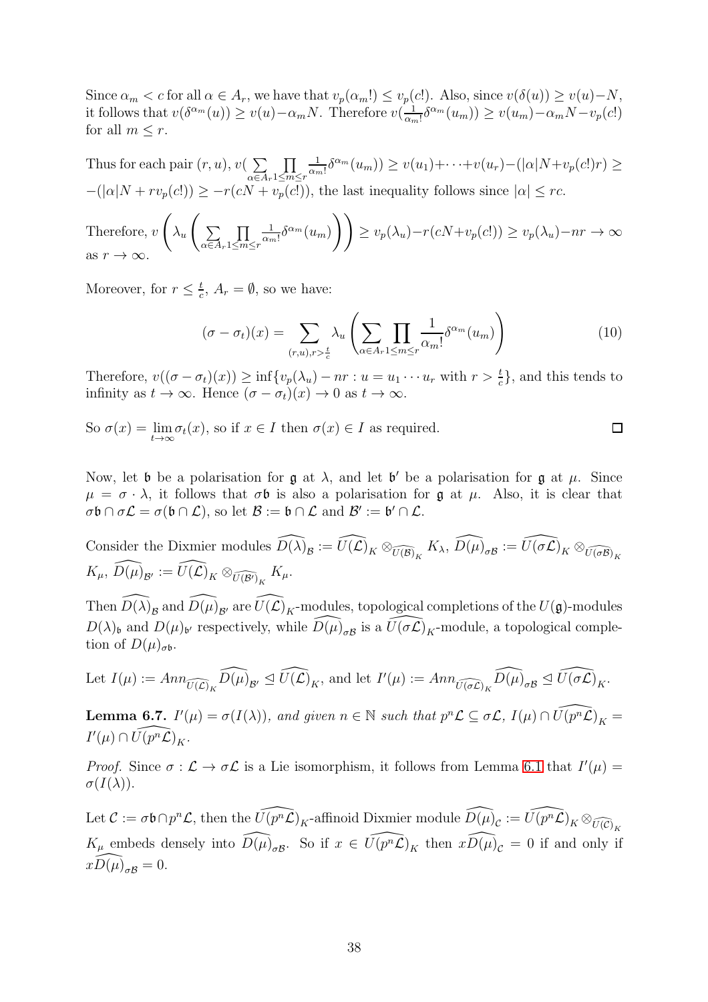Since  $\alpha_m < c$  for all  $\alpha \in A_r$ , we have that  $v_p(\alpha_m!) \le v_p(c!)$ . Also, since  $v(\delta(u)) \ge v(u) - N$ , it follows that  $v(\delta^{\alpha_m}(u)) \ge v(u) - \alpha_m N$ . Therefore  $v(\frac{1}{\alpha_m})$  $\frac{1}{\alpha_m!} \delta^{\alpha_m}(u_m) \geq v(u_m) - \alpha_m N - v_p(c!)$ for all  $m \leq r$ .

Thus for each pair  $(r, u)$ ,  $v(\sum)$  $\alpha \in A_r$  $\overline{\Pi}$  $1\leq m\leq r$ 1  $\frac{1}{\alpha_m!}\delta^{\alpha_m}(u_m)\geq v(u_1)+\cdots+v(u_r)-(|\alpha|N+v_p(c!)r)\geq$  $-(|\alpha|N + rv_p(c!)) \geq -r(cN + v_p(c))$ , the last inequality follows since  $|\alpha| \leq rc$ .

Therefore, 
$$
v\left(\lambda_u\left(\sum_{\alpha\in A_r} \prod_{1\leq m\leq r} \frac{1}{\alpha_m!} \delta^{\alpha_m}(u_m)\right)\right) \geq v_p(\lambda_u) - r(cN + v_p(c!)) \geq v_p(\lambda_u) - nr \to \infty
$$
  
as  $r \to \infty$ .

Moreover, for  $r \leq \frac{t}{c}$  $\frac{t}{c}$ ,  $A_r = \emptyset$ , so we have:

$$
(\sigma - \sigma_t)(x) = \sum_{(r,u),r > \frac{t}{c}} \lambda_u \left( \sum_{\alpha \in A_r} \prod_{1 \le m \le r} \frac{1}{\alpha_m!} \delta^{\alpha_m}(u_m) \right)
$$
(10)

Therefore,  $v((\sigma - \sigma_t)(x)) \ge \inf\{v_p(\lambda_u) - nr : u = u_1 \cdots u_r \text{ with } r > \frac{t}{c}\}\)$ , and this tends to infinity as  $t \to \infty$ . Hence  $(\sigma - \sigma_t)(x) \to 0$  as  $t \to \infty$ .

So 
$$
\sigma(x) = \lim_{t \to \infty} \sigma_t(x)
$$
, so if  $x \in I$  then  $\sigma(x) \in I$  as required.

Now, let b be a polarisation for  $\mathfrak g$  at  $\lambda$ , and let b' be a polarisation for  $\mathfrak g$  at  $\mu$ . Since  $\mu = \sigma \cdot \lambda$ , it follows that  $\sigma \mathfrak{b}$  is also a polarisation for  $\mathfrak{g}$  at  $\mu$ . Also, it is clear that  $\sigma \mathfrak{b} \cap \sigma \mathcal{L} = \sigma(\mathfrak{b} \cap \mathcal{L}),$  so let  $\mathcal{B} := \mathfrak{b} \cap \mathcal{L}$  and  $\mathcal{B}' := \mathfrak{b}' \cap \mathcal{L}.$ 

Consider the Dixmier modules  $\widehat{D(\lambda)}_{\mathcal{B}} := \widehat{U(\mathcal{L})}_K \otimes_{\widehat{U(\mathcal{B})}_K} K_\lambda$ ,  $\widehat{D(\mu)}_{\sigma \mathcal{B}} := \widehat{U(\sigma \mathcal{L})}_K \otimes_{\widehat{U(\sigma \mathcal{B})}_K} K_\lambda$  $K_\mu, \ \widehat{D(\mu)}_{\mathcal{B}'} := \widehat{U(\mathcal{L})}_K \otimes_{\widehat{U(\mathcal{B}')}_K} K_\mu.$ 

Then  $\widehat{D(\lambda)}_{{\cal B}}$  and  $\widehat{D(\mu)}_{{\cal B}'}$  are  $\widehat{U(\mathcal{L})}_K$ -modules, topological completions of the  $U(\mathfrak{g})$ -modules  $D(\lambda)$ <sub>b</sub> and  $D(\mu)$ <sub>b'</sub> respectively, while  $\widehat{D(\mu)}_{\sigma\beta}$  is a  $\widehat{U(\sigma\mathcal{L})}_K$ -module, a topological completion of  $D(\mu)_{\sigma \mathfrak{b}}$ .

Let 
$$
I(\mu) := Ann_{\widehat{U(\mathcal{L})}_K} \widehat{D(\mu)}_{\mathcal{B}'} \trianglelefteq \widehat{U(\mathcal{L})}_K
$$
, and let  $I'(\mu) := Ann_{\widehat{U(\sigma\mathcal{L})}_K} \widehat{D(\mu)}_{\sigma\mathcal{B}} \trianglelefteq \widehat{U(\sigma\mathcal{L})}_K$ .

<span id="page-37-0"></span>**Lemma 6.7.**  $I'(\mu) = \sigma(I(\lambda))$ , and given  $n \in \mathbb{N}$  such that  $p^n\mathcal{L} \subseteq \sigma\mathcal{L}$ ,  $I(\mu) \cap \widehat{U(p^n\mathcal{L})}_K =$  $I'(\mu) \cap \widehat{U(p^n\mathcal{L})}_K.$ 

*Proof.* Since  $\sigma : \mathcal{L} \to \sigma \mathcal{L}$  is a Lie isomorphism, it follows from Lemma [6.1](#page-34-2) that  $I'(\mu) =$  $\sigma(I(\lambda)).$ 

Let  $\mathcal{C} := \sigma \mathfrak{b} \cap p^n \mathcal{L}$ , then the  $\widehat{U(p^n\mathcal{L})}_K$ -affinoid Dixmier module  $\widehat{D(\mu)}_{\mathcal{C}} := \widehat{U(p^n\mathcal{L})}_K \otimes_{\widehat{U(\mathcal{C})}_K}$  $K_{\mu}$  embeds densely into  $\widehat{D(\mu)}_{\sigma\mathcal{B}}$ . So if  $x \in \widehat{U(p^n\mathcal{L})}_K$  then  $x\widehat{D(\mu)}_{\mathcal{C}} = 0$  if and only if  $xD(\mu)_{\sigma\mathcal{B}}=0.$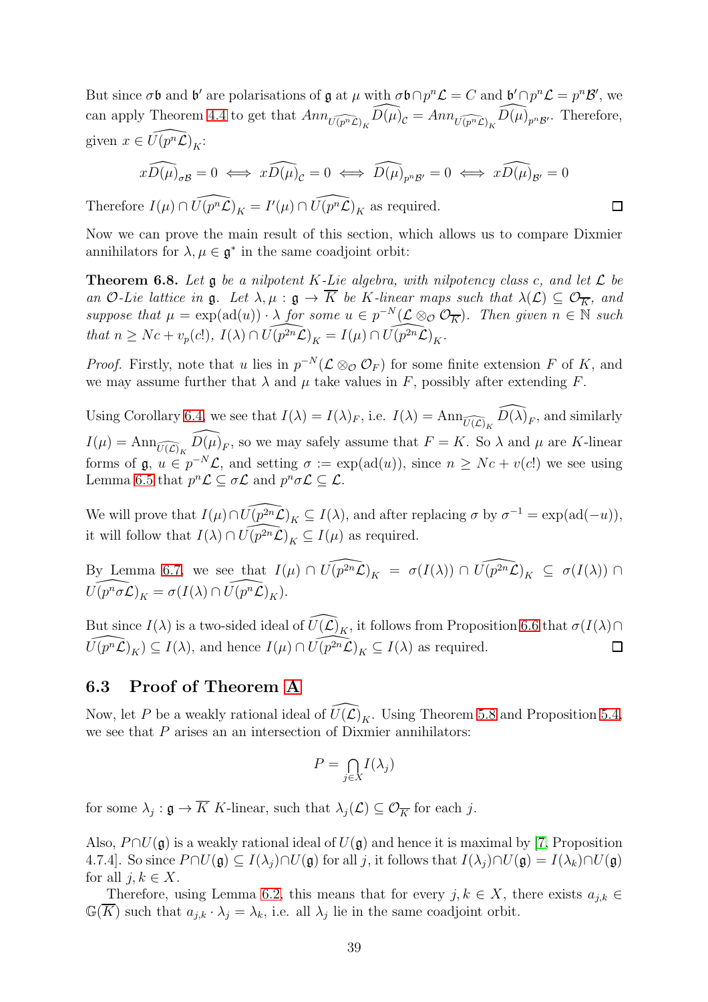But since  $\sigma \mathfrak{b}$  and  $\mathfrak{b}'$  are polarisations of  $\mathfrak{g}$  at  $\mu$  with  $\sigma \mathfrak{b} \cap p^n \mathcal{L} = C$  and  $\mathfrak{b}' \cap p^n \mathcal{L} = p^n \mathcal{B}'$ , we can apply Theorem [4.4](#page-26-0) to get that  $Ann_{\widehat{U(p^n\mathcal{L})_K}}\widehat{D(\mu)}_{\mathcal{C}} = Ann_{\widehat{U(p^n\mathcal{L})_K}}\widehat{D(\mu)}_{p^n\mathcal{B}'}$ . Therefore, given  $x \in \widehat{U(p^n\mathcal{L})}_K$ :

$$
x\widehat{D(\mu)}_{\sigma\mathcal{B}} = 0 \iff x\widehat{D(\mu)}_{\mathcal{C}} = 0 \iff \widehat{D(\mu)}_{p^n\mathcal{B}'} = 0 \iff x\widehat{D(\mu)}_{\mathcal{B}'} = 0
$$

Therefore  $I(\mu) \cap \widehat{U(p^n\mathcal{L})}_K = I'(\mu) \cap \widehat{U(p^n\mathcal{L})}_K$  as required.

Now we can prove the main result of this section, which allows us to compare Dixmier annihilators for  $\lambda, \mu \in \mathfrak{g}^*$  in the same coadjoint orbit:

 $\Box$ 

<span id="page-38-1"></span>**Theorem 6.8.** Let  $\mathfrak g$  be a nilpotent K-Lie algebra, with nilpotency class c, and let  $\mathcal L$  be an O-Lie lattice in  $\mathfrak{g}$ . Let  $\lambda, \mu : \mathfrak{g} \to \overline{K}$  be K-linear maps such that  $\lambda(\mathcal{L}) \subseteq \mathcal{O}_{\overline{K}}$ , and suppose that  $\mu = \exp(\text{ad}(u)) \cdot \lambda$  for some  $u \in p^{-N}(\mathcal{L} \otimes_{\mathcal{O}} \mathcal{O}_{\overline{K}})$ . Then given  $n \in \mathbb{N}$  such that  $n \ge Nc + v_p(c!)$ ,  $I(\lambda) \cap \widehat{U(p^{2n}\mathcal{L})_K} = I(\mu) \cap \widehat{U(p^{2n}\mathcal{L})_K}.$ 

*Proof.* Firstly, note that u lies in  $p^{-N}(\mathcal{L} \otimes_{\mathcal{O}} \mathcal{O}_F)$  for some finite extension F of K, and we may assume further that  $\lambda$  and  $\mu$  take values in F, possibly after extending F.

Using Corollary [6.4,](#page-35-3) we see that  $I(\lambda) = I(\lambda)_F$ , i.e.  $I(\lambda) = \text{Ann}_{\widehat{U(\mathcal{L})}_K} \widehat{D(\lambda)}_F$ , and similarly  $I(\mu) = \text{Ann}_{\widehat{U(\mathcal{L})_K}} \widehat{D(\mu)}_F$ , so we may safely assume that  $F = K$ . So  $\lambda$  and  $\mu$  are K-linear forms of  $\mathfrak{g}, u \in p^{-N} \mathcal{L}$ , and setting  $\sigma := \exp(\mathrm{ad}(u))$ , since  $n \ge Nc + v(c!)$  we see using Lemma [6.5](#page-35-2) that  $p^n\mathcal{L} \subseteq \sigma\mathcal{L}$  and  $p^n\sigma\mathcal{L} \subseteq \mathcal{L}$ .

We will prove that  $I(\mu) \cap \widehat{U(p^{2n}\mathcal{L})}_K \subseteq I(\lambda)$ , and after replacing  $\sigma$  by  $\sigma^{-1} = \exp(\mathrm{ad}(-u)),$ it will follow that  $I(\lambda) \cap \widehat{U(p^{2n}\mathcal{L})}_K \subseteq I(\mu)$  as required.

By Lemma [6.7,](#page-37-0) we see that  $I(\mu) \cap \widehat{U(p^2 n \mathcal{L})}_K = \sigma(I(\lambda)) \cap \widehat{U(p^2 n \mathcal{L})}_K \subseteq \sigma(I(\lambda)) \cap$  $\widehat{U(p^n \sigma \mathcal{L})}_K = \sigma(I(\lambda) \cap \widehat{U(p^n \mathcal{L})}_K).$ 

But since  $I(\lambda)$  is a two-sided ideal of  $\widehat{U(\mathcal{L})}_K$ , it follows from Proposition [6.6](#page-36-0) that  $\sigma(I(\lambda)\cap$  $\widehat{U(p^n\mathcal{L})}_K) \subseteq I(\lambda)$ , and hence  $I(\mu) \cap \widehat{U(p^{2n}\mathcal{L})}_K \subseteq I(\lambda)$  as required.  $\Box$ 

## <span id="page-38-0"></span>6.3 Proof of Theorem [A](#page-3-1)

Now, let P be a weakly rational ideal of  $\widehat{U(\mathcal{L})}_K$ . Using Theorem [5.8](#page-32-0) and Proposition [5.4,](#page-30-2) we see that  $P$  arises an an intersection of Dixmier annihilators:

$$
P = \bigcap_{j \in X} I(\lambda_j)
$$

for some  $\lambda_j : \mathfrak{g} \to K$  K-linear, such that  $\lambda_j(\mathcal{L}) \subseteq \mathcal{O}_{\overline{K}}$  for each j.

Also,  $P \cap U(\mathfrak{g})$  is a weakly rational ideal of  $U(\mathfrak{g})$  and hence it is maximal by [\[7,](#page-50-0) Proposition 4.7.4]. So since  $P \cap U(\mathfrak{g}) \subseteq I(\lambda_j) \cap U(\mathfrak{g})$  for all j, it follows that  $I(\lambda_j) \cap U(\mathfrak{g}) = I(\lambda_k) \cap U(\mathfrak{g})$ for all  $j, k \in X$ .

Therefore, using Lemma [6.2,](#page-34-3) this means that for every  $j, k \in X$ , there exists  $a_{j,k} \in$  $\mathbb{G}(\overline{K})$  such that  $a_{j,k} \cdot \lambda_j = \lambda_k$ , i.e. all  $\lambda_j$  lie in the same coadjoint orbit.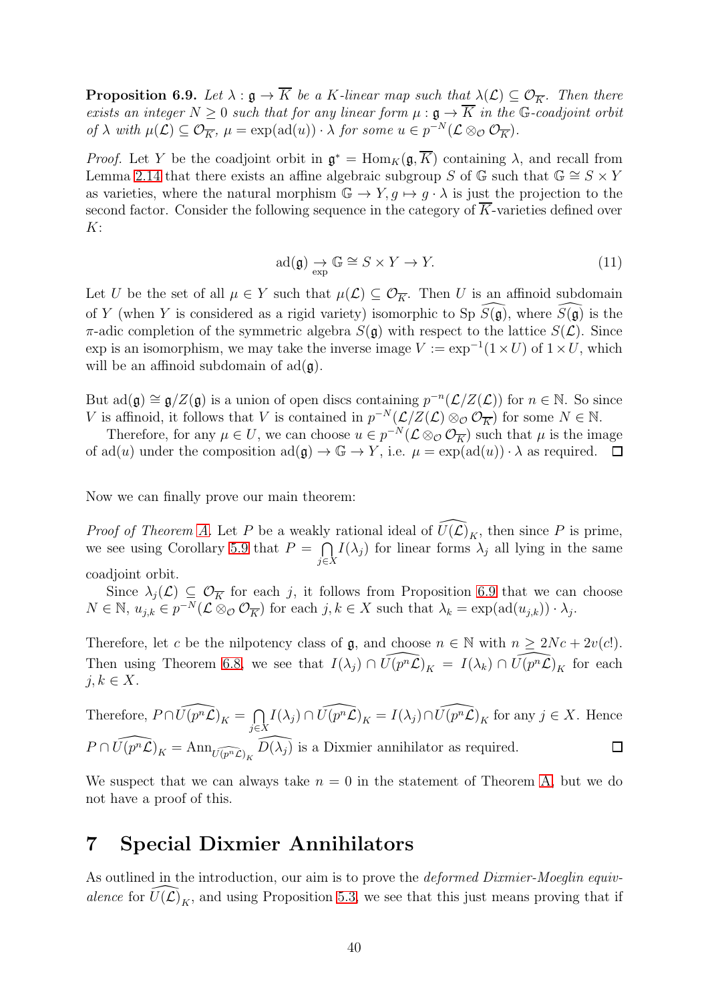<span id="page-39-1"></span>**Proposition 6.9.** Let  $\lambda : \mathfrak{g} \to \overline{K}$  be a K-linear map such that  $\lambda(\mathcal{L}) \subseteq \mathcal{O}_{\overline{K}}$ . Then there exists an integer  $N \geq 0$  such that for any linear form  $\mu : \mathfrak{g} \to \overline{K}$  in the G-coadjoint orbit of  $\lambda$  with  $\mu(\mathcal{L}) \subseteq \mathcal{O}_{\overline{K}}$ ,  $\mu = \exp(\text{ad}(u)) \cdot \lambda$  for some  $u \in p^{-N}(\mathcal{L} \otimes_{\mathcal{O}} \mathcal{O}_{\overline{K}})$ .

*Proof.* Let Y be the coadjoint orbit in  $\mathfrak{g}^* = \text{Hom}_K(\mathfrak{g}, \overline{K})$  containing  $\lambda$ , and recall from Lemma [2.14](#page-14-3) that there exists an affine algebraic subgroup S of  $\mathbb{G}$  such that  $\mathbb{G} \cong S \times Y$ as varieties, where the natural morphism  $\mathbb{G} \to Y, g \mapsto g \cdot \lambda$  is just the projection to the second factor. Consider the following sequence in the category of  $\overline{K}$ -varieties defined over  $K$ :

$$
ad(\mathfrak{g}) \underset{\text{exp}}{\to} \mathbb{G} \cong S \times Y \to Y. \tag{11}
$$

Let U be the set of all  $\mu \in Y$  such that  $\mu(\mathcal{L}) \subseteq \mathcal{O}_{\overline{K}}$ . Then U is an affinoid subdomain of Y (when Y is considered as a rigid variety) isomorphic to Sp  $S(\mathfrak{g})$ , where  $S(\mathfrak{g})$  is the π-adic completion of the symmetric algebra  $S(\mathfrak{g})$  with respect to the lattice  $S(\mathcal{L})$ . Since exp is an isomorphism, we may take the inverse image  $V := \exp^{-1}(1 \times U)$  of  $1 \times U$ , which will be an affinoid subdomain of  $\text{ad}(\mathfrak{g})$ .

But  $\text{ad}(\mathfrak{g}) \cong \mathfrak{g}/Z(\mathfrak{g})$  is a union of open discs containing  $p^{-n}(\mathcal{L}/Z(\mathcal{L}))$  for  $n \in \mathbb{N}$ . So since V is affinoid, it follows that V is contained in  $p^{-N}(\mathcal{L}/Z(\mathcal{L})\otimes_{\mathcal{O}}\mathcal{O}_{\overline{K}})$  for some  $N \in \mathbb{N}$ .

Therefore, for any  $\mu \in U$ , we can choose  $u \in p^{-N}(\mathcal{L} \otimes_{\mathcal{O}} \mathcal{O}_{\overline{K}})$  such that  $\mu$  is the image of ad(u) under the composition  $ad(\mathfrak{g}) \to \mathbb{G} \to Y$ , i.e.  $\mu = \exp(ad(u)) \cdot \lambda$  as required.  $\Box$ 

Now we can finally prove our main theorem:

*Proof of Theorem [A.](#page-3-1)* Let P be a weakly rational ideal of  $\widehat{U(\mathcal{L})}_K$ , then since P is prime, we see using Corollary [5.9](#page-33-0) that  $P = \bigcap$  $\bigcap_{j\in X} I(\lambda_j)$  for linear forms  $\lambda_j$  all lying in the same coadjoint orbit.

Since  $\lambda_j(\mathcal{L}) \subseteq \mathcal{O}_{\overline{K}}$  for each j, it follows from Proposition [6.9](#page-39-1) that we can choose  $N \in \mathbb{N}, u_{j,k} \in p^{-N}(\mathcal{L} \otimes_{\mathcal{O}} \mathcal{O}_{\overline{K}})$  for each  $j, k \in X$  such that  $\lambda_k = \exp(\text{ad}(u_{j,k})) \cdot \lambda_j$ .

Therefore, let c be the nilpotency class of  $\mathfrak{g}$ , and choose  $n \in \mathbb{N}$  with  $n \geq 2Nc + 2v(c!)$ . Then using Theorem [6.8,](#page-38-1) we see that  $I(\lambda_j) \cap \widehat{U(p^n\mathcal{L})}_K = I(\lambda_k) \cap \widehat{U(p^n\mathcal{L})}_K$  for each  $j, k \in X$ .

Therefore,  $P \cap \widehat{U(p^n L)}_K = \bigcap$  $I(\lambda_j) \cap \widehat{U(p^n\mathcal{L})}_K = I(\lambda_j) \cap \widehat{U(p^n\mathcal{L})}_K$  for any  $j \in X$ . Hence j∈X  $P \cap \widehat{U(p^n\mathcal{L})}_K = \text{Ann}_{\widehat{U(p^n\mathcal{L})}_K} \widehat{D(\lambda_j)}$  is a Dixmier annihilator as required.  $\Box$ 

We suspect that we can always take  $n = 0$  in the statement of Theorem [A,](#page-3-1) but we do not have a proof of this.

## <span id="page-39-0"></span>7 Special Dixmier Annihilators

As outlined in the introduction, our aim is to prove the *deformed Dixmier-Moeglin equiv*alence for  $\widehat{U(\mathcal{L})}_K$ , and using Proposition [5.3,](#page-29-1) we see that this just means proving that if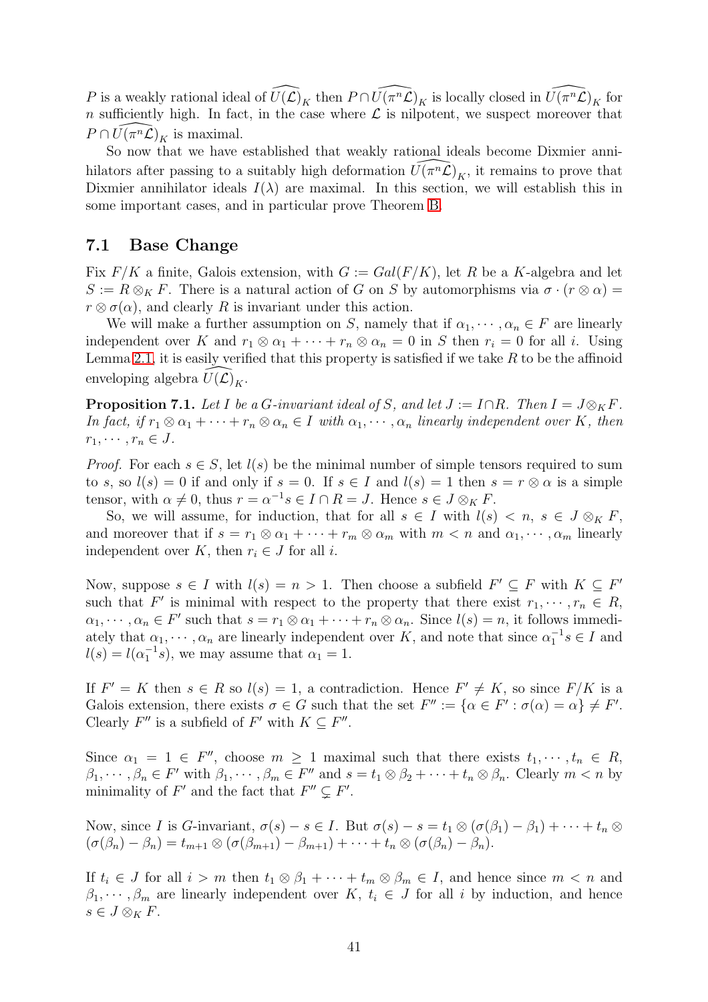P is a weakly rational ideal of  $\widehat{U(\mathcal{L})}_K$  then  $P \cap \widehat{U(\pi^n \mathcal{L})}_K$  is locally closed in  $\widehat{U(\pi^n \mathcal{L})}_K$  for n sufficiently high. In fact, in the case where  $\mathcal L$  is nilpotent, we suspect moreover that  $P \cap \widehat{U(\pi^n \mathcal{L})}_K$  is maximal.

So now that we have established that weakly rational ideals become Dixmier annihilators after passing to a suitably high deformation  $\widehat{U(\pi^n\mathcal{L})}_K$ , it remains to prove that Dixmier annihilator ideals  $I(\lambda)$  are maximal. In this section, we will establish this in some important cases, and in particular prove Theorem [B.](#page-4-2)

#### <span id="page-40-0"></span>7.1 Base Change

Fix  $F/K$  a finite, Galois extension, with  $G := Gal(F/K)$ , let R be a K-algebra and let  $S := R \otimes_K F$ . There is a natural action of G on S by automorphisms via  $\sigma \cdot (r \otimes \alpha) =$  $r \otimes \sigma(\alpha)$ , and clearly R is invariant under this action.

We will make a further assumption on S, namely that if  $\alpha_1, \dots, \alpha_n \in F$  are linearly independent over K and  $r_1 \otimes \alpha_1 + \cdots + r_n \otimes \alpha_n = 0$  in S then  $r_i = 0$  for all i. Using Lemma [2.1,](#page-6-1) it is easily verified that this property is satisfied if we take  $R$  to be the affinoid enveloping algebra  $U(\mathcal{L})_K$ .

<span id="page-40-1"></span>**Proposition 7.1.** Let I be a G-invariant ideal of S, and let  $J := I \cap R$ . Then  $I = J \otimes_K F$ . In fact, if  $r_1 \otimes \alpha_1 + \cdots + r_n \otimes \alpha_n \in I$  with  $\alpha_1, \cdots, \alpha_n$  linearly independent over K, then  $r_1, \cdots, r_n \in J$ .

*Proof.* For each  $s \in S$ , let  $l(s)$  be the minimal number of simple tensors required to sum to s, so  $l(s) = 0$  if and only if  $s = 0$ . If  $s \in I$  and  $l(s) = 1$  then  $s = r \otimes \alpha$  is a simple tensor, with  $\alpha \neq 0$ , thus  $r = \alpha^{-1} s \in I \cap R = J$ . Hence  $s \in J \otimes_K F$ .

So, we will assume, for induction, that for all  $s \in I$  with  $l(s) < n$ ,  $s \in J \otimes_K F$ , and moreover that if  $s = r_1 \otimes \alpha_1 + \cdots + r_m \otimes \alpha_m$  with  $m < n$  and  $\alpha_1, \cdots, \alpha_m$  linearly independent over K, then  $r_i \in J$  for all i.

Now, suppose  $s \in I$  with  $l(s) = n > 1$ . Then choose a subfield  $F' \subseteq F$  with  $K \subseteq F'$ such that F' is minimal with respect to the property that there exist  $r_1, \dots, r_n \in R$ ,  $\alpha_1, \dots, \alpha_n \in F'$  such that  $s = r_1 \otimes \alpha_1 + \dots + r_n \otimes \alpha_n$ . Since  $l(s) = n$ , it follows immediately that  $\alpha_1, \dots, \alpha_n$  are linearly independent over K, and note that since  $\alpha_1^{-1} s \in I$  and  $l(s) = l(\alpha_1^{-1}s)$ , we may assume that  $\alpha_1 = 1$ .

If  $F' = K$  then  $s \in R$  so  $l(s) = 1$ , a contradiction. Hence  $F' \neq K$ , so since  $F/K$  is a Galois extension, there exists  $\sigma \in G$  such that the set  $F'' := {\alpha \in F' : \sigma(\alpha) = \alpha} \neq F'.$ Clearly  $F''$  is a subfield of  $F'$  with  $K \subseteq F''$ .

Since  $\alpha_1 = 1 \in F''$ , choose  $m \geq 1$  maximal such that there exists  $t_1, \dots, t_n \in R$ ,  $\beta_1, \dots, \beta_n \in F'$  with  $\beta_1, \dots, \beta_m \in F''$  and  $s = t_1 \otimes \beta_2 + \dots + t_n \otimes \beta_n$ . Clearly  $m < n$  by minimality of F' and the fact that  $F'' \subsetneq F'$ .

Now, since I is G-invariant,  $\sigma(s) - s \in I$ . But  $\sigma(s) - s = t_1 \otimes (\sigma(\beta_1) - \beta_1) + \cdots + t_n \otimes$  $(\sigma(\beta_n) - \beta_n) = t_{m+1} \otimes (\sigma(\beta_{m+1}) - \beta_{m+1}) + \cdots + t_n \otimes (\sigma(\beta_n) - \beta_n).$ 

If  $t_i \in J$  for all  $i > m$  then  $t_1 \otimes \beta_1 + \cdots + t_m \otimes \beta_m \in I$ , and hence since  $m < n$  and  $\beta_1, \dots, \beta_m$  are linearly independent over K,  $t_i \in J$  for all i by induction, and hence  $s \in J \otimes_K F$ .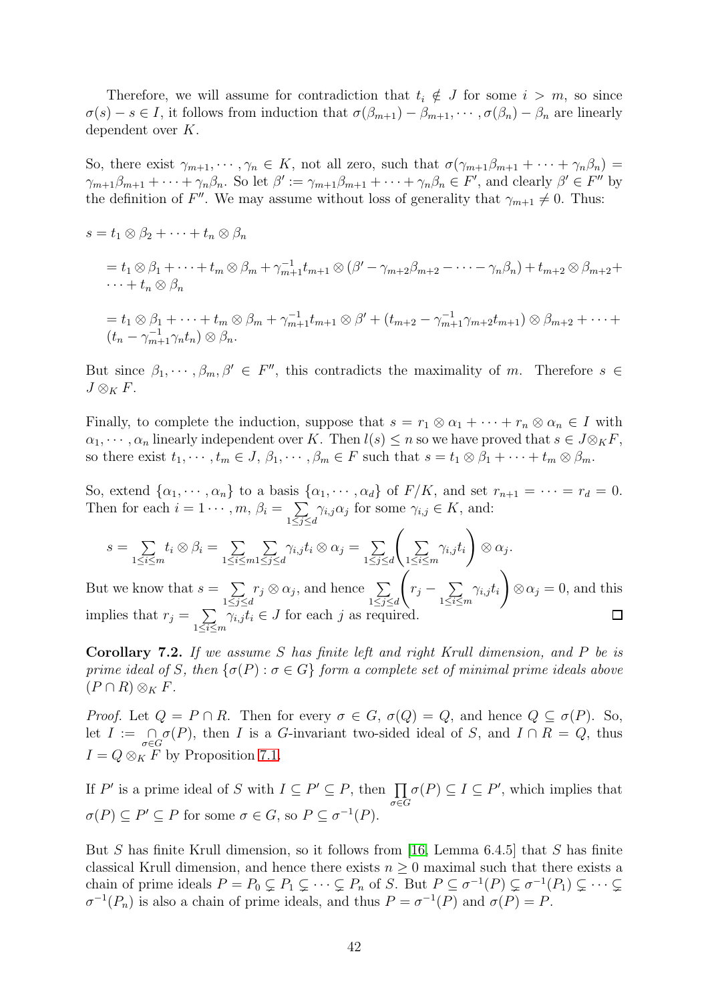Therefore, we will assume for contradiction that  $t_i \notin J$  for some  $i > m$ , so since  $\sigma(s) - s \in I$ , it follows from induction that  $\sigma(\beta_{m+1}) - \beta_{m+1}, \cdots, \sigma(\beta_n) - \beta_n$  are linearly dependent over K.

So, there exist  $\gamma_{m+1}, \dots, \gamma_n \in K$ , not all zero, such that  $\sigma(\gamma_{m+1}\beta_{m+1} + \dots + \gamma_n\beta_n) =$  $\gamma_{m+1}\beta_{m+1}+\cdots+\gamma_n\beta_n$ . So let  $\beta':=\gamma_{m+1}\beta_{m+1}+\cdots+\gamma_n\beta_n\in F'$ , and clearly  $\beta'\in F''$  by the definition of F''. We may assume without loss of generality that  $\gamma_{m+1} \neq 0$ . Thus:

$$
s = t_1 \otimes \beta_2 + \dots + t_n \otimes \beta_n
$$
  
\n
$$
= t_1 \otimes \beta_1 + \dots + t_m \otimes \beta_m + \gamma_{m+1}^{-1} t_{m+1} \otimes (\beta' - \gamma_{m+2} \beta_{m+2} - \dots - \gamma_n \beta_n) + t_{m+2} \otimes \beta_{m+2} + \dots + t_n \otimes \beta_n
$$
  
\n
$$
= t_1 \otimes \beta_1 + \dots + t_m \otimes \beta_m + \gamma_{m+1}^{-1} t_{m+1} \otimes \beta' + (t_{m+2} - \gamma_{m+1}^{-1} \gamma_{m+2} t_{m+1}) \otimes \beta_{m+2} + \dots + (t_n - \gamma_{m+1}^{-1} \gamma_n t_n) \otimes \beta_n.
$$

But since  $\beta_1, \dots, \beta_m, \beta' \in F''$ , this contradicts the maximality of m. Therefore  $s \in$  $J \otimes_K F$ .

Finally, to complete the induction, suppose that  $s = r_1 \otimes \alpha_1 + \cdots + r_n \otimes \alpha_n \in I$  with  $\alpha_1, \dots, \alpha_n$  linearly independent over K. Then  $l(s) \leq n$  so we have proved that  $s \in J \otimes_K F$ , so there exist  $t_1, \dots, t_m \in J$ ,  $\beta_1, \dots, \beta_m \in F$  such that  $s = t_1 \otimes \beta_1 + \dots + t_m \otimes \beta_m$ .

So, extend  $\{\alpha_1, \dots, \alpha_n\}$  to a basis  $\{\alpha_1, \dots, \alpha_d\}$  of  $F/K$ , and set  $r_{n+1} = \dots = r_d = 0$ . Then for each  $i = 1 \cdots, m, \beta_i = \sum$  $1\leq j\leq d$  $\gamma_{i,j}\alpha_j$  for some  $\gamma_{i,j}\in K$ , and:

$$
s = \sum_{1 \le i \le m} t_i \otimes \beta_i = \sum_{1 \le i \le m} \sum_{1 \le j \le d} \gamma_{i,j} t_i \otimes \alpha_j = \sum_{1 \le j \le d} \left( \sum_{1 \le i \le m} \gamma_{i,j} t_i \right) \otimes \alpha_j.
$$
  
But we know that  $s = \sum_{1 \le j \le d} r_j \otimes \alpha_j$ , and hence  $\sum_{1 \le j \le d} \left( r_j - \sum_{1 \le i \le m} \gamma_{i,j} t_i \right) \otimes \alpha_j = 0$ , and this implies that  $r_j = \sum_{1 \le i \le m} \gamma_{i,j} t_i \in J$  for each j as required.

<span id="page-41-0"></span>Corollary 7.2. If we assume S has finite left and right Krull dimension, and P be is prime ideal of S, then  $\{\sigma(P): \sigma \in G\}$  form a complete set of minimal prime ideals above  $(P \cap R) \otimes_K F$ .

Proof. Let  $Q = P \cap R$ . Then for every  $\sigma \in G$ ,  $\sigma(Q) = Q$ , and hence  $Q \subseteq \sigma(P)$ . So, let  $I := \bigcap_{\sigma \in G} \sigma(P)$ , then I is a G-invariant two-sided ideal of S, and  $I \cap R = Q$ , thus  $I = Q \otimes_K F$  by Proposition [7.1.](#page-40-1)

If  $P'$  is a prime ideal of S with  $I \subseteq P' \subseteq P$ , then  $\prod$ σ∈G  $\sigma(P) \subseteq I \subseteq P'$ , which implies that  $\sigma(P) \subseteq P' \subseteq P$  for some  $\sigma \in G$ , so  $P \subseteq \sigma^{-1}(P)$ .

But S has finite Krull dimension, so it follows from [\[16,](#page-51-0) Lemma 6.4.5] that S has finite classical Krull dimension, and hence there exists  $n \geq 0$  maximal such that there exists a chain of prime ideals  $P = P_0 \subsetneq P_1 \subsetneq \cdots \subsetneq P_n$  of S. But  $P \subseteq \sigma^{-1}(P) \subsetneq \sigma^{-1}(P_1) \subsetneq \cdots \subsetneq$  $\sigma^{-1}(P_n)$  is also a chain of prime ideals, and thus  $P = \sigma^{-1}(P)$  and  $\sigma(P) = P$ .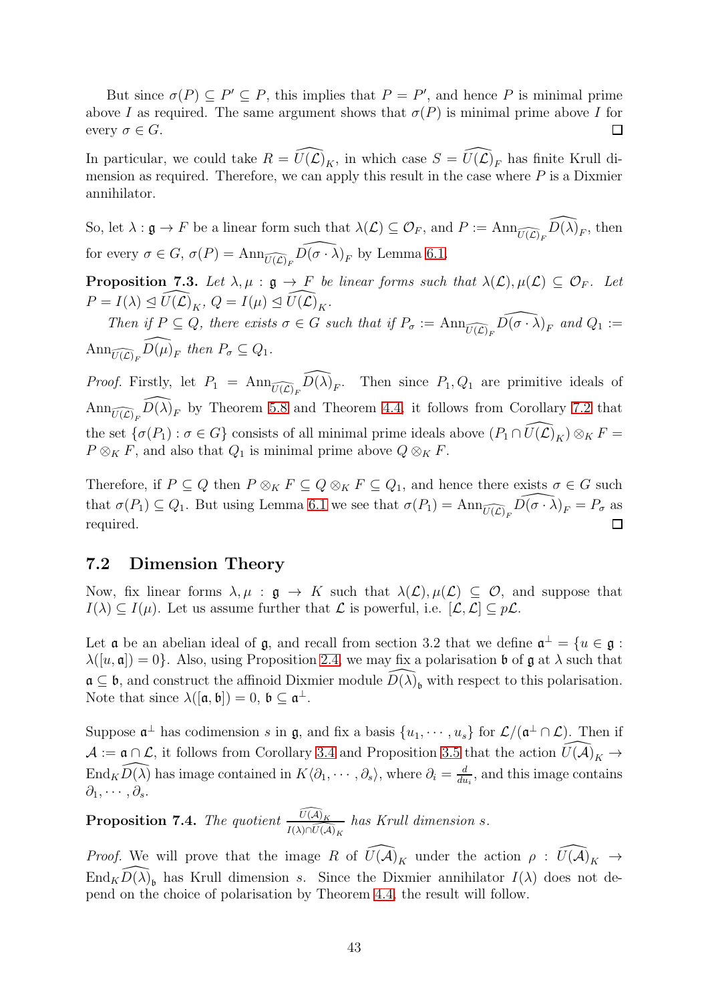But since  $\sigma(P) \subseteq P' \subseteq P$ , this implies that  $P = P'$ , and hence P is minimal prime above I as required. The same argument shows that  $\sigma(P)$  is minimal prime above I for every  $\sigma \in G$ .  $\Box$ 

In particular, we could take  $R = \widehat{U(\mathcal{L})}_K$ , in which case  $S = \widehat{U(\mathcal{L})}_F$  has finite Krull dimension as required. Therefore, we can apply this result in the case where  $P$  is a Dixmier annihilator.

So, let  $\lambda : \mathfrak{g} \to F$  be a linear form such that  $\lambda(\mathcal{L}) \subseteq \mathcal{O}_F$ , and  $P := \text{Ann}_{\widehat{U(\mathcal{L})}_F} \widehat{D(\lambda)}_F$ , then for every  $\sigma \in G$ ,  $\sigma(P) = \text{Ann}_{\widehat{U(\mathcal{L})}_F} \widehat{D(\sigma \cdot \lambda)}_F$  by Lemma [6.1.](#page-34-2)

<span id="page-42-2"></span>**Proposition 7.3.** Let  $\lambda, \mu : \mathfrak{g} \to F$  be linear forms such that  $\lambda(\mathcal{L}), \mu(\mathcal{L}) \subseteq \mathcal{O}_F$ . Let  $P = I(\lambda) \trianglelefteq \widehat{U(\mathcal{L})}_K, Q = I(\mu) \trianglelefteq \widehat{U(\mathcal{L})}_K.$ 

Then if  $P \subseteq Q$ , there exists  $\sigma \in G$  such that if  $P_{\sigma} := \text{Ann}_{\widehat{U(\mathcal{L})}_F} \widehat{D(\sigma \cdot \lambda)}_F$  and  $Q_1 :=$  $\text{Ann}_{\widehat{U(\mathcal{L})_F}} \widehat{D(\mu)}_F$  then  $P_{\sigma} \subseteq Q_1$ .

*Proof.* Firstly, let  $P_1 = \text{Ann}_{\widehat{U(\mathcal{L})}_F} \widehat{D(\lambda)}_F$ . Then since  $P_1, Q_1$  are primitive ideals of  $\text{Ann}_{\widehat{U(\mathcal{L})}_F}\widehat{D(\lambda)}_F$  by Theorem [5.8](#page-32-0) and Theorem [4.4,](#page-26-0) it follows from Corollary [7.2](#page-41-0) that the set  $\{\sigma(P_1): \sigma \in G\}$  consists of all minimal prime ideals above  $(P_1 \cap \widehat{U(\mathcal{L})}_K) \otimes_K F =$  $P \otimes_K F$ , and also that  $Q_1$  is minimal prime above  $Q \otimes_K F$ .

Therefore, if  $P \subseteq Q$  then  $P \otimes_K F \subseteq Q \otimes_K F \subseteq Q_1$ , and hence there exists  $\sigma \in G$  such that  $\sigma(P_1) \subseteq Q_1$ . But using Lemma [6.1](#page-34-2) we see that  $\sigma(P_1) = \text{Ann}_{\widehat{U(\mathcal{L})}_F} \widehat{D(\sigma \cdot \lambda)}_F = P_{\sigma}$  as required.  $\Box$ 

#### <span id="page-42-0"></span>7.2 Dimension Theory

Now, fix linear forms  $\lambda, \mu : \mathfrak{g} \to K$  such that  $\lambda(\mathcal{L}), \mu(\mathcal{L}) \subseteq \mathcal{O}$ , and suppose that  $I(\lambda) \subseteq I(\mu)$ . Let us assume further that  $\mathcal L$  is powerful, i.e.  $[\mathcal L, \mathcal L] \subseteq p\mathcal L$ .

Let  $\mathfrak a$  be an abelian ideal of  $\mathfrak g$ , and recall from section 3.2 that we define  $\mathfrak a^{\perp} = \{u \in \mathfrak g :$  $\lambda([u, \mathfrak{a}]) = 0$ . Also, using Proposition [2.4,](#page-8-0) we may fix a polarisation b of g at  $\lambda$  such that  $\mathfrak{a} \subseteq \mathfrak{b}$ , and construct the affinoid Dixmier module  $\widehat{D(\lambda)}_{\mathfrak{b}}$  with respect to this polarisation. Note that since  $\lambda([\mathfrak{a},\mathfrak{b}])=0, \mathfrak{b}\subseteq \mathfrak{a}^{\perp}$ .

Suppose  $\mathfrak{a}^{\perp}$  has codimension s in  $\mathfrak{g}$ , and fix a basis  $\{u_1, \cdots, u_s\}$  for  $\mathcal{L}/(\mathfrak{a}^{\perp} \cap \mathcal{L})$ . Then if  $\mathcal{A} := \mathfrak{a} \cap \mathcal{L}$ , it follows from Corollary [3.4](#page-20-0) and Proposition [3.5](#page-21-0) that the action  $\widehat{U(\mathcal{A})}_K \to$ End<sub>K</sub> $\widehat{D(\lambda)}$  has image contained in  $K\langle \partial_1, \cdots, \partial_s \rangle$ , where  $\partial_i = \frac{d}{du}$  $\frac{d}{du_i}$ , and this image contains  $\partial_1, \cdots, \partial_s$ .

<span id="page-42-1"></span>**Proposition 7.4.** The quotient  $\frac{\widehat{U(A)}_K}{I(\lambda)\cap \widehat{U(A)}_K}$  has Krull dimension s.

*Proof.* We will prove that the image R of  $\widehat{U(A)}_K$  under the action  $\rho : \widehat{U(A)}_K \to$  $\widehat{End_KD(\lambda)}_b$  has Krull dimension s. Since the Dixmier annihilator  $I(\lambda)$  does not depend on the choice of polarisation by Theorem [4.4,](#page-26-0) the result will follow.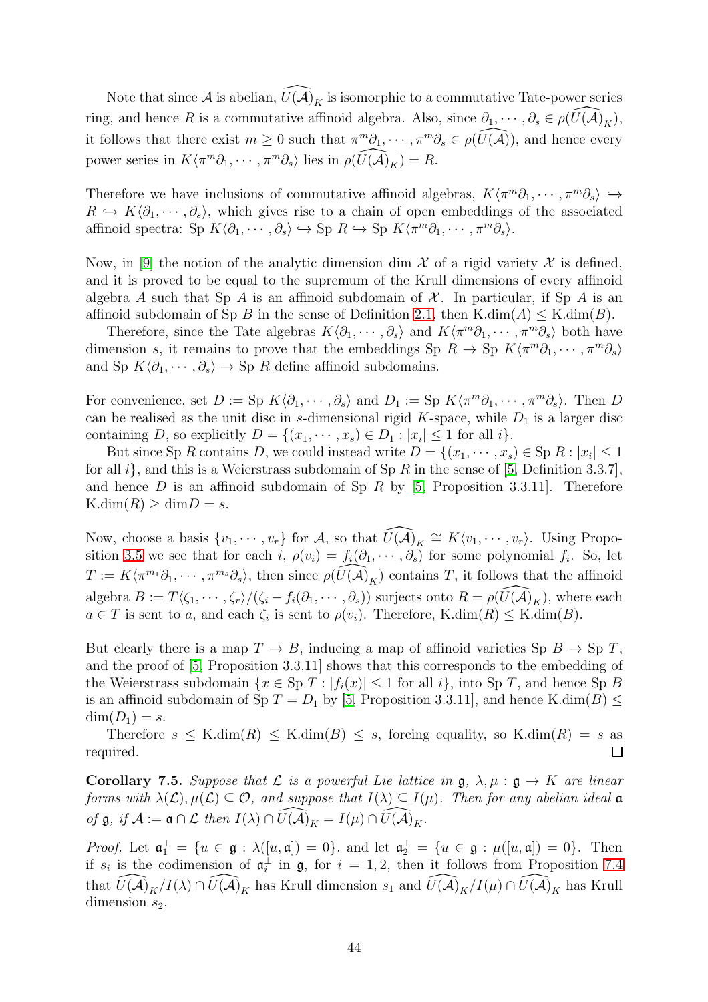Note that since A is abelian,  $\widehat{U}(\widehat{\mathcal{A}})_K$  is isomorphic to a commutative Tate-power series ring, and hence R is a commutative affinoid algebra. Also, since  $\partial_1, \cdots, \partial_s \in \rho(\widetilde{U}(\widetilde{\mathcal{A}})_{\widetilde{K}})$ , it follows that there exist  $m \geq 0$  such that  $\pi^m \partial_1, \cdots, \pi^m \partial_s \in \rho(\widehat{U(A)})$ , and hence every power series in  $K\langle \pi^m \partial_1, \cdots, \pi^m \partial_s \rangle$  lies in  $\rho(\widehat{U(A)}_K) = R$ .

Therefore we have inclusions of commutative affinoid algebras,  $K\langle \pi^m \partial_1, \cdots, \pi^m \partial_s \rangle \hookrightarrow$  $R \hookrightarrow K\langle \partial_1, \cdots, \partial_s \rangle$ , which gives rise to a chain of open embeddings of the associated affinoid spectra: Sp  $K\langle \partial_1, \cdots, \partial_s \rangle \hookrightarrow$  Sp  $R \hookrightarrow$  Sp  $K\langle \pi^m \partial_1, \cdots, \pi^m \partial_s \rangle$ .

Now, in [\[9\]](#page-50-8) the notion of the analytic dimension dim  $\mathcal X$  of a rigid variety  $\mathcal X$  is defined, and it is proved to be equal to the supremum of the Krull dimensions of every affinoid algebra A such that Sp A is an affinoid subdomain of  $\mathcal X$ . In particular, if Sp A is an affinoid subdomain of Sp B in the sense of Definition [2.1,](#page-5-1) then K.dim(A)  $\leq$  K.dim(B).

Therefore, since the Tate algebras  $K\langle\partial_1,\cdots,\partial_s\rangle$  and  $K\langle\pi^m\partial_1,\cdots,\pi^m\partial_s\rangle$  both have dimension s, it remains to prove that the embeddings Sp  $R \to \text{Sp } K \langle \pi^m \partial_1, \cdots, \pi^m \partial_s \rangle$ and Sp  $K\langle \partial_1, \cdots, \partial_s \rangle \to$  Sp R define affinoid subdomains.

For convenience, set  $D := \text{Sp } K \langle \partial_1, \cdots, \partial_s \rangle$  and  $D_1 := \text{Sp } K \langle \pi^m \partial_1, \cdots, \pi^m \partial_s \rangle$ . Then  $D$ can be realised as the unit disc in s-dimensional rigid K-space, while  $D_1$  is a larger disc containing D, so explicitly  $D = \{(x_1, \dots, x_s) \in D_1 : |x_i| \leq 1 \text{ for all } i\}.$ 

But since Sp R contains D, we could instead write  $D = \{(x_1, \dots, x_s) \in \text{Sp } R : |x_i| \leq 1\}$ for all  $i$ , and this is a Weierstrass subdomain of Sp R in the sense of [\[5,](#page-50-4) Definition 3.3.7], and hence  $D$  is an affinoid subdomain of Sp  $R$  by [\[5,](#page-50-4) Proposition 3.3.11]. Therefore  $K.dim(R) \geq \dim D = s.$ 

Now, choose a basis  $\{v_1, \dots, v_r\}$  for A, so that  $\widehat{U(A)}_K \cong K\langle v_1, \dots, v_r \rangle$ . Using Propo-sition [3.5](#page-21-0) we see that for each  $i, \rho(v_i) = f_i(\partial_1, \dots, \partial_s)$  for some polynomial  $f_i$ . So, let  $T := K\langle \pi^{m_1}\partial_1,\cdots,\pi^{m_s}\partial_s\rangle$ , then since  $\rho(\widehat{U(\mathcal{A})}_K)$  contains T, it follows that the affinoid algebra  $B := T\langle \zeta_1, \cdots, \zeta_r \rangle / (\zeta_i - f_i(\partial_1, \cdots, \partial_s))$  surjects onto  $R = \rho(\widehat{U(A)}_K)$ , where each  $a \in T$  is sent to a, and each  $\zeta_i$  is sent to  $\rho(v_i)$ . Therefore, K.dim $(R) \leq K$ .dim $(B)$ .

But clearly there is a map  $T \to B$ , inducing a map of affinoid varieties Sp  $B \to Sp T$ , and the proof of [\[5,](#page-50-4) Proposition 3.3.11] shows that this corresponds to the embedding of the Weierstrass subdomain  $\{x \in \text{Sp } T : |f_i(x)| \leq 1 \text{ for all } i\}$ , into  $\text{Sp } T$ , and hence  $\text{Sp } B$ is an affinoid subdomain of Sp  $T = D_1$  by [\[5,](#page-50-4) Proposition 3.3.11], and hence K.dim(B)  $\leq$  $\dim(D_1)=s.$ 

Therefore  $s \leq K.dim(R) \leq K.dim(B) \leq s$ , forcing equality, so  $K.dim(R) = s$  as  $\Box$ required.

<span id="page-43-0"></span>Corollary 7.5. Suppose that L is a powerful Lie lattice in  $\mathfrak{g}, \lambda, \mu : \mathfrak{g} \to K$  are linear forms with  $\lambda(\mathcal{L}), \mu(\mathcal{L}) \subseteq \mathcal{O}$ , and suppose that  $I(\lambda) \subseteq I(\mu)$ . Then for any abelian ideal a of  $\mathfrak g$ , if  $\mathcal A := \mathfrak a \cap \mathcal L$  then  $I(\lambda) \cap \widehat{U(\mathcal A)}_K = I(\mu) \cap \widehat{U(\mathcal A)}_K$ .

*Proof.* Let  $\mathfrak{a}_1^{\perp} = \{u \in \mathfrak{g} : \lambda([u,\mathfrak{a}]) = 0\}$ , and let  $\mathfrak{a}_2^{\perp} = \{u \in \mathfrak{g} : \mu([u,\mathfrak{a}]) = 0\}$ . Then if  $s_i$  is the codimension of  $\mathfrak{a}_i^{\perp}$  in  $\mathfrak{g}$ , for  $i = 1, 2$ , then it follows from Proposition [7.4](#page-42-1) that  $\widehat{U(A)}_K/I(\lambda) \cap \widehat{U(A)}_K$  has Krull dimension  $s_1$  and  $\widehat{U(A)}_K/I(\mu) \cap \widehat{U(A)}_K$  has Krull dimension  $s_2$ .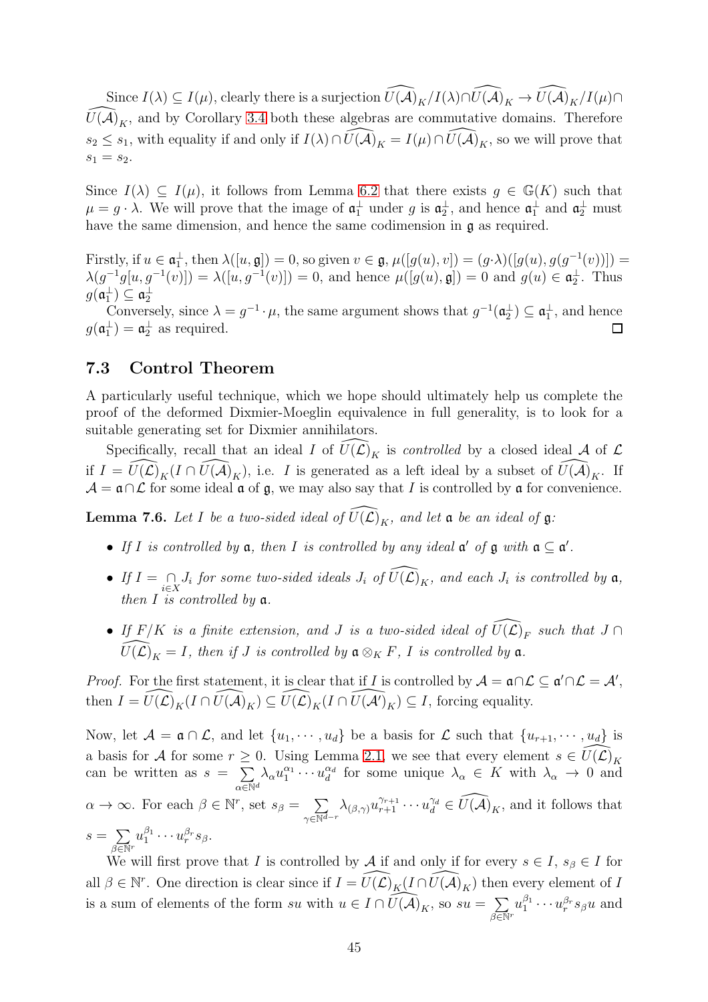Since  $I(\lambda) \subseteq I(\mu)$ , clearly there is a surjection  $\widehat{U(A)}_K/I(\lambda) \cap \widehat{U(A)}_K \to \widehat{U(A)}_K/I(\mu) \cap$  $\widetilde{U}(\tilde{\mathcal{A}})_{K}$ , and by Corollary [3.4](#page-20-0) both these algebras are commutative domains. Therefore  $s_2 \leq s_1$ , with equality if and only if  $I(\lambda) \cap \widetilde{U(\mathcal{A})}_K = I(\mu) \cap \widetilde{U(\mathcal{A})}_K$ , so we will prove that  $s_1 = s_2.$ 

Since  $I(\lambda) \subseteq I(\mu)$ , it follows from Lemma [6.2](#page-34-3) that there exists  $g \in \mathbb{G}(K)$  such that  $\mu = g \cdot \lambda$ . We will prove that the image of  $\mathfrak{a}_1^{\perp}$  under g is  $\mathfrak{a}_2^{\perp}$ , and hence  $\mathfrak{a}_1^{\perp}$  and  $\mathfrak{a}_2^{\perp}$  must have the same dimension, and hence the same codimension in g as required.

Firstly, if  $u \in \mathfrak{a}_1^{\perp}$ , then  $\lambda([u, \mathfrak{g}]) = 0$ , so given  $v \in \mathfrak{g}$ ,  $\mu([g(u), v]) = (g \cdot \lambda)([g(u), g(g^{-1}(v))]) =$  $\lambda(g^{-1}g[u,g^{-1}(v)]) = \lambda([u,g^{-1}(v)]) = 0$ , and hence  $\mu([g(u),\mathfrak{g}]) = 0$  and  $g(u) \in \mathfrak{a}_2^{\perp}$ . Thus  $g(\mathfrak{a}_1^{\perp}) \subseteq \mathfrak{a}_2^{\perp}$ 

Conversely, since  $\lambda = g^{-1} \cdot \mu$ , the same argument shows that  $g^{-1}(\mathfrak{a}_2^{\perp}) \subseteq \mathfrak{a}_1^{\perp}$ , and hence  $g(\mathfrak{a}_1^{\perp}) = \mathfrak{a}_2^{\perp}$  as required.  $\Box$ 

#### <span id="page-44-0"></span>7.3 Control Theorem

A particularly useful technique, which we hope should ultimately help us complete the proof of the deformed Dixmier-Moeglin equivalence in full generality, is to look for a suitable generating set for Dixmier annihilators.

Specifically, recall that an ideal I of  $\widehat{U}(\widehat{\mathcal{L}})_K$  is controlled by a closed ideal A of  $\mathcal L$ if  $I = \widehat{U(\mathcal{L})}_K(I \cap \widehat{U(\mathcal{A})}_K)$ , i.e. I is generated as a left ideal by a subset of  $\widehat{U(\mathcal{A})}_K$ . If  $\mathcal{A} = \mathfrak{a} \cap \mathcal{L}$  for some ideal  $\mathfrak{a}$  of  $\mathfrak{g}$ , we may also say that I is controlled by  $\mathfrak{a}$  for convenience.

<span id="page-44-1"></span>**Lemma 7.6.** Let I be a two-sided ideal of  $\widehat{U(L)}_K$ , and let a be an ideal of g:

- If I is controlled by  $a$ , then I is controlled by any ideal  $a'$  of  $a$  with  $a \subseteq a'$ .
- If  $I = \bigcap_{i \in X} J_i$  for some two-sided ideals  $J_i$  of  $\widehat{U(\mathcal{L})}_K$ , and each  $J_i$  is controlled by  $\mathfrak{a}$ , then  $I$  is controlled by  $a$ .
- If  $F/K$  is a finite extension, and J is a two-sided ideal of  $\widehat{U(\mathcal{L})}_F$  such that  $J \cap$  $\widehat{U(\mathcal{L})}_K = I$ , then if J is controlled by  $\mathfrak{a} \otimes_K F$ , I is controlled by  $\mathfrak{a}$ .

*Proof.* For the first statement, it is clear that if I is controlled by  $A = \mathfrak{a} \cap \mathcal{L} \subseteq \mathfrak{a}' \cap \mathcal{L} = \mathcal{A}'$ , then  $I = \widehat{U(\mathcal{L})}_K(I \cap \widehat{U(\mathcal{A})}_K) \subseteq \widehat{U(\mathcal{L})}_K(I \cap \widehat{U(\mathcal{A}')}_K) \subseteq I$ , forcing equality.

Now, let  $\mathcal{A} = \mathfrak{a} \cap \mathcal{L}$ , and let  $\{u_1, \dots, u_d\}$  be a basis for  $\mathcal{L}$  such that  $\{u_{r+1}, \dots, u_d\}$  is a basis for A for some  $r \geq 0$ . Using Lemma [2.1,](#page-6-1) we see that every element  $s \in \widehat{U(\mathcal{L})}_K$ can be written as  $s = \sum$  $\alpha \in \mathbb{N}^d$  $\lambda_\alpha u_1^{\alpha_1} \cdots u_d^{\alpha_d}$  $\frac{\alpha_d}{d}$  for some unique  $\lambda_\alpha \in K$  with  $\lambda_\alpha \to 0$  and  $\alpha \to \infty$ . For each  $\beta \in \mathbb{N}^r$ , set  $s_{\beta} = \sum_{r=1}^r$  $\gamma \in \overline{\mathbb{N}^{d-r}}$  $\lambda_{(\beta,\gamma)} u_{r+1}^{\gamma_{r+1}} \cdots u_d^{\gamma_d} \in \widehat{U(A)}_K$ , and it follows that  $s = \sum$  $\beta \overline{\in} \mathbb{N}^r$  $u_1^{\beta_1}\cdots u_r^{\beta_r}s_\beta.$ 

We will first prove that I is controlled by A if and only if for every  $s \in I$ ,  $s_{\beta} \in I$  for all  $\beta \in \mathbb{N}^r$ . One direction is clear since if  $I = \widehat{U(\mathcal{L})}_K(I \cap \widehat{U(\mathcal{A})}_K)$  then every element of I is a sum of elements of the form su with  $u \in I \cap \widehat{U(A)}_K$ , so  $su = \sum_{i=1}^{K}$  $\beta \overline{\in} \mathbb{N}^r$  $u_1^{\beta_1}\cdots u_r^{\beta_r} s_\beta u$  and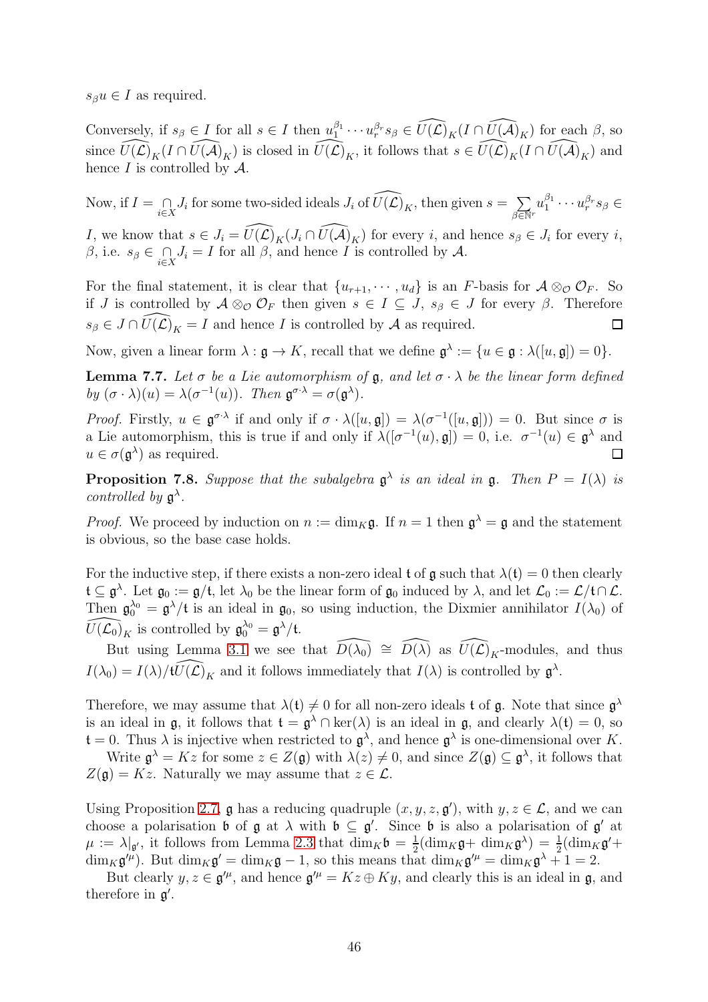$s_{\beta}u \in I$  as required.

Conversely, if  $s_{\beta} \in I$  for all  $s \in I$  then  $u_1^{\beta_1}$  $\widehat{\psi}_1^{\beta_1}\cdots\widehat{\psi}_r^{\beta_r} s_\beta\in \widehat{U(\mathcal{L})}_K(I\cap \widehat{U(\mathcal{A})}_K)$  for each  $\beta$ , so since  $\widehat{U(\mathcal{L})}_K(I \cap \widehat{U(\mathcal{A})}_K)$  is closed in  $\widehat{U(\mathcal{L})}_K$ , it follows that  $s \in \widehat{U(\mathcal{L})}_K(I \cap \widehat{U(\mathcal{A})}_K)$  and hence  $I$  is controlled by  $\mathcal{A}$ .

Now, if  $I = \bigcap_{i \in X} J_i$  for some two-sided ideals  $J_i$  of  $\widehat{U(\mathcal{L})}_K$ , then given  $s = \sum_{\beta \in \mathbb{N}}$  $\beta \overline{\in} \mathbb{N}^r$  $u_1^{\beta_1}$  $u^{\beta_1}_1 \cdots u^{\beta_r}_rs_\beta \in$ I, we know that  $s \in J_i = \widehat{U(\mathcal{L})}_K(J_i \cap \widehat{U(\mathcal{A})}_K)$  for every i, and hence  $s_{\beta} \in J_i$  for every i, β, i.e.  $s_{\beta} \in \bigcap_{i \in X} J_i = I$  for all β, and hence I is controlled by A.

For the final statement, it is clear that  $\{u_{r+1}, \dots, u_d\}$  is an F-basis for  $\mathcal{A} \otimes_{\mathcal{O}} \mathcal{O}_F$ . So if J is controlled by  $\mathcal{A} \otimes_{\mathcal{O}} \mathcal{O}_F$  then given  $s \in I \subseteq J$ ,  $s_{\beta} \in J$  for every  $\beta$ . Therefore  $s_{\beta} \in J \cap \widehat{U}(\widehat{\mathcal{L}})_K = I$  and hence I is controlled by A as required.  $\Box$ 

Now, given a linear form  $\lambda : \mathfrak{g} \to K$ , recall that we define  $\mathfrak{g}^{\lambda} := \{u \in \mathfrak{g} : \lambda([u, \mathfrak{g}]) = 0\}.$ 

<span id="page-45-0"></span>**Lemma 7.7.** Let  $\sigma$  be a Lie automorphism of  $\mathfrak{g}$ , and let  $\sigma \cdot \lambda$  be the linear form defined by  $(\sigma \cdot \lambda)(u) = \lambda(\sigma^{-1}(u))$ . Then  $\mathfrak{g}^{\sigma \cdot \lambda} = \sigma(\mathfrak{g}^{\lambda})$ .

Proof. Firstly,  $u \in \mathfrak{g}^{\sigma \cdot \lambda}$  if and only if  $\sigma \cdot \lambda([u, \mathfrak{g}]) = \lambda(\sigma^{-1}([u, \mathfrak{g}])) = 0$ . But since  $\sigma$  is a Lie automorphism, this is true if and only if  $\lambda([\sigma^{-1}(u), \mathfrak{g}]) = 0$ , i.e.  $\sigma^{-1}(u) \in \mathfrak{g}^{\lambda}$  and  $u \in \sigma(\mathfrak{g}^{\lambda})$  as required.  $\Box$ 

<span id="page-45-1"></span>**Proposition 7.8.** Suppose that the subalgebra  $\mathfrak{g}^{\lambda}$  is an ideal in  $\mathfrak{g}$ . Then  $P = I(\lambda)$  is controlled by  $\mathfrak{g}^{\lambda}$ .

*Proof.* We proceed by induction on  $n := \dim_K \mathfrak{g}$ . If  $n = 1$  then  $\mathfrak{g}^{\lambda} = \mathfrak{g}$  and the statement is obvious, so the base case holds.

For the inductive step, if there exists a non-zero ideal t of  $\mathfrak g$  such that  $\lambda(\mathfrak t)=0$  then clearly  $\mathfrak{t} \subseteq \mathfrak{g}^{\lambda}$ . Let  $\mathfrak{g}_0 := \mathfrak{g}/\mathfrak{t}$ , let  $\lambda_0$  be the linear form of  $\mathfrak{g}_0$  induced by  $\lambda$ , and let  $\mathcal{L}_0 := \mathcal{L}/\mathfrak{t} \cap \mathcal{L}$ . Then  $\mathfrak{g}_0^{\lambda_0} = \mathfrak{g}^{\lambda}/\mathfrak{t}$  is an ideal in  $\mathfrak{g}_0$ , so using induction, the Dixmier annihilator  $I(\lambda_0)$  of  $\overline{U(\mathcal{L}_0)}$ , is controlled by  $\mathfrak{g}_0^{\lambda_0} = \mathfrak{g}^{\lambda}/\mathfrak{t}$  $\widehat{U}(\mathcal{L}_0)_K$  is controlled by  $\mathfrak{g}_0^{\lambda_0} = \mathfrak{g}^{\lambda}/\mathfrak{t}$ .

But using Lemma [3.1](#page-14-2) we see that  $\widehat{D(\lambda_0)} \cong \widehat{D(\lambda)}$  as  $\widehat{U(\mathcal{L})}_K$ -modules, and thus  $I(\lambda_0) = I(\lambda)/t \widehat{U(\mathcal{L})}_K$  and it follows immediately that  $I(\lambda)$  is controlled by  $\mathfrak{g}^{\lambda}$ .

Therefore, we may assume that  $\lambda(t) \neq 0$  for all non-zero ideals t of g. Note that since  $g^{\lambda}$ is an ideal in  $\mathfrak{g}$ , it follows that  $\mathfrak{t} = \mathfrak{g}^{\lambda} \cap \text{ker}(\lambda)$  is an ideal in  $\mathfrak{g}$ , and clearly  $\lambda(\mathfrak{t}) = 0$ , so  $\mathfrak{t} = 0$ . Thus  $\lambda$  is injective when restricted to  $\mathfrak{g}^{\lambda}$ , and hence  $\mathfrak{g}^{\lambda}$  is one-dimensional over K.

Write  $\mathfrak{g}^{\lambda} = Kz$  for some  $z \in Z(\mathfrak{g})$  with  $\lambda(z) \neq 0$ , and since  $Z(\mathfrak{g}) \subseteq \mathfrak{g}^{\lambda}$ , it follows that  $Z(\mathfrak{g}) = Kz$ . Naturally we may assume that  $z \in \mathcal{L}$ .

Using Proposition [2.7,](#page-10-0)  $\mathfrak g$  has a reducing quadruple  $(x, y, z, \mathfrak g')$ , with  $y, z \in \mathcal L$ , and we can choose a polarisation **b** of  $\mathfrak{g}$  at  $\lambda$  with  $\mathfrak{b} \subseteq \mathfrak{g}'$ . Since **b** is also a polarisation of  $\mathfrak{g}'$  at  $\mu := \lambda |_{\mathfrak{g}'},$  it follows from Lemma [2.3](#page-7-2) that  $\dim_K \mathfrak{b} = \frac{1}{2}$  $\frac{1}{2}$ (dim<sub>K</sub>g+ dim<sub>K</sub>g<sup> $\lambda$ </sup>) =  $\frac{1}{2}$ (dim<sub>K</sub>g<sup> $\prime$ </sup>+  $\dim_K \mathfrak{g}^{\prime\mu}$ ). But  $\dim_K \mathfrak{g}^{\prime} = \dim_K \mathfrak{g} - 1$ , so this means that  $\dim_K \mathfrak{g}^{\prime\mu} = \dim_K \mathfrak{g}^{\lambda} + 1 = 2$ .

But clearly  $y, z \in \mathfrak{g}^{\prime\mu}$ , and hence  $\mathfrak{g}^{\prime\mu} = Kz \oplus Ky$ , and clearly this is an ideal in  $\mathfrak{g}$ , and therefore in  $g'$ .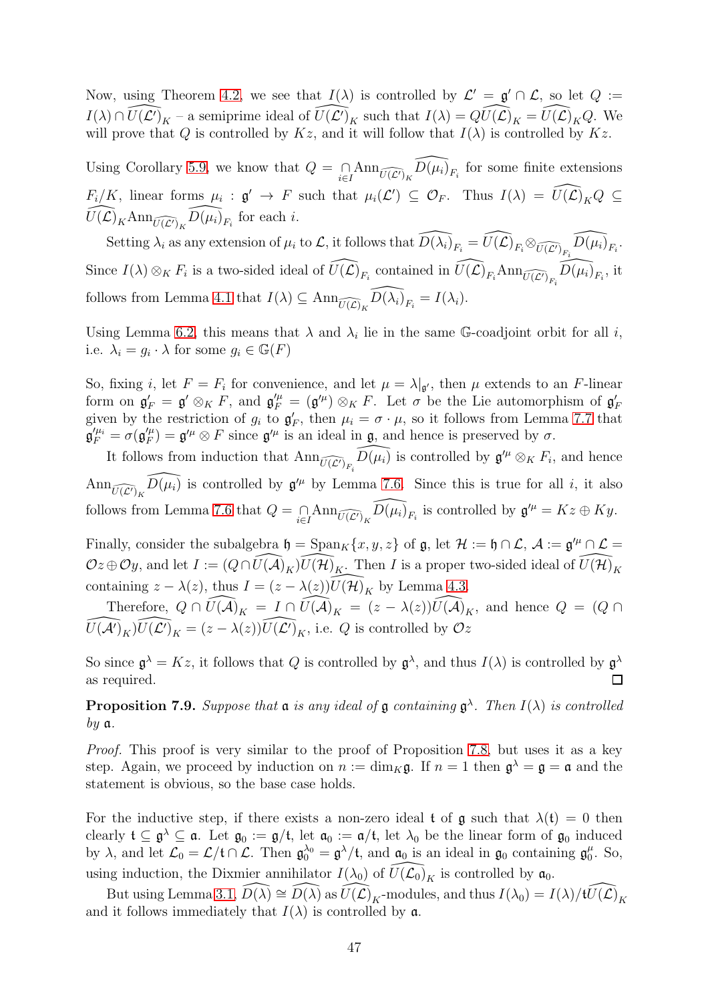Now, using Theorem [4.2,](#page-25-1) we see that  $I(\lambda)$  is controlled by  $\mathcal{L}' = \mathfrak{g}' \cap \mathcal{L}$ , so let  $Q :=$  $I(\lambda) \cap \widehat{U(\mathcal{L})}_K$  – a semiprime ideal of  $\widehat{U(\mathcal{L})}_K$  such that  $I(\lambda) = \widehat{QU(\mathcal{L})}_K = \widehat{U(\mathcal{L})}_K Q$ . We will prove that Q is controlled by  $Kz$ , and it will follow that  $I(\lambda)$  is controlled by  $Kz$ .

Using Corollary [5.9,](#page-33-0) we know that  $Q = \bigcap_{i \in I} Ann_{\widehat{U(\mathcal{L}')}_K} \widehat{D(\mu_i)}_{F_i}$  for some finite extensions  $F_i/K$ , linear forms  $\mu_i : \mathfrak{g}' \to F$  such that  $\mu_i(\mathcal{L}') \subseteq \mathcal{O}_F$ . Thus  $I(\lambda) = \widehat{U(\mathcal{L})}_K Q \subseteq$  $\widehat{U(\mathcal{L})}_K \text{Ann}_{\widehat{U(\mathcal{L}')}_K} \widehat{D(\mu_i)}_{F_i}$  for each *i*.

Setting  $\lambda_i$  as any extension of  $\mu_i$  to  $\mathcal{L}$ , it follows that  $\widehat{D(\lambda_i)}_{F_i} = \widehat{U(\mathcal{L})}_{F_i} \otimes_{\widehat{U(\mathcal{L}')}_{F_i}} \widehat{D(\mu_i)}_{F_i}$ . Since  $I(\lambda) \otimes_K F_i$  is a two-sided ideal of  $\widehat{U(\mathcal{L})}_{F_i}$  contained in  $\widehat{U(\mathcal{L})}_{F_i}$  Ann $\widehat{U(\mathcal{L})}_{F_i}$ , it follows from Lemma [4.1](#page-24-2) that  $I(\lambda) \subseteq \text{Ann}_{\widehat{U(\mathcal{L})}_K} \widehat{D(\lambda_i)}_{F_i} = I(\lambda_i).$ 

Using Lemma [6.2,](#page-34-3) this means that  $\lambda$  and  $\lambda_i$  lie in the same G-coadjoint orbit for all i, i.e.  $\lambda_i = g_i \cdot \lambda$  for some  $g_i \in \mathbb{G}(F)$ 

So, fixing *i*, let  $F = F_i$  for convenience, and let  $\mu = \lambda |_{g'}$ , then  $\mu$  extends to an *F*-linear form on  $\mathfrak{g}'_F = \mathfrak{g}' \otimes_K F$ , and  $\mathfrak{g}''_F = (\mathfrak{g}'^{\mu}) \otimes_K F$ . Let  $\sigma$  be the Lie automorphism of  $\mathfrak{g}'_F$ given by the restriction of  $g_i$  to  $g'_F$ , then  $\mu_i = \sigma \cdot \mu$ , so it follows from Lemma [7.7](#page-45-0) that  $\mathfrak{g}^{\prime\mu_i}_F=\sigma(\mathfrak{g}^{\prime\mu}_F$  $J_{F}^{/\mu}$ ) =  $\mathfrak{g}^{\prime\mu} \otimes F$  since  $\mathfrak{g}^{\prime\mu}$  is an ideal in  $\mathfrak{g}$ , and hence is preserved by  $\sigma$ .

It follows from induction that  $\text{Ann}_{\widehat{U(\mathcal{L}')}_{F_i}}\widehat{D(\mu_i)}$  is controlled by  $\mathfrak{g}'' \otimes_K F_i$ , and hence  $\text{Ann}_{\widehat{U(\mathcal{L}')_K}}\widehat{D(\mu_i)}$  is controlled by  $\mathfrak{g}''$  by Lemma [7.6.](#page-44-1) Since this is true for all i, it also follows from Lemma [7.6](#page-44-1) that  $Q = \bigcap_{i \in I} Ann_{\widehat{U(\mathcal{L}')}_K} \widehat{D(\mu_i)}_{F_i}$  is controlled by  $\mathfrak{g}^{\prime \mu} = Kz \oplus Ky$ .

Finally, consider the subalgebra  $\mathfrak{h} = \text{Span}_K\{x, y, z\}$  of  $\mathfrak{g}$ , let  $\mathcal{H} := \mathfrak{h} \cap \mathcal{L}$ ,  $\mathcal{A} := \mathfrak{g}'^{\mu} \cap \mathcal{L} =$  $Oz \oplus Oy$ , and let  $I := (Q \cap \widetilde{U(A)}_{K})\widetilde{U(\mathcal{H})}_{K}$ . Then I is a proper two-sided ideal of  $\widetilde{U(\mathcal{H})}_{K}$ containing  $z - \lambda(z)$ , thus  $I = (z - \lambda(z))\overline{U(\mathcal{H})}_K$  by Lemma [4.3.](#page-25-2)

Therefore,  $Q \cap \widehat{U(A)}_K = I \cap \widehat{U(A)}_K = (z - \lambda(z))\widehat{U(A)}_K$ , and hence  $Q = (Q \cap \widehat{U(A)})^T$  $\widehat{U(\mathcal{A}')_K}\widehat{U(\mathcal{L}')}_K = (z - \lambda(z))\widehat{U(\mathcal{L}')}_K$ , i.e. Q is controlled by  $\mathcal{O}z$ 

So since  $\mathfrak{g}^{\lambda} = Kz$ , it follows that Q is controlled by  $\mathfrak{g}^{\lambda}$ , and thus  $I(\lambda)$  is controlled by  $\mathfrak{g}^{\lambda}$ as required.  $\Box$ 

<span id="page-46-0"></span>**Proposition 7.9.** Suppose that  $a$  is any ideal of  $g$  containing  $g^{\lambda}$ . Then  $I(\lambda)$  is controlled  $by \mathfrak{a}.$ 

Proof. This proof is very similar to the proof of Proposition [7.8,](#page-45-1) but uses it as a key step. Again, we proceed by induction on  $n := \dim_K \mathfrak{g}$ . If  $n = 1$  then  $\mathfrak{g}^{\lambda} = \mathfrak{g} = \mathfrak{a}$  and the statement is obvious, so the base case holds.

For the inductive step, if there exists a non-zero ideal t of  $\mathfrak g$  such that  $\lambda(\mathfrak t) = 0$  then clearly  $\mathfrak{t} \subseteq \mathfrak{g}^{\lambda} \subseteq \mathfrak{a}$ . Let  $\mathfrak{g}_0 := \mathfrak{g}/\mathfrak{t}$ , let  $\mathfrak{a}_0 := \mathfrak{a}/\mathfrak{t}$ , let  $\lambda_0$  be the linear form of  $\mathfrak{g}_0$  induced by  $\lambda$ , and let  $\mathcal{L}_0 = \mathcal{L}/\mathfrak{t} \cap \mathcal{L}$ . Then  $\mathfrak{g}_0^{\lambda_0} = \mathfrak{g}^{\lambda}/\mathfrak{t}$ , and  $\mathfrak{a}_0$  is an ideal in  $\mathfrak{g}_0$  containing  $\mathfrak{g}_0^{\mu}$  $_{0}^{\mu}$ . So, using induction, the Dixmier annihilator  $I(\lambda_0)$  of  $\widehat{U(\mathcal{L}_0)}_K$  is controlled by  $\mathfrak{a}_0$ .

But using Lemma [3.1,](#page-14-2)  $\widehat{D(\lambda)} \cong \widehat{D(\lambda)}$  as  $\widehat{U(\mathcal{L})}_K$ -modules, and thus  $I(\lambda_0) = I(\lambda)/t\widehat{U(\mathcal{L})}_K$ and it follows immediately that  $I(\lambda)$  is controlled by **a**.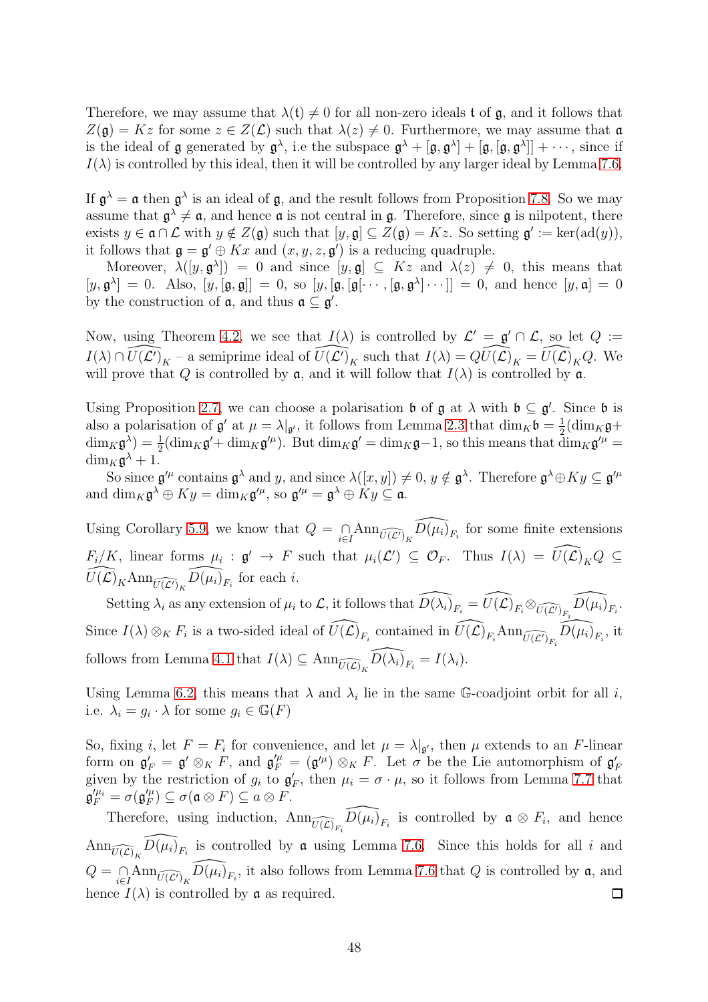Therefore, we may assume that  $\lambda(t) \neq 0$  for all non-zero ideals t of g, and it follows that  $Z(\mathfrak{g}) = Kz$  for some  $z \in Z(\mathcal{L})$  such that  $\lambda(z) \neq 0$ . Furthermore, we may assume that  $\mathfrak{a}$ is the ideal of **g** generated by  $\mathfrak{g}^{\lambda}$ , i.e the subspace  $\mathfrak{g}^{\lambda} + [\mathfrak{g}, \mathfrak{g}^{\lambda}] + [\mathfrak{g}, [\mathfrak{g}, \mathfrak{g}^{\lambda}]] + \cdots$ , since if  $I(\lambda)$  is controlled by this ideal, then it will be controlled by any larger ideal by Lemma [7.6.](#page-44-1)

If  $\mathfrak{g}^{\lambda} = \mathfrak{a}$  then  $\mathfrak{g}^{\lambda}$  is an ideal of  $\mathfrak{g}$ , and the result follows from Proposition [7.8.](#page-45-1) So we may assume that  $\mathfrak{g}^{\lambda} \neq \mathfrak{a}$ , and hence  $\mathfrak{a}$  is not central in  $\mathfrak{g}$ . Therefore, since  $\mathfrak{g}$  is nilpotent, there exists  $y \in \mathfrak{a} \cap \mathcal{L}$  with  $y \notin Z(\mathfrak{g})$  such that  $[y, \mathfrak{g}] \subseteq Z(\mathfrak{g}) = Kz$ . So setting  $\mathfrak{g}' := \text{ker}(\text{ad}(y)),$ it follows that  $\mathfrak{g} = \mathfrak{g}' \oplus Kx$  and  $(x, y, z, \mathfrak{g}')$  is a reducing quadruple.

Moreover,  $\lambda([y, \mathfrak{g}^{\lambda}]) = 0$  and since  $[y, \mathfrak{g}] \subseteq Kz$  and  $\lambda(z) \neq 0$ , this means that  $[y, \mathfrak{g}^\lambda] = 0$ . Also,  $[y, [\mathfrak{g}, \mathfrak{g}]] = 0$ , so  $[y, [\mathfrak{g}, [\mathfrak{g}[\cdots, [\mathfrak{g}, \mathfrak{g}^\lambda] \cdots]] = 0$ , and hence  $[y, \mathfrak{a}] = 0$ by the construction of  $a$ , and thus  $a \subseteq g'$ .

Now, using Theorem [4.2,](#page-25-1) we see that  $I(\lambda)$  is controlled by  $\mathcal{L}' = \mathfrak{g}' \cap \mathcal{L}$ , so let  $Q :=$  $I(\lambda) \cap \widehat{U(\mathcal{L}')_K}$  – a semiprime ideal of  $\widehat{U(\mathcal{L}')_K}$  such that  $I(\lambda) = \widehat{QU(\mathcal{L})}_K = \widehat{U(\mathcal{L})}_K Q$ . We will prove that Q is controlled by  $\mathfrak{a}$ , and it will follow that  $I(\lambda)$  is controlled by  $\mathfrak{a}$ .

Using Proposition [2.7,](#page-10-0) we can choose a polarisation  $\mathfrak b$  of  $\mathfrak g$  at  $\lambda$  with  $\mathfrak b \subseteq \mathfrak g'$ . Since  $\mathfrak b$  is also a polarisation of  $\mathfrak{g}'$  at  $\mu = \lambda |_{\mathfrak{g}'}$ , it follows from Lemma [2.3](#page-7-2) that  $\dim_K \mathfrak{b} = \frac{1}{2}$  $\frac{1}{2}$ (dim<sub>K</sub>g+  $\dim_K \mathfrak{g}^{\lambda}$  =  $\frac{1}{2}(\dim_K \mathfrak{g}' + \dim_K \mathfrak{g}'^{\mu})$ . But  $\dim_K \mathfrak{g}' = \dim_K \mathfrak{g} - 1$ , so this means that  $\dim_K \mathfrak{g}'^{\mu} =$  $\dim_K \mathfrak{g}^{\lambda} + 1.$ 

So since  $\mathfrak{g}^{\prime\mu}$  contains  $\mathfrak{g}^{\lambda}$  and y, and since  $\lambda([x,y]) \neq 0$ ,  $y \notin \mathfrak{g}^{\lambda}$ . Therefore  $\mathfrak{g}^{\lambda} \oplus Ky \subseteq \mathfrak{g}^{\prime\mu}$ and  $\dim_K \mathfrak{g}^\lambda \oplus Ky = \dim_K \mathfrak{g}^{\prime \mu}$ , so  $\mathfrak{g}^{\prime \mu} = \mathfrak{g}^\lambda \oplus Ky \subseteq \mathfrak{a}$ .

Using Corollary [5.9,](#page-33-0) we know that  $Q = \bigcap_{i \in I} Ann_{\widehat{U(\mathcal{L}')}_K} \widehat{D(\mu_i)}_{F_i}$  for some finite extensions  $F_i/K$ , linear forms  $\mu_i : \mathfrak{g}' \to F$  such that  $\mu_i(\mathcal{L}') \subseteq \mathcal{O}_F$ . Thus  $I(\lambda) = \widehat{U(\mathcal{L})}_K Q \subseteq$  $\widehat{U(\mathcal{L})}_K \text{Ann}_{\widehat{U(\mathcal{L}')}_K} \widehat{D(\mu_i)}_{F_i}$  for each *i*.

Setting  $\lambda_i$  as any extension of  $\mu_i$  to  $\mathcal{L}$ , it follows that  $\widehat{D(\lambda_i)}_{F_i} = \widehat{U(\mathcal{L})}_{F_i} \otimes_{\widehat{U(\mathcal{L}')}_{F_i}} \widehat{D(\mu_i)}_{F_i}$ . Since  $I(\lambda) \otimes_K F_i$  is a two-sided ideal of  $\widehat{U(\mathcal{L})}_{F_i}$  contained in  $\widehat{U(\mathcal{L})}_{F_i}$  Ann $\widehat{U(\mathcal{L})}_{F_i}$ , it follows from Lemma [4.1](#page-24-2) that  $I(\lambda) \subseteq \text{Ann}_{\widehat{U(\mathcal{L})}_K} \widehat{D(\lambda_i)}_{F_i} = I(\lambda_i).$ 

Using Lemma [6.2,](#page-34-3) this means that  $\lambda$  and  $\lambda_i$  lie in the same G-coadjoint orbit for all i, i.e.  $\lambda_i = g_i \cdot \lambda$  for some  $g_i \in \mathbb{G}(F)$ 

So, fixing *i*, let  $F = F_i$  for convenience, and let  $\mu = \lambda|_{\mathfrak{g}'}$ , then  $\mu$  extends to an *F*-linear form on  $\mathfrak{g}'_F = \mathfrak{g}' \otimes_K F$ , and  $\mathfrak{g}''_F = (\mathfrak{g}'^{\mu}) \otimes_K F$ . Let  $\sigma$  be the Lie automorphism of  $\mathfrak{g}'_F$ given by the restriction of  $g_i$  to  $g'_F$ , then  $\mu_i = \sigma \cdot \mu$ , so it follows from Lemma [7.7](#page-45-0) that  $\mathfrak{g}^{\prime\mu_i}_F=\sigma(\mathfrak{g}^{\prime\mu}_F$  $\mathcal{F}_F''(\mu) \subseteq \sigma(\mathfrak{a} \otimes F) \subseteq a \otimes F.$ 

Therefore, using induction,  $\text{Ann}_{\widehat{U(\mathcal{L})}_{F_i}}\widehat{D(\mu_i)}_{F_i}$  is controlled by  $\mathfrak{a} \otimes F_i$ , and hence  $\text{Ann}_{\widehat{U(\mathcal{L})_K}}\widehat{D(\mu_i)}_{F_i}$  is controlled by  $\mathfrak a$  using Lemma [7.6.](#page-44-1) Since this holds for all i and  $Q = \bigcap_{i \in I} Ann_{\widehat{U(\mathcal{L}')}_K} \widehat{D(\mu_i)}_{F_i}$ , it also follows from Lemma [7.6](#page-44-1) that Q is controlled by  $\mathfrak{a}$ , and hence  $I(\lambda)$  is controlled by **a** as required.  $\Box$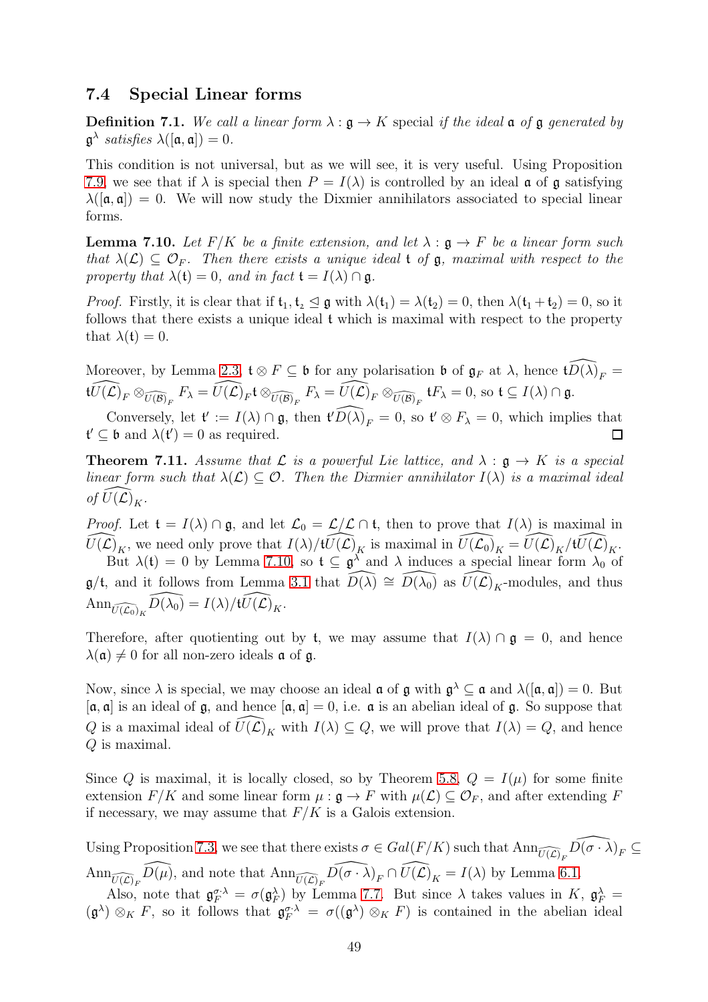#### <span id="page-48-0"></span>7.4 Special Linear forms

**Definition 7.1.** We call a linear form  $\lambda : \mathfrak{g} \to K$  special if the ideal  $\mathfrak{a}$  of  $\mathfrak{g}$  generated by  $\mathfrak{g}^{\lambda}$  satisfies  $\lambda([\mathfrak{a},\mathfrak{a}])=0.$ 

This condition is not universal, but as we will see, it is very useful. Using Proposition [7.9,](#page-46-0) we see that if  $\lambda$  is special then  $P = I(\lambda)$  is controlled by an ideal  $\mathfrak a$  of  $\mathfrak g$  satisfying  $\lambda([\mathfrak{a}, \mathfrak{a}]) = 0$ . We will now study the Dixmier annihilators associated to special linear forms.

<span id="page-48-1"></span>**Lemma 7.10.** Let  $F/K$  be a finite extension, and let  $\lambda : \mathfrak{g} \to F$  be a linear form such that  $\lambda(\mathcal{L}) \subseteq \mathcal{O}_F$ . Then there exists a unique ideal t of  $\mathfrak{g}$ , maximal with respect to the property that  $\lambda(t) = 0$ , and in fact  $t = I(\lambda) \cap \mathfrak{g}$ .

*Proof.* Firstly, it is clear that if  $t_1, t_2 \leq g$  with  $\lambda(t_1) = \lambda(t_2) = 0$ , then  $\lambda(t_1 + t_2) = 0$ , so it follows that there exists a unique ideal t which is maximal with respect to the property that  $\lambda(t) = 0$ .

Moreover, by Lemma [2.3,](#page-7-2)  $\mathfrak{t} \otimes F \subseteq \mathfrak{b}$  for any polarisation  $\mathfrak{b}$  of  $\mathfrak{g}_F$  at  $\lambda$ , hence  $\widehat{tD(\lambda)}_F =$  $\widehat{tU(\mathcal{L})}_F \otimes_{\widehat{U(\mathcal{B})}_F} F_{\lambda} = \widehat{U(\mathcal{L})}_F \mathfrak{t} \otimes_{\widehat{U(\mathcal{B})}_F} F_{\lambda} = \widehat{U(\mathcal{L})}_F \otimes_{\widehat{U(\mathcal{B})}_F} \mathfrak{t} F_{\lambda} = 0, \text{ so } \mathfrak{t} \subseteq I(\lambda) \cap \mathfrak{g}.$ 

Conversely, let  $\mathfrak{t}' := I(\lambda) \cap \mathfrak{g}$ , then  $\widehat{\mathfrak{t}'D(\lambda)}_F = 0$ , so  $\mathfrak{t}' \otimes F_\lambda = 0$ , which implies that  $\mathfrak{t}' \subseteq \mathfrak{b}$  and  $\lambda(\mathfrak{t}') = 0$  as required.  $\Box$ 

<span id="page-48-2"></span>**Theorem 7.11.** Assume that  $\mathcal L$  is a powerful Lie lattice, and  $\lambda : \mathfrak{g} \to K$  is a special linear form such that  $\lambda(\mathcal{L}) \subset \mathcal{O}$ . Then the Dixmier annihilator  $I(\lambda)$  is a maximal ideal of  $U(\mathcal{L})_K$ .

*Proof.* Let  $\mathfrak{t} = I(\lambda) \cap \mathfrak{g}$ , and let  $\mathcal{L}_0 = \mathcal{L}/\mathcal{L} \cap \mathfrak{t}$ , then to prove that  $I(\lambda)$  is maximal in  $\widehat{U(\mathcal{L})}_K$ , we need only prove that  $I(\lambda)/t\widehat{U(\mathcal{L})}_K$  is maximal in  $\widehat{U(\mathcal{L}_0)}_K = \widehat{U(\mathcal{L})}_K/t\widehat{U(\mathcal{L})}_K$ .

But  $\lambda(t) = 0$  by Lemma [7.10,](#page-48-1) so  $t \subseteq \mathfrak{g}^{\lambda}$  and  $\lambda$  induces a special linear form  $\lambda_0$  of  $\mathfrak{g}/\mathfrak{t}$ , and it follows from Lemma [3.1](#page-14-2) that  $\widehat{D(\lambda)} \cong \widehat{D(\lambda_0)}$  as  $\widehat{U(\mathcal{L})}_K$ -modules, and thus  $\text{Ann}_{\widehat{U(\mathcal{L}_0)}_K} \widehat{D(\lambda_0)} = I(\lambda)/t\widehat{U(\mathcal{L})}_K.$ 

Therefore, after quotienting out by t, we may assume that  $I(\lambda) \cap \mathfrak{g} = 0$ , and hence  $\lambda(\mathfrak{a}) \neq 0$  for all non-zero ideals  $\mathfrak{a}$  of  $\mathfrak{g}$ .

Now, since  $\lambda$  is special, we may choose an ideal  $\mathfrak a$  of  $\mathfrak g$  with  $\mathfrak g^\lambda\subseteq\mathfrak a$  and  $\lambda([\mathfrak a,\mathfrak a])=0$ . But  $[a, a]$  is an ideal of  $\mathfrak{g}$ , and hence  $[a, a] = 0$ , i.e.  $\mathfrak{a}$  is an abelian ideal of  $\mathfrak{g}$ . So suppose that Q is a maximal ideal of  $\widehat{U}(\mathcal{L})_K$  with  $I(\lambda) \subseteq Q$ , we will prove that  $I(\lambda) = Q$ , and hence Q is maximal.

Since Q is maximal, it is locally closed, so by Theorem [5.8,](#page-32-0)  $Q = I(\mu)$  for some finite extension  $F/K$  and some linear form  $\mu : \mathfrak{g} \to F$  with  $\mu(\mathcal{L}) \subseteq \mathcal{O}_F$ , and after extending F if necessary, we may assume that  $F/K$  is a Galois extension.

Using Proposition [7.3,](#page-42-2) we see that there exists  $\sigma \in Gal(F/K)$  such that  $\text{Ann}_{\widehat{U(\mathcal{L})}_F} \widehat{D(\sigma \cdot \lambda)}_F \subseteq$  $\text{Ann}_{\widehat{U(\mathcal{L})}_F}\widehat{D(\mu)}$ , and note that  $\text{Ann}_{\widehat{U(\mathcal{L})}_F}\widehat{D(\sigma \cdot \lambda)}_F \cap \widehat{U(\mathcal{L})}_K = I(\lambda)$  by Lemma [6.1.](#page-34-2)

Also, note that  $\mathfrak{g}_F^{\sigma,\lambda} = \sigma(\mathfrak{g}_F^{\lambda})$  by Lemma [7.7.](#page-45-0) But since  $\lambda$  takes values in  $K$ ,  $\mathfrak{g}_F^{\lambda} =$  $(\mathfrak{g}^{\lambda}) \otimes_K F$ , so it follows that  $\mathfrak{g}_F^{\sigma \lambda} = \sigma((\mathfrak{g}^{\lambda}) \otimes_K F)$  is contained in the abelian ideal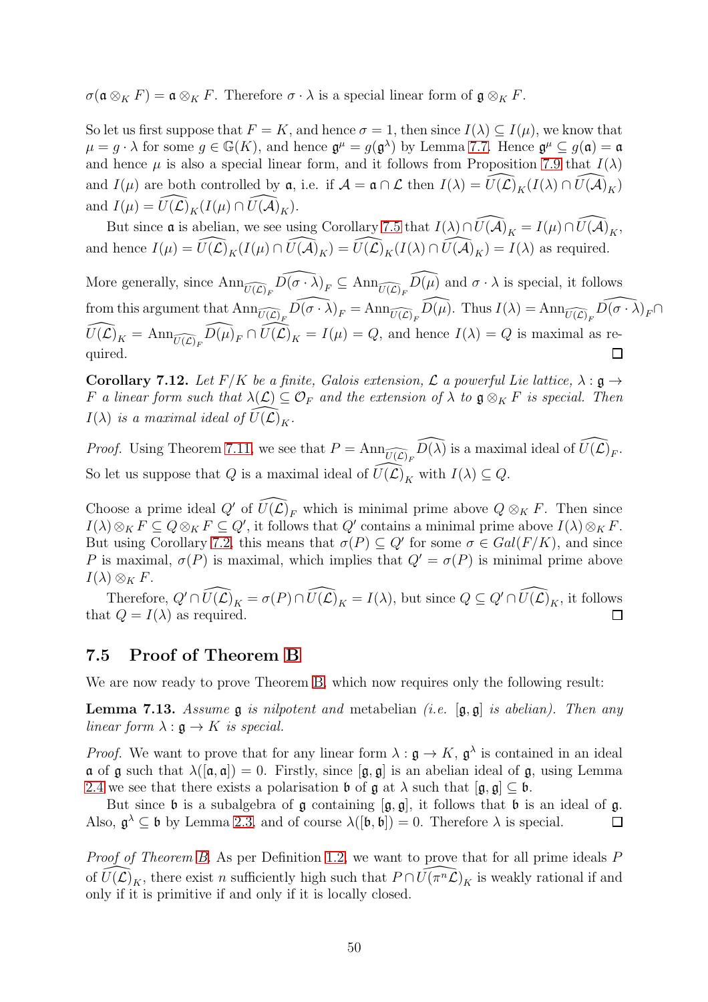$\sigma(\mathfrak{a} \otimes_K F) = \mathfrak{a} \otimes_K F$ . Therefore  $\sigma \cdot \lambda$  is a special linear form of  $\mathfrak{g} \otimes_K F$ .

So let us first suppose that  $F = K$ , and hence  $\sigma = 1$ , then since  $I(\lambda) \subseteq I(\mu)$ , we know that  $\mu = g \cdot \lambda$  for some  $g \in \mathbb{G}(K)$ , and hence  $\mathfrak{g}^{\mu} = g(\mathfrak{g}^{\lambda})$  by Lemma [7.7.](#page-45-0) Hence  $\mathfrak{g}^{\mu} \subseteq g(\mathfrak{a}) = \mathfrak{a}$ and hence  $\mu$  is also a special linear form, and it follows from Proposition [7.9](#page-46-0) that  $I(\lambda)$ and  $I(\mu)$  are both controlled by  $\mathfrak{a}$ , i.e. if  $\mathcal{A} = \mathfrak{a} \cap \mathcal{L}$  then  $I(\lambda) = \widehat{U}(\widehat{\mathcal{L}})_K(I(\lambda) \cap \widehat{U}(\widehat{\mathcal{A}})_K)$ and  $I(\mu) = \widehat{U(\mathcal{L})}_K(I(\mu) \cap \widehat{U(\mathcal{A})}_K).$ 

But since **a** is abelian, we see using Corollary [7.5](#page-43-0) that  $I(\lambda) \cap \widehat{U(\mathcal{A})}_K = I(\mu) \cap \widehat{U(\mathcal{A})}_K$ , and hence  $I(\mu) = \widehat{U(\mathcal{L})}_K(I(\mu) \cap \widehat{U(\mathcal{A})}_K) = \widehat{U(\mathcal{L})}_K(I(\lambda) \cap \widehat{U(\mathcal{A})}_K) = I(\lambda)$  as required.

More generally, since  $\text{Ann}_{\widehat{U(\mathcal{L})}_F}\widehat{D(\sigma \cdot \lambda)}_F \subseteq \text{Ann}_{\widehat{U(\mathcal{L})}_F}\widehat{D(\mu)}$  and  $\sigma \cdot \lambda$  is special, it follows from this argument that  $\text{Ann}_{\widehat{U(\mathcal{L})}_F}\widehat{D(\sigma \cdot \lambda)}_F = \text{Ann}_{\widehat{U(\mathcal{L})}_F}\widehat{D(\mu)}$ . Thus  $I(\lambda) = \text{Ann}_{\widehat{U(\mathcal{L})}_F}\widehat{D(\sigma \cdot \lambda)}_F \cap$  $\widehat{U(\mathcal{L})}_K = \text{Ann}_{\widehat{U(\mathcal{L})}_F} \widehat{D(\mu)}_F \cap \widehat{U(\mathcal{L})}_K = I(\mu) = Q$ , and hence  $I(\lambda) = Q$  is maximal as required.  $\Box$ 

<span id="page-49-2"></span>Corollary 7.12. Let  $F/K$  be a finite, Galois extension,  $\mathcal L$  a powerful Lie lattice,  $\lambda : \mathfrak g \to$ F a linear form such that  $\lambda(\mathcal{L}) \subseteq \mathcal{O}_F$  and the extension of  $\lambda$  to  $\mathfrak{g} \otimes_K F$  is special. Then  $I(\lambda)$  is a maximal ideal of  $U(\mathcal{L})_K$ .

*Proof.* Using Theorem [7.11,](#page-48-2) we see that  $P = \text{Ann}_{\widehat{U(\mathcal{L})}_F} \widehat{D(\lambda)}$  is a maximal ideal of  $\widehat{U(\mathcal{L})}_F$ . So let us suppose that Q is a maximal ideal of  $\widehat{U}(\widehat{\mathcal{L}})_K$  with  $I(\lambda) \subseteq Q$ .

Choose a prime ideal Q' of  $\widehat{U}(\widehat{\mathcal{L}})$ <sub>F</sub> which is minimal prime above  $Q \otimes_K F$ . Then since  $I(\lambda)\otimes_K F\subseteq Q\otimes_K F\subseteq Q'$ , it follows that  $Q'$  contains a minimal prime above  $I(\lambda)\otimes_K F$ . But using Corollary [7.2,](#page-41-0) this means that  $\sigma(P) \subseteq Q'$  for some  $\sigma \in Gal(F/K)$ , and since P is maximal,  $\sigma(P)$  is maximal, which implies that  $Q' = \sigma(P)$  is minimal prime above  $I(\lambda) \otimes_K F$ .

Therefore,  $Q' \cap \widehat{U(\mathcal{L})}_K = \sigma(P) \cap \widehat{U(\mathcal{L})}_K = I(\lambda)$ , but since  $Q \subseteq Q' \cap \widehat{U(\mathcal{L})}_K$ , it follows that  $Q = I(\lambda)$  as required.  $\Box$ 

#### <span id="page-49-0"></span>7.5 Proof of Theorem [B](#page-4-2)

We are now ready to prove Theorem [B,](#page-4-2) which now requires only the following result:

<span id="page-49-1"></span>**Lemma 7.13.** Assume  $\mathfrak{g}$  is nilpotent and metabelian (i.e.  $[\mathfrak{g}, \mathfrak{g}]$  is abelian). Then any linear form  $\lambda : \mathfrak{g} \to K$  is special.

*Proof.* We want to prove that for any linear form  $\lambda : \mathfrak{g} \to K$ ,  $\mathfrak{g}^{\lambda}$  is contained in an ideal  $\alpha$  of  $\beta$  such that  $\lambda([\alpha, \alpha]) = 0$ . Firstly, since  $[\beta, \beta]$  is an abelian ideal of  $\beta$ , using Lemma [2.4](#page-8-0) we see that there exists a polarisation **b** of  $\mathfrak{g}$  at  $\lambda$  such that  $[\mathfrak{g}, \mathfrak{g}] \subset \mathfrak{b}$ .

But since **b** is a subalgebra of **g** containing  $[g, g]$ , it follows that **b** is an ideal of **g**. Also,  $\mathfrak{g}^{\lambda} \subseteq \mathfrak{b}$  by Lemma [2.3,](#page-7-2) and of course  $\lambda([\mathfrak{b}, \mathfrak{b}]) = 0$ . Therefore  $\lambda$  is special.  $\Box$ 

Proof of Theorem [B.](#page-4-2) As per Definition [1.2,](#page-2-1) we want to prove that for all prime ideals P of  $\widehat{U(\mathcal{L})}_K$ , there exist n sufficiently high such that  $P \cap \widehat{U(\pi^n \mathcal{L})}_K$  is weakly rational if and only if it is primitive if and only if it is locally closed.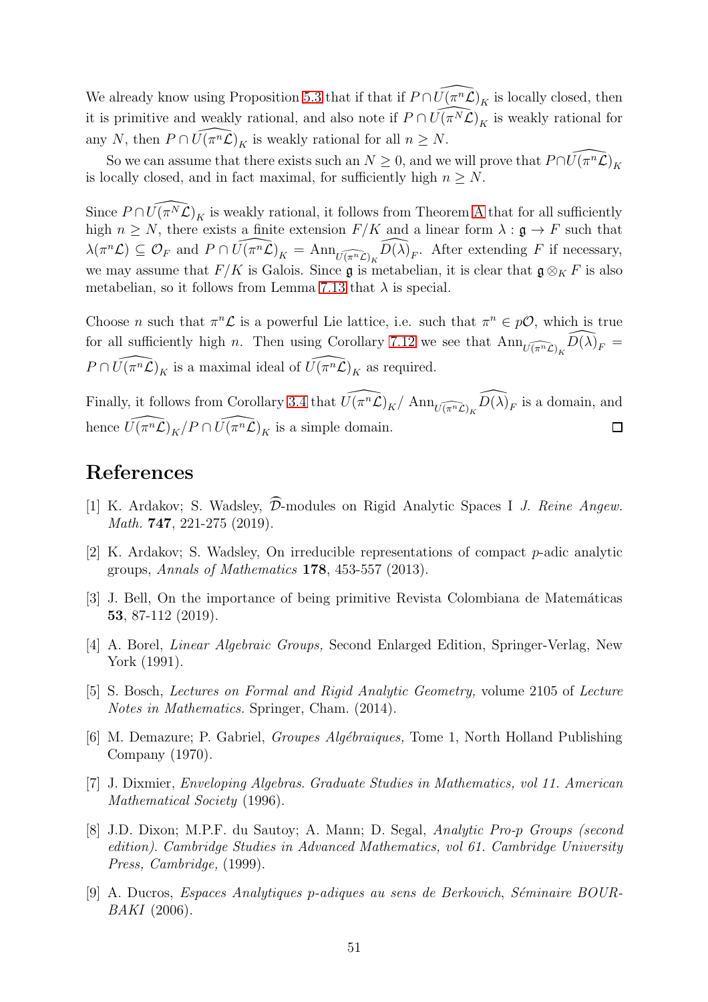We already know using Proposition [5.3](#page-29-1) that if that if  $P \cap \widehat{U(\pi^n\mathcal{L})}_K$  is locally closed, then it is primitive and weakly rational, and also note if  $P \cap \widehat{U(\pi^N\mathcal{L})}_K$  is weakly rational for any N, then  $P \cap \widehat{U(\pi^n \mathcal{L})}_K$  is weakly rational for all  $n \geq N$ .

So we can assume that there exists such an  $N \geq 0$ , and we will prove that  $P \cap \widehat{U(\pi^n \mathcal{L})}_K$ is locally closed, and in fact maximal, for sufficiently high  $n \geq N$ .

Since  $P \cap \widehat{U(\pi^N \mathcal{L})}_K$  is weakly rational, it follows from Theorem [A](#page-3-1) that for all sufficiently high  $n \geq N$ , there exists a finite extension  $F/K$  and a linear form  $\lambda : \mathfrak{g} \to F$  such that  $\lambda(\pi^n\mathcal{L}) \subseteq \mathcal{O}_F$  and  $P \cap \widehat{U(\pi^n\mathcal{L})}_K = \text{Ann}_{\widehat{U(\pi^n\mathcal{L})}_K} \widehat{D(\lambda)}_F$ . After extending F if necessary, we may assume that  $F/K$  is Galois. Since g is metabelian, it is clear that  $\mathfrak{g} \otimes_K F$  is also metabelian, so it follows from Lemma [7.13](#page-49-1) that  $\lambda$  is special.

Choose *n* such that  $\pi^n \mathcal{L}$  is a powerful Lie lattice, i.e. such that  $\pi^n \in p\mathcal{O}$ , which is true for all sufficiently high n. Then using Corollary [7.12](#page-49-2) we see that  $\text{Ann}_{\widehat{U(\pi^n\mathcal{L})}_K}\widehat{D(\lambda)}_F =$  $P \cap \widehat{U(\pi^n \mathcal{L})}_K$  is a maximal ideal of  $\widehat{U(\pi^n \mathcal{L})}_K$  as required.

Finally, it follows from Corollary [3.4](#page-20-0) that  $\widehat{U(\pi^n\mathcal{L})_K}/\operatorname{Ann}_{\widehat{U(\pi^n\mathcal{L})_K}}\widehat{D(\lambda)}_F$  is a domain, and hence  $\widehat{U(\pi^n\mathcal{L})}_K/P \cap \widehat{U(\pi^n\mathcal{L})}_K$  is a simple domain.  $\Box$ 

# <span id="page-50-7"></span>References

- [1] K. Ardakov; S. Wadsley,  $\widehat{\mathcal{D}}$ -modules on Rigid Analytic Spaces I *J. Reine Angew.* Math. 747, 221-275 (2019).
- <span id="page-50-3"></span>[2] K. Ardakov; S. Wadsley, On irreducible representations of compact p-adic analytic groups, Annals of Mathematics 178, 453-557 (2013).
- <span id="page-50-1"></span>[3] J. Bell, On the importance of being primitive Revista Colombiana de Matemáticas 53, 87-112 (2019).
- <span id="page-50-5"></span>[4] A. Borel, Linear Algebraic Groups, Second Enlarged Edition, Springer-Verlag, New York (1991).
- <span id="page-50-4"></span>[5] S. Bosch, Lectures on Formal and Rigid Analytic Geometry, volume 2105 of Lecture Notes in Mathematics. Springer, Cham. (2014).
- <span id="page-50-6"></span>[6] M. Demazure; P. Gabriel, *Groupes Algébraiques*, Tome 1, North Holland Publishing Company (1970).
- <span id="page-50-0"></span>[7] J. Dixmier, Enveloping Algebras. Graduate Studies in Mathematics, vol 11. American Mathematical Society (1996).
- <span id="page-50-2"></span>[8] J.D. Dixon; M.P.F. du Sautoy; A. Mann; D. Segal, Analytic Pro-p Groups (second edition). Cambridge Studies in Advanced Mathematics, vol 61. Cambridge University Press, Cambridge, (1999).
- <span id="page-50-8"></span>[9] A. Ducros, Espaces Analytiques p-adiques au sens de Berkovich, S´eminaire BOUR-BAKI (2006).